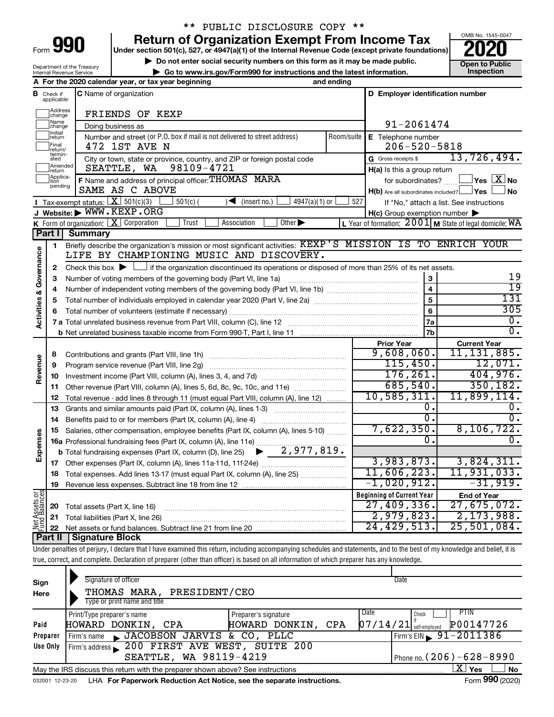| Form | $\mathbf{L}$ |  |
|------|--------------|--|
|      |              |  |

# \*\* PUBLIC DISCLOSURE COPY \*\*

**990** Return of Organization Exempt From Income Tax <br>
Under section 501(c), 527, or 4947(a)(1) of the Internal Revenue Code (except private foundations)<br> **PO20** 

▶ Do not enter social security numbers on this form as it may be made public.<br>
▶ Go to www.irs.gov/Form990 for instructions and the latest information. **Department in the latest** information. **| Go to www.irs.gov/Form990 for instructions and the latest information. Inspection**



Department of the Treasury Internal Revenue Service

|                         |                               | A For the 2020 calendar year, or tax year beginning                                                                                                                        | and ending |                                                     |                                                           |  |
|-------------------------|-------------------------------|----------------------------------------------------------------------------------------------------------------------------------------------------------------------------|------------|-----------------------------------------------------|-----------------------------------------------------------|--|
|                         | <b>B</b> Check if applicable: | C Name of organization                                                                                                                                                     |            | D Employer identification number                    |                                                           |  |
|                         | Address<br>change             | FRIENDS OF KEXP                                                                                                                                                            |            |                                                     |                                                           |  |
|                         | Name<br> change               | 91-2061474                                                                                                                                                                 |            |                                                     |                                                           |  |
|                         | Initial<br>return             | Number and street (or P.O. box if mail is not delivered to street address)                                                                                                 | Room/suite | E Telephone number                                  |                                                           |  |
|                         | Final<br> return/             | 472 1ST AVE N                                                                                                                                                              |            | $206 - 520 - 5818$                                  |                                                           |  |
|                         | termin-<br>ated               | City or town, state or province, country, and ZIP or foreign postal code                                                                                                   |            | G Gross receipts \$                                 | 13,726,494.                                               |  |
|                         | Amended<br>return             | 98109-4721<br>SEATTLE, WA                                                                                                                                                  |            | H(a) Is this a group return                         |                                                           |  |
|                         | Applica-<br>tion<br>pending   | F Name and address of principal officer: THOMAS MARA                                                                                                                       |            | for subordinates?                                   | $\,$ Yes $\,$ $\,$ $\rm X$ $\,$ No $\,$                   |  |
|                         |                               | SAME AS C ABOVE                                                                                                                                                            |            | $H(b)$ Are all subordinates included? $\Box$ Yes    | No.                                                       |  |
|                         |                               | Tax-exempt status: $X \overline{301(c)(3)}$<br>$501(c)$ (<br>$\sqrt{\frac{1}{1}}$ (insert no.)<br>4947(a)(1) or                                                            | 527        |                                                     | If "No," attach a list. See instructions                  |  |
|                         |                               | J Website: WWW.KEXP.ORG<br>Trust<br>Association<br>Other $\blacktriangleright$                                                                                             |            | $H(c)$ Group exemption number $\blacktriangleright$ |                                                           |  |
|                         | Part I                        | <b>K</b> Form of organization: $\boxed{\mathbf{X}}$ Corporation                                                                                                            |            |                                                     | L Year of formation: $2001$ M State of legal domicile: WA |  |
|                         |                               | <b>Summary</b><br>Briefly describe the organization's mission or most significant activities: KEXP'S MISSION IS TO ENRICH YOUR                                             |            |                                                     |                                                           |  |
|                         | 1                             | LIFE BY CHAMPIONING MUSIC AND DISCOVERY.                                                                                                                                   |            |                                                     |                                                           |  |
| Activities & Governance |                               | Check this box $\blacktriangleright \Box$ if the organization discontinued its operations or disposed of more than 25% of its net assets.                                  |            |                                                     |                                                           |  |
|                         | 2<br>з                        |                                                                                                                                                                            |            | 3                                                   | 19                                                        |  |
|                         | 4                             |                                                                                                                                                                            |            | $\overline{\mathbf{A}}$                             | $\overline{19}$                                           |  |
|                         | 5                             |                                                                                                                                                                            |            | 5                                                   | 131                                                       |  |
|                         | 6                             |                                                                                                                                                                            |            | 6                                                   | 305                                                       |  |
|                         |                               |                                                                                                                                                                            |            | 7a                                                  | 0.                                                        |  |
|                         |                               |                                                                                                                                                                            |            |                                                     |                                                           |  |
|                         |                               |                                                                                                                                                                            |            | <b>Prior Year</b>                                   | <b>Current Year</b>                                       |  |
|                         | 8                             |                                                                                                                                                                            |            | 9,608,060.                                          | 11, 131, 885.                                             |  |
|                         | 9                             | Program service revenue (Part VIII, line 2g)                                                                                                                               | 115,450.   | 12,071.                                             |                                                           |  |
| Revenue                 | 10                            |                                                                                                                                                                            |            | 176, 261.                                           | 404,976.                                                  |  |
|                         | 11                            | Other revenue (Part VIII, column (A), lines 5, 6d, 8c, 9c, 10c, and 11e)                                                                                                   |            | 685,540.                                            | 350, 182.                                                 |  |
|                         | 12                            | Total revenue - add lines 8 through 11 (must equal Part VIII, column (A), line 12)                                                                                         |            | 10, 585, 311.                                       | 11,899,114.                                               |  |
|                         | 13                            | Grants and similar amounts paid (Part IX, column (A), lines 1-3)                                                                                                           |            | 0.                                                  | 0.                                                        |  |
|                         | 14                            |                                                                                                                                                                            |            | $\overline{0}$ .                                    | $\overline{0}$ .                                          |  |
|                         | 15                            | Salaries, other compensation, employee benefits (Part IX, column (A), lines 5-10)                                                                                          | 7,622,350. | 8, 106, 722.                                        |                                                           |  |
| Expenses                |                               | 16a Professional fundraising fees (Part IX, column (A), line 11e)                                                                                                          |            | 0.                                                  | 0.                                                        |  |
|                         |                               | $\blacktriangleright$ 2,977,819.<br><b>b</b> Total fundraising expenses (Part IX, column (D), line 25)                                                                     |            |                                                     |                                                           |  |
|                         | 17                            |                                                                                                                                                                            |            | 3,983,873.<br>11,606,223.                           | 3,824,311.<br>11, 931, 033.                               |  |
|                         |                               | 18 Total expenses. Add lines 13-17 (must equal Part IX, column (A), line 25)                                                                                               |            | $-1,020,912.$                                       | $-31,919.$                                                |  |
|                         | 19                            |                                                                                                                                                                            |            |                                                     |                                                           |  |
|                         |                               |                                                                                                                                                                            |            | <b>Beginning of Current Year</b><br>27,409,336.     | <b>End of Year</b><br>27,675,072.                         |  |
| Net Assets or           | 20                            | Total assets (Part X, line 16)                                                                                                                                             |            | 2,979,823.                                          | 2,173,988.                                                |  |
|                         | 21<br>22                      | Total liabilities (Part X, line 26)                                                                                                                                        |            | 24, 429, 513.                                       | 25,501,084.                                               |  |
|                         | Part II                       | <b>Signature Block</b>                                                                                                                                                     |            |                                                     |                                                           |  |
|                         |                               | Under penalties of perjury, I declare that I have examined this return, including accompanying schedules and statements, and to the best of my knowledge and belief, it is |            |                                                     |                                                           |  |
|                         |                               | true, correct, and complete. Declaration of preparer (other than officer) is based on all information of which preparer has any knowledge.                                 |            |                                                     |                                                           |  |
|                         |                               |                                                                                                                                                                            |            |                                                     |                                                           |  |

| Sign<br>Here | Signature of officer<br>THOMAS MARA, PRESIDENT/CEO<br>Type or print name and title |                       | Date                                  |
|--------------|------------------------------------------------------------------------------------|-----------------------|---------------------------------------|
|              |                                                                                    |                       |                                       |
|              | Print/Type preparer's name                                                         | Preparer's signature  | Date<br>PIIN<br>Check                 |
| Paid         | HOWARD DONKIN, CPA                                                                 | HOWARD DONKIN,<br>CPA | P00147726<br>$07/14/21$ self-employed |
| Preparer     | JACOBSON JARVIS & CO, PLLC<br>Firm's name                                          |                       | Firm's EIN $\frac{91-2011386}{ }$     |
| Use Only     | Firm's address 200 FIRST AVE WEST, SUITE 200                                       |                       |                                       |
|              | SEATTLE, WA 98119-4219                                                             |                       | Phone no. (206) - 628 - 8990          |
|              | May the IRS discuss this return with the preparer shown above? See instructions    |                       | X.<br>No<br>Yes                       |
|              |                                                                                    |                       | $0.00 \div 0.00$                      |

032001 12-23-20 LHA **For Paperwork Reduction Act Notice, see the separate instructions.** Form 990 (2020)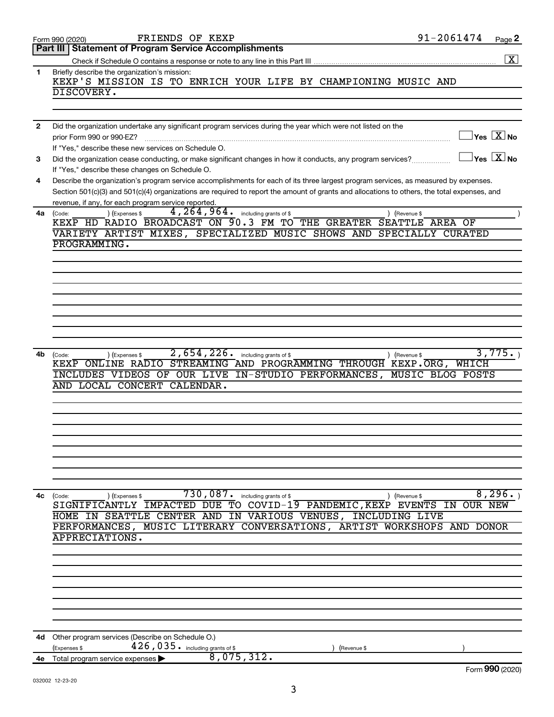|              | 91-2061474<br>FRIENDS OF KEXP<br>Page 2<br>Form 990 (2020)                                                                                                                                                                                                                           |
|--------------|--------------------------------------------------------------------------------------------------------------------------------------------------------------------------------------------------------------------------------------------------------------------------------------|
|              | Part III   Statement of Program Service Accomplishments                                                                                                                                                                                                                              |
|              | $\overline{\mathbf{X}}$                                                                                                                                                                                                                                                              |
| 1.           | Briefly describe the organization's mission:<br>KEXP'S MISSION IS TO ENRICH YOUR LIFE BY CHAMPIONING MUSIC AND                                                                                                                                                                       |
|              | DISCOVERY.                                                                                                                                                                                                                                                                           |
|              |                                                                                                                                                                                                                                                                                      |
|              |                                                                                                                                                                                                                                                                                      |
|              |                                                                                                                                                                                                                                                                                      |
| $\mathbf{2}$ | Did the organization undertake any significant program services during the year which were not listed on the<br>$\exists$ Yes $\boxed{\text{X}}$ No<br>prior Form 990 or 990-EZ?                                                                                                     |
|              | If "Yes," describe these new services on Schedule O.                                                                                                                                                                                                                                 |
| 3            | $\Box$ Yes $[\overline{\mathrm{X}}]$ No<br>Did the organization cease conducting, or make significant changes in how it conducts, any program services?<br>If "Yes," describe these changes on Schedule O.                                                                           |
|              |                                                                                                                                                                                                                                                                                      |
| 4            | Describe the organization's program service accomplishments for each of its three largest program services, as measured by expenses.<br>Section 501(c)(3) and 501(c)(4) organizations are required to report the amount of grants and allocations to others, the total expenses, and |
|              | revenue, if any, for each program service reported.                                                                                                                                                                                                                                  |
|              | $4, 264, 964$ $\cdot$ including grants of \$<br>) (Expenses \$<br>4a (Code:<br>) (Revenue \$                                                                                                                                                                                         |
|              | KEXP HD RADIO BROADCAST ON 90.3 FM TO THE GREATER SEATTLE AREA OF                                                                                                                                                                                                                    |
|              | VARIETY ARTIST MIXES, SPECIALIZED MUSIC SHOWS AND SPECIALLY CURATED                                                                                                                                                                                                                  |
|              | <b>PROGRAMMING.</b>                                                                                                                                                                                                                                                                  |
|              |                                                                                                                                                                                                                                                                                      |
|              |                                                                                                                                                                                                                                                                                      |
|              |                                                                                                                                                                                                                                                                                      |
|              |                                                                                                                                                                                                                                                                                      |
|              |                                                                                                                                                                                                                                                                                      |
|              |                                                                                                                                                                                                                                                                                      |
|              |                                                                                                                                                                                                                                                                                      |
|              |                                                                                                                                                                                                                                                                                      |
|              |                                                                                                                                                                                                                                                                                      |
|              | 3,775.<br>$\overline{2,654,226}$ including grants of \$                                                                                                                                                                                                                              |
| 4b l         | (Expenses \$<br>) (Revenue \$<br>(Code:<br>KEXP ONLINE RADIO STREAMING AND PROGRAMMING THROUGH KEXP.ORG, WHICH                                                                                                                                                                       |
|              | INCLUDES VIDEOS OF OUR LIVE IN-STUDIO PERFORMANCES, MUSIC BLOG POSTS                                                                                                                                                                                                                 |
|              | AND LOCAL CONCERT CALENDAR.                                                                                                                                                                                                                                                          |
|              |                                                                                                                                                                                                                                                                                      |
|              |                                                                                                                                                                                                                                                                                      |
|              |                                                                                                                                                                                                                                                                                      |
|              |                                                                                                                                                                                                                                                                                      |
|              |                                                                                                                                                                                                                                                                                      |
|              |                                                                                                                                                                                                                                                                                      |
|              |                                                                                                                                                                                                                                                                                      |
|              |                                                                                                                                                                                                                                                                                      |
|              |                                                                                                                                                                                                                                                                                      |
|              |                                                                                                                                                                                                                                                                                      |
| 4с           | 730,087.<br>8,296.<br>including grants of \$<br>(Expenses \$<br>(Revenue \$<br>(Code:                                                                                                                                                                                                |
|              | SIGNIFICANTLY IMPACTED DUE TO COVID-19 PANDEMIC, KEXP EVENTS IN OUR NEW                                                                                                                                                                                                              |
|              | HOME IN SEATTLE CENTER AND IN VARIOUS VENUES, INCLUDING LIVE                                                                                                                                                                                                                         |
|              | PERFORMANCES, MUSIC LITERARY CONVERSATIONS, ARTIST WORKSHOPS AND DONOR                                                                                                                                                                                                               |
|              | APPRECIATIONS.                                                                                                                                                                                                                                                                       |
|              |                                                                                                                                                                                                                                                                                      |
|              |                                                                                                                                                                                                                                                                                      |
|              |                                                                                                                                                                                                                                                                                      |
|              |                                                                                                                                                                                                                                                                                      |
|              |                                                                                                                                                                                                                                                                                      |
|              |                                                                                                                                                                                                                                                                                      |
|              |                                                                                                                                                                                                                                                                                      |
|              |                                                                                                                                                                                                                                                                                      |
| 4d -         | Other program services (Describe on Schedule O.)                                                                                                                                                                                                                                     |
|              | $426$ , $035$ $\cdot$ including grants of \$<br>(Expenses \$<br>(Revenue \$                                                                                                                                                                                                          |
| 4е           | 8,075,312.<br>Total program service expenses                                                                                                                                                                                                                                         |
|              | Form 990 (2020)                                                                                                                                                                                                                                                                      |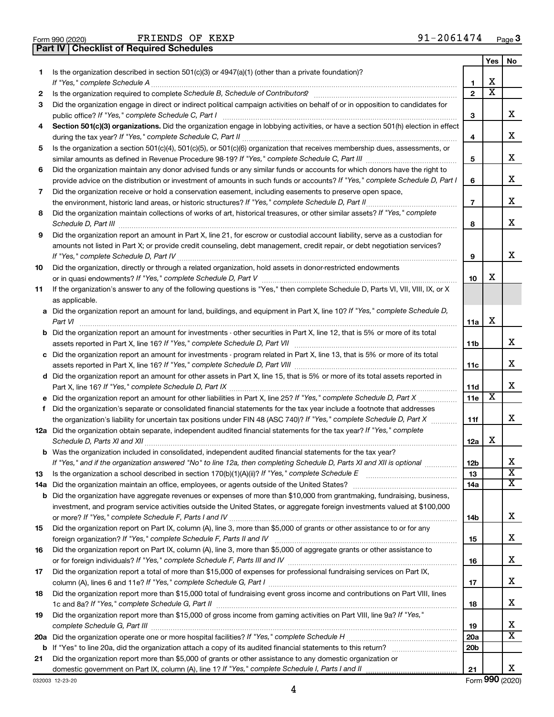|  | Form 990 (2020) |
|--|-----------------|

 $F$ RIENDS OF KEXP  $91-2061474$ 

**Part IV Checklist of Required Schedules**

|    |                                                                                                                                                                       |                          | Yes | No                      |
|----|-----------------------------------------------------------------------------------------------------------------------------------------------------------------------|--------------------------|-----|-------------------------|
| 1  | Is the organization described in section 501(c)(3) or 4947(a)(1) (other than a private foundation)?<br>If "Yes," complete Schedule A                                  | 1                        | х   |                         |
| 2  | Is the organization required to complete Schedule B, Schedule of Contributors? [111] [12] the organization required to complete Schedule B, Schedule of Contributors? | $\overline{2}$           | х   |                         |
| 3  | Did the organization engage in direct or indirect political campaign activities on behalf of or in opposition to candidates for                                       |                          |     |                         |
|    | public office? If "Yes," complete Schedule C, Part I                                                                                                                  | 3                        |     | x.                      |
| 4  | Section 501(c)(3) organizations. Did the organization engage in lobbying activities, or have a section 501(h) election in effect                                      |                          |     |                         |
|    |                                                                                                                                                                       | 4                        |     | x                       |
| 5  | Is the organization a section 501(c)(4), 501(c)(5), or 501(c)(6) organization that receives membership dues, assessments, or                                          |                          |     |                         |
|    |                                                                                                                                                                       | 5                        |     | х                       |
| 6  | Did the organization maintain any donor advised funds or any similar funds or accounts for which donors have the right to                                             |                          |     |                         |
|    | provide advice on the distribution or investment of amounts in such funds or accounts? If "Yes," complete Schedule D, Part I                                          | 6                        |     | x                       |
| 7  | Did the organization receive or hold a conservation easement, including easements to preserve open space,                                                             |                          |     |                         |
|    |                                                                                                                                                                       | $\overline{\phantom{a}}$ |     | х                       |
| 8  | Did the organization maintain collections of works of art, historical treasures, or other similar assets? If "Yes," complete                                          |                          |     |                         |
|    | Schedule D, Part III                                                                                                                                                  | 8                        |     | х                       |
| 9  | Did the organization report an amount in Part X, line 21, for escrow or custodial account liability, serve as a custodian for                                         |                          |     |                         |
|    | amounts not listed in Part X; or provide credit counseling, debt management, credit repair, or debt negotiation services?                                             |                          |     |                         |
|    |                                                                                                                                                                       | 9                        |     | x                       |
| 10 | Did the organization, directly or through a related organization, hold assets in donor-restricted endowments                                                          | 10                       | х   |                         |
| 11 | If the organization's answer to any of the following questions is "Yes," then complete Schedule D, Parts VI, VII, VIII, IX, or X                                      |                          |     |                         |
|    | as applicable.                                                                                                                                                        |                          |     |                         |
|    | a Did the organization report an amount for land, buildings, and equipment in Part X, line 10? If "Yes," complete Schedule D,                                         |                          |     |                         |
|    | Part VI                                                                                                                                                               | 11a                      | х   |                         |
|    | <b>b</b> Did the organization report an amount for investments - other securities in Part X, line 12, that is 5% or more of its total                                 |                          |     |                         |
|    | assets reported in Part X, line 16? If "Yes," complete Schedule D, Part VII [11] [11] [12] [12] [12] [12] [13] [                                                      | 11b                      |     | х                       |
|    | c Did the organization report an amount for investments - program related in Part X, line 13, that is 5% or more of its total                                         |                          |     |                         |
|    |                                                                                                                                                                       | 11c                      |     | х                       |
|    | d Did the organization report an amount for other assets in Part X, line 15, that is 5% or more of its total assets reported in                                       |                          |     |                         |
|    |                                                                                                                                                                       | 11d                      |     | x                       |
|    |                                                                                                                                                                       | 11e                      | х   |                         |
| f  | Did the organization's separate or consolidated financial statements for the tax year include a footnote that addresses                                               |                          |     | x                       |
|    | the organization's liability for uncertain tax positions under FIN 48 (ASC 740)? If "Yes," complete Schedule D, Part X                                                | 11f                      |     |                         |
|    | 12a Did the organization obtain separate, independent audited financial statements for the tax year? If "Yes," complete                                               | 12a                      | х   |                         |
|    | <b>b</b> Was the organization included in consolidated, independent audited financial statements for the tax year?                                                    |                          |     |                         |
|    | If "Yes," and if the organization answered "No" to line 12a, then completing Schedule D, Parts XI and XII is optional                                                 | 12 <sub>b</sub>          |     | х                       |
| 13 |                                                                                                                                                                       | 13                       |     | $\overline{\mathbf{X}}$ |
|    |                                                                                                                                                                       | 14a                      |     | x                       |
|    | <b>b</b> Did the organization have aggregate revenues or expenses of more than \$10,000 from grantmaking, fundraising, business,                                      |                          |     |                         |
|    | investment, and program service activities outside the United States, or aggregate foreign investments valued at \$100,000                                            |                          |     | х                       |
|    | Did the organization report on Part IX, column (A), line 3, more than \$5,000 of grants or other assistance to or for any                                             | 14b                      |     |                         |
| 15 |                                                                                                                                                                       | 15                       |     | х                       |
| 16 | Did the organization report on Part IX, column (A), line 3, more than \$5,000 of aggregate grants or other assistance to                                              |                          |     |                         |
|    |                                                                                                                                                                       | 16                       |     | х                       |
| 17 | Did the organization report a total of more than \$15,000 of expenses for professional fundraising services on Part IX,                                               |                          |     |                         |
|    |                                                                                                                                                                       | 17                       |     | х                       |
| 18 | Did the organization report more than \$15,000 total of fundraising event gross income and contributions on Part VIII, lines                                          |                          |     |                         |
|    |                                                                                                                                                                       | 18                       |     | х                       |
| 19 | Did the organization report more than \$15,000 of gross income from gaming activities on Part VIII, line 9a? If "Yes,"                                                |                          |     |                         |
|    |                                                                                                                                                                       | 19                       |     | х                       |
|    |                                                                                                                                                                       | 20a                      |     | x                       |
|    |                                                                                                                                                                       | 20 <sub>b</sub>          |     |                         |
| 21 | Did the organization report more than \$5,000 of grants or other assistance to any domestic organization or                                                           | 21                       |     | x                       |
|    |                                                                                                                                                                       |                          |     |                         |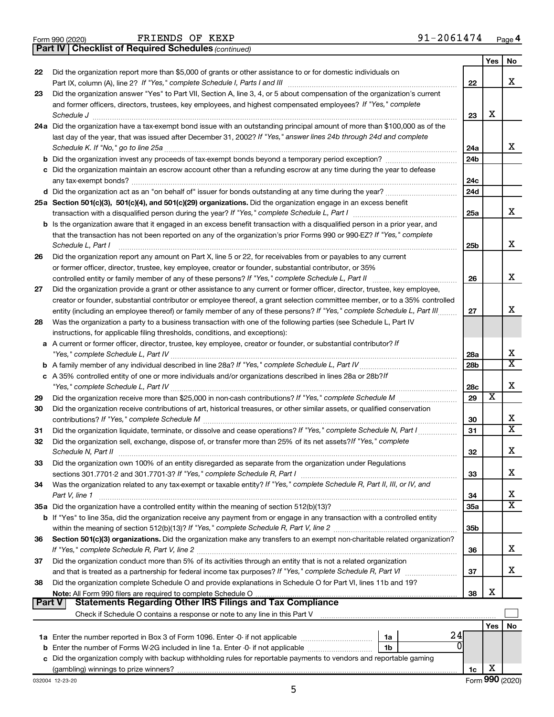|  | Form 990 (2020) |
|--|-----------------|
|  |                 |

 $F$ RIENDS OF KEXP  $91-2061474$ 

**Part IV Checklist of Required Schedules**

*(continued)*

|               |                                                                                                                                             |                 | Yes | No                      |  |
|---------------|---------------------------------------------------------------------------------------------------------------------------------------------|-----------------|-----|-------------------------|--|
| 22            | Did the organization report more than \$5,000 of grants or other assistance to or for domestic individuals on                               | 22              |     | x                       |  |
| 23            | Did the organization answer "Yes" to Part VII, Section A, line 3, 4, or 5 about compensation of the organization's current                  |                 |     |                         |  |
|               | and former officers, directors, trustees, key employees, and highest compensated employees? If "Yes," complete<br>Schedule J                | 23              | X   |                         |  |
|               | 24a Did the organization have a tax-exempt bond issue with an outstanding principal amount of more than \$100,000 as of the                 |                 |     |                         |  |
|               | last day of the year, that was issued after December 31, 2002? If "Yes," answer lines 24b through 24d and complete                          |                 |     |                         |  |
|               | Schedule K. If "No," go to line 25a                                                                                                         | 24a             |     | x                       |  |
|               |                                                                                                                                             | 24 <sub>b</sub> |     |                         |  |
|               | c Did the organization maintain an escrow account other than a refunding escrow at any time during the year to defease                      |                 |     |                         |  |
|               | any tax-exempt bonds?                                                                                                                       | 24c             |     |                         |  |
|               |                                                                                                                                             | 24 <sub>d</sub> |     |                         |  |
|               | 25a Section 501(c)(3), 501(c)(4), and 501(c)(29) organizations. Did the organization engage in an excess benefit                            |                 |     |                         |  |
|               |                                                                                                                                             | 25a             |     | x                       |  |
|               | <b>b</b> Is the organization aware that it engaged in an excess benefit transaction with a disqualified person in a prior year, and         |                 |     |                         |  |
|               | that the transaction has not been reported on any of the organization's prior Forms 990 or 990-EZ? If "Yes," complete                       |                 |     |                         |  |
|               | Schedule L, Part I                                                                                                                          | 25b             |     | х                       |  |
| 26            | Did the organization report any amount on Part X, line 5 or 22, for receivables from or payables to any current                             |                 |     |                         |  |
|               | or former officer, director, trustee, key employee, creator or founder, substantial contributor, or 35%                                     |                 |     |                         |  |
|               | controlled entity or family member of any of these persons? If "Yes," complete Schedule L, Part II                                          | 26              |     | х                       |  |
| 27            | Did the organization provide a grant or other assistance to any current or former officer, director, trustee, key employee,                 |                 |     |                         |  |
|               | creator or founder, substantial contributor or employee thereof, a grant selection committee member, or to a 35% controlled                 |                 |     |                         |  |
|               | entity (including an employee thereof) or family member of any of these persons? If "Yes," complete Schedule L, Part III                    | 27              |     | x                       |  |
| 28            | Was the organization a party to a business transaction with one of the following parties (see Schedule L, Part IV                           |                 |     |                         |  |
|               | instructions, for applicable filing thresholds, conditions, and exceptions):                                                                |                 |     |                         |  |
|               | a A current or former officer, director, trustee, key employee, creator or founder, or substantial contributor? If                          |                 |     |                         |  |
|               |                                                                                                                                             |                 |     |                         |  |
|               |                                                                                                                                             | 28 <sub>b</sub> |     | $\overline{\text{X}}$   |  |
|               | c A 35% controlled entity of one or more individuals and/or organizations described in lines 28a or 28b?lf                                  |                 |     |                         |  |
|               |                                                                                                                                             | 28c             |     | Х                       |  |
| 29            |                                                                                                                                             | 29              | х   |                         |  |
| 30            | Did the organization receive contributions of art, historical treasures, or other similar assets, or qualified conservation                 |                 |     |                         |  |
|               |                                                                                                                                             | 30              |     | х                       |  |
| 31            | Did the organization liquidate, terminate, or dissolve and cease operations? If "Yes," complete Schedule N, Part I                          | 31              |     | $\overline{\texttt{x}}$ |  |
| 32            | Did the organization sell, exchange, dispose of, or transfer more than 25% of its net assets? If "Yes," complete                            |                 |     | x                       |  |
|               | Schedule N, Part II                                                                                                                         | 32              |     |                         |  |
| 33            | Did the organization own 100% of an entity disregarded as separate from the organization under Regulations                                  |                 |     | х                       |  |
|               |                                                                                                                                             | 33              |     |                         |  |
| 34            | Was the organization related to any tax-exempt or taxable entity? If "Yes," complete Schedule R, Part II, III, or IV, and<br>Part V, line 1 | 34              |     | х                       |  |
|               |                                                                                                                                             | 35a             |     | $\overline{\texttt{X}}$ |  |
|               | b If "Yes" to line 35a, did the organization receive any payment from or engage in any transaction with a controlled entity                 |                 |     |                         |  |
|               |                                                                                                                                             | 35 <sub>b</sub> |     |                         |  |
| 36            | Section 501(c)(3) organizations. Did the organization make any transfers to an exempt non-charitable related organization?                  | 36              |     | x                       |  |
| 37            | Did the organization conduct more than 5% of its activities through an entity that is not a related organization                            |                 |     |                         |  |
|               | and that is treated as a partnership for federal income tax purposes? If "Yes," complete Schedule R, Part VI                                | 37              |     | x                       |  |
| 38            | Did the organization complete Schedule O and provide explanations in Schedule O for Part VI, lines 11b and 19?                              |                 |     |                         |  |
|               |                                                                                                                                             | 38              | х   |                         |  |
| <b>Part V</b> | Statements Regarding Other IRS Filings and Tax Compliance                                                                                   |                 |     |                         |  |
|               |                                                                                                                                             |                 |     |                         |  |
|               |                                                                                                                                             |                 | Yes | No                      |  |
|               | 24<br>1a                                                                                                                                    |                 |     |                         |  |
|               | ΩI<br>b Enter the number of Forms W-2G included in line 1a. Enter -0- if not applicable<br>1b                                               |                 |     |                         |  |
|               | c Did the organization comply with backup withholding rules for reportable payments to vendors and reportable gaming                        |                 |     |                         |  |
|               |                                                                                                                                             | 1c              | X   |                         |  |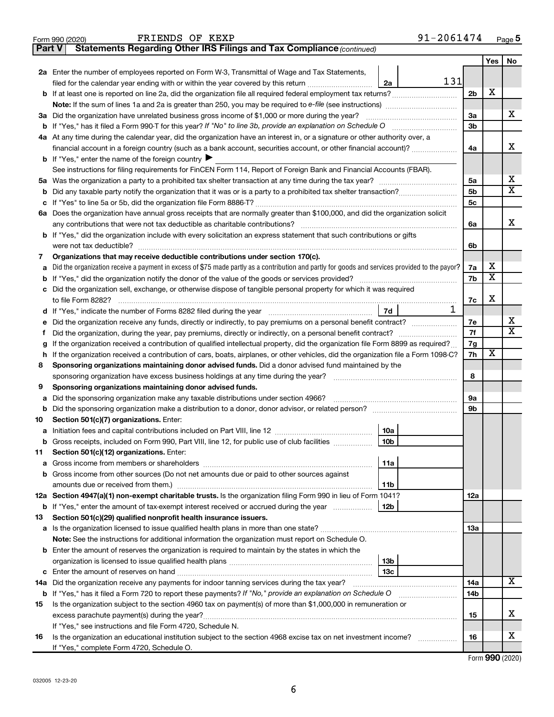| <b>Part V</b> | <b>Statements Regarding Other IRS Filings and Tax Compliance (continued)</b>                                                                    |                |                         |    |
|---------------|-------------------------------------------------------------------------------------------------------------------------------------------------|----------------|-------------------------|----|
|               |                                                                                                                                                 |                | Yes                     | No |
|               | 2a Enter the number of employees reported on Form W-3, Transmittal of Wage and Tax Statements,                                                  |                |                         |    |
|               | 131<br>filed for the calendar year ending with or within the year covered by this return<br>2a                                                  |                |                         |    |
|               | b If at least one is reported on line 2a, did the organization file all required federal employment tax returns?                                | 2 <sub>b</sub> | X                       |    |
|               | Note: If the sum of lines 1a and 2a is greater than 250, you may be required to e-file (see instructions) <i>managereroum</i>                   |                |                         |    |
| За            | Did the organization have unrelated business gross income of \$1,000 or more during the year?                                                   | 3a             |                         | x  |
| b             |                                                                                                                                                 | 3b             |                         |    |
| 4a            | At any time during the calendar year, did the organization have an interest in, or a signature or other authority over, a                       |                |                         |    |
|               | financial account in a foreign country (such as a bank account, securities account, or other financial account)?                                | 4a             |                         | x  |
|               | <b>b</b> If "Yes," enter the name of the foreign country                                                                                        |                |                         |    |
|               | See instructions for filing requirements for FinCEN Form 114, Report of Foreign Bank and Financial Accounts (FBAR).                             |                |                         |    |
| 5a            |                                                                                                                                                 | 5a             |                         | х  |
| b             |                                                                                                                                                 | 5b             |                         | X  |
| с             |                                                                                                                                                 | 5c             |                         |    |
| 6а            | Does the organization have annual gross receipts that are normally greater than \$100,000, and did the organization solicit                     |                |                         |    |
|               |                                                                                                                                                 | 6a             |                         | х  |
|               | <b>b</b> If "Yes," did the organization include with every solicitation an express statement that such contributions or gifts                   |                |                         |    |
|               |                                                                                                                                                 | 6b             |                         |    |
| 7             | Organizations that may receive deductible contributions under section 170(c).                                                                   |                |                         |    |
| а             | Did the organization receive a payment in excess of \$75 made partly as a contribution and partly for goods and services provided to the payor? | 7a             | x                       |    |
| b             |                                                                                                                                                 | 7b             | $\overline{\mathbf{X}}$ |    |
|               | Did the organization sell, exchange, or otherwise dispose of tangible personal property for which it was required                               |                |                         |    |
|               |                                                                                                                                                 | 7c             | X                       |    |
|               | 1<br>7d                                                                                                                                         |                |                         |    |
| е             |                                                                                                                                                 | 7e             |                         | х  |
|               |                                                                                                                                                 | 7f             |                         | X  |
| g             | If the organization received a contribution of qualified intellectual property, did the organization file Form 8899 as required?                | 7g             |                         |    |
| h             | If the organization received a contribution of cars, boats, airplanes, or other vehicles, did the organization file a Form 1098-C?              | 7h             | x                       |    |
| 8             | Sponsoring organizations maintaining donor advised funds. Did a donor advised fund maintained by the                                            |                |                         |    |
|               |                                                                                                                                                 | 8              |                         |    |
| 9             | Sponsoring organizations maintaining donor advised funds.                                                                                       |                |                         |    |
| а             | Did the sponsoring organization make any taxable distributions under section 4966?                                                              | 9а             |                         |    |
| b             | Section 501(c)(7) organizations. Enter:                                                                                                         | 9b             |                         |    |
| 10            | 10a                                                                                                                                             |                |                         |    |
| а             | b Gross receipts, included on Form 990, Part VIII, line 12, for public use of club facilities<br>10 <sub>b</sub>                                |                |                         |    |
| 11            | Section 501(c)(12) organizations. Enter:                                                                                                        |                |                         |    |
| а             | 11a                                                                                                                                             |                |                         |    |
| b             | Gross income from other sources (Do not net amounts due or paid to other sources against                                                        |                |                         |    |
|               | 11b                                                                                                                                             |                |                         |    |
|               | 12a Section 4947(a)(1) non-exempt charitable trusts. Is the organization filing Form 990 in lieu of Form 1041?                                  | 12a            |                         |    |
|               | 12b<br><b>b</b> If "Yes," enter the amount of tax-exempt interest received or accrued during the year                                           |                |                         |    |
| 13            | Section 501(c)(29) qualified nonprofit health insurance issuers.                                                                                |                |                         |    |
| а             | Is the organization licensed to issue qualified health plans in more than one state?                                                            | 13a            |                         |    |
|               | Note: See the instructions for additional information the organization must report on Schedule O.                                               |                |                         |    |
|               | <b>b</b> Enter the amount of reserves the organization is required to maintain by the states in which the                                       |                |                         |    |
|               | 13 <sub>b</sub>                                                                                                                                 |                |                         |    |
| c             | 13с                                                                                                                                             |                |                         |    |
| 14a           | Did the organization receive any payments for indoor tanning services during the tax year?                                                      | 14a            |                         | x  |
|               | <b>b</b> If "Yes," has it filed a Form 720 to report these payments? If "No," provide an explanation on Schedule O                              | 14b            |                         |    |
| 15            | Is the organization subject to the section 4960 tax on payment(s) of more than \$1,000,000 in remuneration or                                   |                |                         |    |
|               | excess parachute payment(s) during the year?                                                                                                    | 15             |                         | x. |
|               | If "Yes," see instructions and file Form 4720, Schedule N.                                                                                      |                |                         |    |
| 16            | Is the organization an educational institution subject to the section 4968 excise tax on net investment income?                                 | 16             |                         | х  |
|               | If "Yes," complete Form 4720, Schedule O.                                                                                                       |                |                         |    |

Form 990 (2020) FRIENDS OF KEXP  $91-2061474$  Page

Form (2020) **990**

91-2061474 Page 5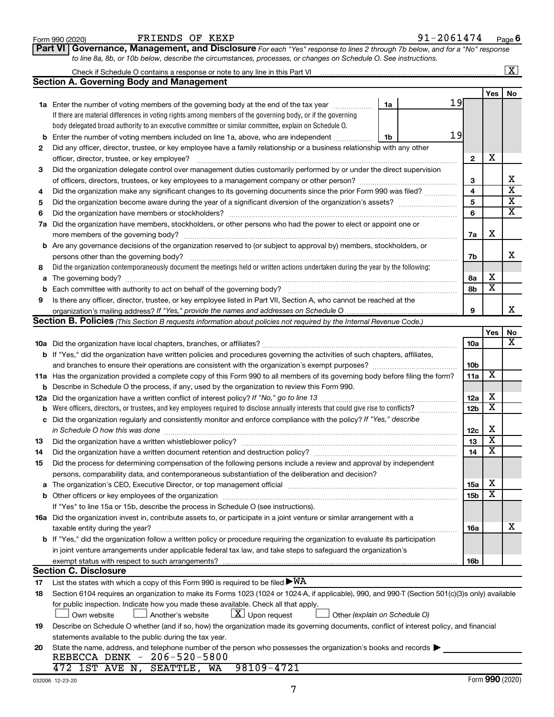|        | to line 8a, 8b, or 10b below, describe the circumstances, processes, or changes on Schedule O. See instructions.                                                                                                                          |                 |                         |                         |
|--------|-------------------------------------------------------------------------------------------------------------------------------------------------------------------------------------------------------------------------------------------|-----------------|-------------------------|-------------------------|
|        |                                                                                                                                                                                                                                           |                 |                         | $\overline{\mathbf{X}}$ |
|        | <b>Section A. Governing Body and Management</b>                                                                                                                                                                                           |                 |                         |                         |
|        |                                                                                                                                                                                                                                           |                 | Yes                     | No                      |
|        | 19<br>1a<br>1a Enter the number of voting members of the governing body at the end of the tax year                                                                                                                                        |                 |                         |                         |
|        | If there are material differences in voting rights among members of the governing body, or if the governing                                                                                                                               |                 |                         |                         |
|        | body delegated broad authority to an executive committee or similar committee, explain on Schedule O.                                                                                                                                     |                 |                         |                         |
|        | 19<br><b>b</b> Enter the number of voting members included on line 1a, above, who are independent<br>1b                                                                                                                                   |                 |                         |                         |
| 2      | Did any officer, director, trustee, or key employee have a family relationship or a business relationship with any other                                                                                                                  |                 |                         |                         |
|        |                                                                                                                                                                                                                                           | 2               | х                       |                         |
| 3      | Did the organization delegate control over management duties customarily performed by or under the direct supervision                                                                                                                     |                 |                         |                         |
|        |                                                                                                                                                                                                                                           | 3               |                         | х                       |
| 4      | Did the organization make any significant changes to its governing documents since the prior Form 990 was filed?                                                                                                                          | $\overline{4}$  |                         | $\overline{\mathbf{x}}$ |
|        |                                                                                                                                                                                                                                           | 5               |                         | $\overline{\mathbf{x}}$ |
| 5<br>6 |                                                                                                                                                                                                                                           | 6               |                         | $\overline{\mathbf{x}}$ |
|        | 7a Did the organization have members, stockholders, or other persons who had the power to elect or appoint one or                                                                                                                         |                 |                         |                         |
|        |                                                                                                                                                                                                                                           | 7a              | х                       |                         |
|        | <b>b</b> Are any governance decisions of the organization reserved to (or subject to approval by) members, stockholders, or                                                                                                               |                 |                         |                         |
|        |                                                                                                                                                                                                                                           |                 |                         | х                       |
|        | persons other than the governing body?<br>Did the organization contemporaneously document the meetings held or written actions undertaken during the year by the following:                                                               | 7b              |                         |                         |
| 8      |                                                                                                                                                                                                                                           |                 | х                       |                         |
|        |                                                                                                                                                                                                                                           | 8a<br>8b        | $\overline{\textbf{x}}$ |                         |
| b      |                                                                                                                                                                                                                                           |                 |                         |                         |
| 9      | Is there any officer, director, trustee, or key employee listed in Part VII, Section A, who cannot be reached at the                                                                                                                      | 9               |                         | х                       |
|        | <b>Section B. Policies</b> (This Section B requests information about policies not required by the Internal Revenue Code.)                                                                                                                |                 |                         |                         |
|        |                                                                                                                                                                                                                                           |                 | Yes                     | No                      |
|        |                                                                                                                                                                                                                                           | 10a             |                         | х                       |
|        |                                                                                                                                                                                                                                           |                 |                         |                         |
|        | <b>b</b> If "Yes," did the organization have written policies and procedures governing the activities of such chapters, affiliates,                                                                                                       | 10 <sub>b</sub> |                         |                         |
|        |                                                                                                                                                                                                                                           | 11a             | х                       |                         |
|        | 11a Has the organization provided a complete copy of this Form 990 to all members of its governing body before filing the form?<br><b>b</b> Describe in Schedule O the process, if any, used by the organization to review this Form 990. |                 |                         |                         |
|        |                                                                                                                                                                                                                                           | 12a             | х                       |                         |
|        | <b>b</b> Were officers, directors, or trustees, and key employees required to disclose annually interests that could give rise to conflicts?                                                                                              | 12 <sub>b</sub> | $\overline{\texttt{x}}$ |                         |
|        | c Did the organization regularly and consistently monitor and enforce compliance with the policy? If "Yes," describe                                                                                                                      |                 |                         |                         |
|        |                                                                                                                                                                                                                                           | 12c             | х                       |                         |
| 13     | in Schedule O how this was done measurement and the state of the state of the state of the state of the state o                                                                                                                           | 13              | $\overline{\text{X}}$   |                         |
| 14     |                                                                                                                                                                                                                                           | 14              | $\overline{\text{X}}$   |                         |
|        | Did the process for determining compensation of the following persons include a review and approval by independent                                                                                                                        |                 |                         |                         |
| 15     | persons, comparability data, and contemporaneous substantiation of the deliberation and decision?                                                                                                                                         |                 |                         |                         |
| a      |                                                                                                                                                                                                                                           | <b>15a</b>      | х                       |                         |
|        |                                                                                                                                                                                                                                           | 15 <sub>b</sub> | $\overline{\texttt{x}}$ |                         |
|        | If "Yes" to line 15a or 15b, describe the process in Schedule O (see instructions).                                                                                                                                                       |                 |                         |                         |
|        | 16a Did the organization invest in, contribute assets to, or participate in a joint venture or similar arrangement with a                                                                                                                 |                 |                         |                         |
|        | taxable entity during the year?                                                                                                                                                                                                           | 16a             |                         | х                       |
|        | <b>b</b> If "Yes," did the organization follow a written policy or procedure requiring the organization to evaluate its participation                                                                                                     |                 |                         |                         |
|        | in joint venture arrangements under applicable federal tax law, and take steps to safeguard the organization's                                                                                                                            |                 |                         |                         |
|        | exempt status with respect to such arrangements?                                                                                                                                                                                          | 16b             |                         |                         |
|        | <b>Section C. Disclosure</b>                                                                                                                                                                                                              |                 |                         |                         |
| 17     | List the states with which a copy of this Form 990 is required to be filed $\blacktriangleright\texttt{WA}$                                                                                                                               |                 |                         |                         |
| 18     | Section 6104 requires an organization to make its Forms 1023 (1024 or 1024-A, if applicable), 990, and 990-T (Section 501(c)(3)s only) available                                                                                          |                 |                         |                         |
|        | for public inspection. Indicate how you made these available. Check all that apply.                                                                                                                                                       |                 |                         |                         |
|        | $ \mathbf{X} $ Upon request<br>Own website<br>Another's website<br>Other (explain on Schedule O)                                                                                                                                          |                 |                         |                         |
| 19     | Describe on Schedule O whether (and if so, how) the organization made its governing documents, conflict of interest policy, and financial                                                                                                 |                 |                         |                         |
|        | statements available to the public during the tax year.                                                                                                                                                                                   |                 |                         |                         |
| 20     | State the name, address, and telephone number of the person who possesses the organization's books and records                                                                                                                            |                 |                         |                         |
|        | REBECCA DENK - 206-520-5800                                                                                                                                                                                                               |                 |                         |                         |
|        | 98109-4721<br>472 1ST AVE N, SEATTLE, WA                                                                                                                                                                                                  |                 |                         |                         |
|        |                                                                                                                                                                                                                                           |                 |                         |                         |

**Part VI** Governance, Management, and Disclosure For each "Yes" response to lines 2 through 7b below, and for a "No" response

Form 990 (2020) FRIENDS OF KEXP  $91-2061474$  Page

**6**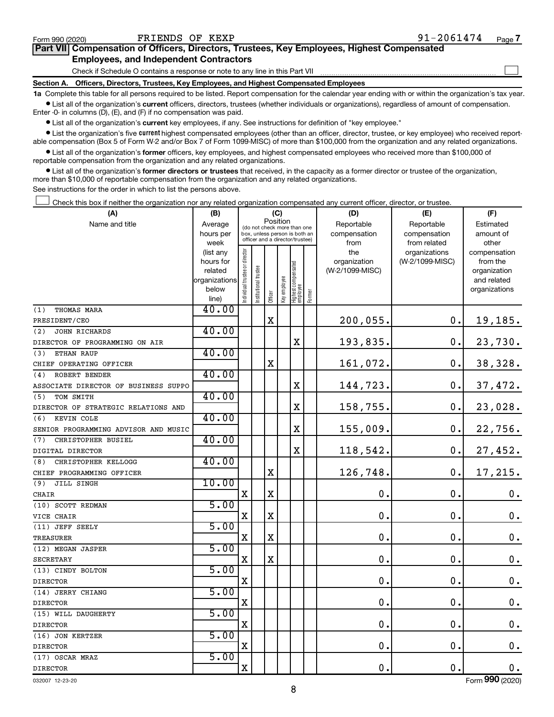$\Box$ 

| Part VII Compensation of Officers, Directors, Trustees, Key Employees, Highest Compensated |  |  |
|--------------------------------------------------------------------------------------------|--|--|
| <b>Employees, and Independent Contractors</b>                                              |  |  |

Check if Schedule O contains a response or note to any line in this Part VII

**Section A. Officers, Directors, Trustees, Key Employees, and Highest Compensated Employees**

**1a**  Complete this table for all persons required to be listed. Report compensation for the calendar year ending with or within the organization's tax year.  $\bullet$  List all of the organization's current officers, directors, trustees (whether individuals or organizations), regardless of amount of compensation.

Enter -0- in columns (D), (E), and (F) if no compensation was paid.

**•** List all of the organization's current key employees, if any. See instructions for definition of "key employee."

• List the organization's five *current* highest compensated employees (other than an officer, director, trustee, or key employee) who received reportable compensation (Box 5 of Form W-2 and/or Box 7 of Form 1099-MISC) of more than \$100,000 from the organization and any related organizations.

 $\bullet$  List all of the organization's former officers, key employees, and highest compensated employees who received more than \$100,000 of reportable compensation from the organization and any related organizations.

**•** List all of the organization's former directors or trustees that received, in the capacity as a former director or trustee of the organization, more than \$10,000 of reportable compensation from the organization and any related organizations.

See instructions for the order in which to list the persons above.

Check this box if neither the organization nor any related organization compensated any current officer, director, or trustee.  $\Box$ 

| (A)                                  | (B)               |                                |                                                                  | (C)         |              |                                   |           | (D)             | (E)                           | (F)                   |
|--------------------------------------|-------------------|--------------------------------|------------------------------------------------------------------|-------------|--------------|-----------------------------------|-----------|-----------------|-------------------------------|-----------------------|
| Name and title                       | Average           |                                | (do not check more than one                                      |             | Position     |                                   |           | Reportable      | Reportable                    | Estimated             |
|                                      | hours per         |                                | box, unless person is both an<br>officer and a director/trustee) |             | compensation | compensation                      | amount of |                 |                               |                       |
|                                      | week<br>(list any |                                |                                                                  |             |              |                                   |           | from<br>the     | from related<br>organizations | other<br>compensation |
|                                      | hours for         |                                |                                                                  |             |              |                                   |           | organization    | (W-2/1099-MISC)               | from the              |
|                                      | related           |                                |                                                                  |             |              |                                   |           | (W-2/1099-MISC) |                               | organization          |
|                                      | organizations     |                                |                                                                  |             |              |                                   |           |                 |                               | and related           |
|                                      | below             | Individual trustee or director | Institutional trustee                                            |             | Key employee | Highest compensated<br>  employee | Former    |                 |                               | organizations         |
|                                      | line)             |                                |                                                                  | Officer     |              |                                   |           |                 |                               |                       |
| THOMAS MARA<br>(1)                   | 40.00             |                                |                                                                  |             |              |                                   |           |                 |                               |                       |
| PRESIDENT/CEO                        |                   |                                |                                                                  | X           |              |                                   |           | 200,055.        | 0.                            | 19,185.               |
| (2)<br><b>JOHN RICHARDS</b>          | 40.00             |                                |                                                                  |             |              |                                   |           |                 |                               |                       |
| DIRECTOR OF PROGRAMMING ON AIR       |                   |                                |                                                                  |             |              | X                                 |           | 193,835.        | О.                            | 23,730.               |
| (3)<br>ETHAN RAUP                    | 40.00             |                                |                                                                  |             |              |                                   |           |                 |                               |                       |
| CHIEF OPERATING OFFICER              |                   |                                |                                                                  | X           |              |                                   |           | 161,072.        | $\mathbf 0$ .                 | 38,328.               |
| (4)<br>ROBERT BENDER                 | 40.00             |                                |                                                                  |             |              |                                   |           |                 |                               |                       |
| ASSOCIATE DIRECTOR OF BUSINESS SUPPO |                   |                                |                                                                  |             |              | X                                 |           | 144,723.        | 0.                            | 37,472.               |
| TOM SMITH<br>(5)                     | 40.00             |                                |                                                                  |             |              |                                   |           |                 |                               |                       |
| DIRECTOR OF STRATEGIC RELATIONS AND  |                   |                                |                                                                  |             |              | X                                 |           | 158,755.        | $\mathbf 0$ .                 | 23,028.               |
| (6)<br>KEVIN COLE                    | 40.00             |                                |                                                                  |             |              |                                   |           |                 |                               |                       |
| SENIOR PROGRAMMING ADVISOR AND MUSIC |                   |                                |                                                                  |             |              | X                                 |           | 155,009.        | $\mathbf 0$ .                 | 22,756.               |
| CHRISTOPHER BUSIEL<br>(7)            | 40.00             |                                |                                                                  |             |              |                                   |           |                 |                               |                       |
| DIGITAL DIRECTOR                     |                   |                                |                                                                  |             |              | X                                 |           | 118,542.        | $\mathbf 0$ .                 | 27,452.               |
| CHRISTOPHER KELLOGG<br>(8)           | 40.00             |                                |                                                                  |             |              |                                   |           |                 |                               |                       |
| CHIEF PROGRAMMING OFFICER            |                   |                                |                                                                  | X           |              |                                   |           | 126,748.        | $\mathbf 0$ .                 | 17,215.               |
| (9)<br>JILL SINGH                    | 10.00             |                                |                                                                  |             |              |                                   |           |                 |                               |                       |
| <b>CHAIR</b>                         |                   | X                              |                                                                  | $\mathbf X$ |              |                                   |           | $\mathbf 0$     | $\mathbf 0$ .                 | 0.                    |
| (10) SCOTT REDMAN                    | 5.00              |                                |                                                                  |             |              |                                   |           |                 |                               |                       |
| VICE CHAIR                           |                   | $\mathbf X$                    |                                                                  | X           |              |                                   |           | $\mathbf 0$     | $\mathbf 0$ .                 | $\mathbf 0$ .         |
| (11) JEFF SEELY                      | 5.00              |                                |                                                                  |             |              |                                   |           |                 |                               |                       |
| <b>TREASURER</b>                     |                   | $\mathbf X$                    |                                                                  | $\rm X$     |              |                                   |           | $\mathbf 0$     | $\mathbf 0$ .                 | $\mathbf 0$ .         |
| (12) MEGAN JASPER                    | 5.00              |                                |                                                                  |             |              |                                   |           |                 |                               |                       |
| <b>SECRETARY</b>                     |                   | $\mathbf X$                    |                                                                  | $\mathbf X$ |              |                                   |           | $\mathbf 0$     | $\mathbf 0$ .                 | 0.                    |
| (13) CINDY BOLTON                    | 5.00              |                                |                                                                  |             |              |                                   |           |                 |                               |                       |
| <b>DIRECTOR</b>                      |                   | $\mathbf X$                    |                                                                  |             |              |                                   |           | $\mathbf 0$     | $\mathbf 0$                   | $\boldsymbol{0}$ .    |
| (14) JERRY CHIANG                    | 5.00              |                                |                                                                  |             |              |                                   |           |                 |                               |                       |
| <b>DIRECTOR</b>                      |                   | $\mathbf X$                    |                                                                  |             |              |                                   |           | $\mathbf 0$     | 0.                            | $\mathbf 0$ .         |
| (15) WILL DAUGHERTY                  | 5.00              |                                |                                                                  |             |              |                                   |           |                 |                               |                       |
| <b>DIRECTOR</b>                      |                   | $\mathbf X$                    |                                                                  |             |              |                                   |           | $\mathbf 0$     | $\mathbf 0$ .                 | $\mathbf 0$ .         |
| (16) JON KERTZER                     | 5.00              |                                |                                                                  |             |              |                                   |           |                 |                               |                       |
| <b>DIRECTOR</b>                      |                   | $\mathbf X$                    |                                                                  |             |              |                                   |           | $\mathbf 0$     | $\mathbf 0$ .                 | 0.                    |
| (17) OSCAR MRAZ                      | 5.00              |                                |                                                                  |             |              |                                   |           |                 |                               |                       |
| <b>DIRECTOR</b>                      |                   | $\mathbf X$                    |                                                                  |             |              |                                   |           | 0.              | $\mathbf 0$ .                 | 0.                    |

032007 12-23-20

Form (2020) **990**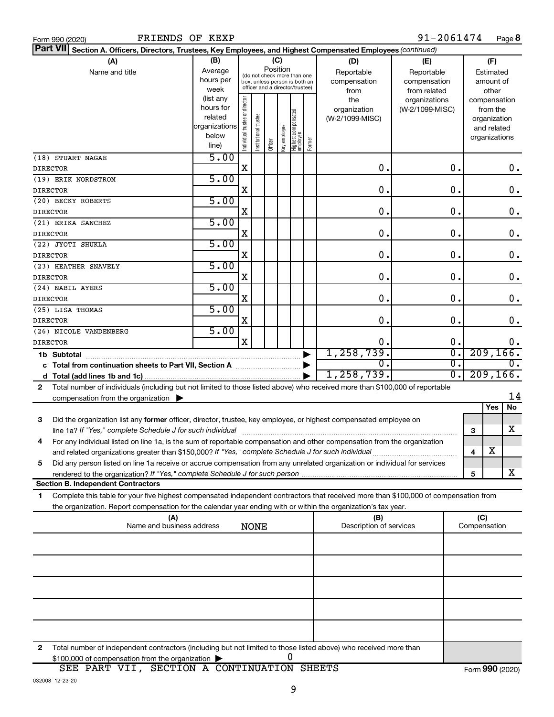|  | Form 990 (2020) |
|--|-----------------|
|  |                 |

| Part VII Section A. Officers, Directors, Trustees, Key Employees, and Highest Compensated Employees (continued)                                                                                                                      |                          |                                |                                                              |         |              |                                   |        |                         |                 |                        |           |               |               |
|--------------------------------------------------------------------------------------------------------------------------------------------------------------------------------------------------------------------------------------|--------------------------|--------------------------------|--------------------------------------------------------------|---------|--------------|-----------------------------------|--------|-------------------------|-----------------|------------------------|-----------|---------------|---------------|
| (A)                                                                                                                                                                                                                                  | (B)                      |                                |                                                              |         | (C)          |                                   |        | (D)                     | (E)             |                        |           | (F)           |               |
| Name and title                                                                                                                                                                                                                       | Average                  |                                |                                                              |         | Position     |                                   |        | Reportable              | Reportable      |                        |           | Estimated     |               |
|                                                                                                                                                                                                                                      | hours per                |                                | (do not check more than one<br>box, unless person is both an |         |              |                                   |        | compensation            | compensation    |                        |           | amount of     |               |
|                                                                                                                                                                                                                                      | week                     |                                | officer and a director/trustee)                              |         |              |                                   |        | from                    | from related    |                        |           | other         |               |
|                                                                                                                                                                                                                                      | (list any                |                                |                                                              |         |              |                                   |        | the                     | organizations   |                        |           | compensation  |               |
|                                                                                                                                                                                                                                      | hours for                |                                |                                                              |         |              |                                   |        | organization            | (W-2/1099-MISC) |                        |           | from the      |               |
|                                                                                                                                                                                                                                      | related<br>organizations |                                |                                                              |         |              |                                   |        | (W-2/1099-MISC)         |                 |                        |           | organization  |               |
|                                                                                                                                                                                                                                      | below                    |                                |                                                              |         |              |                                   |        |                         |                 |                        |           | and related   |               |
|                                                                                                                                                                                                                                      | line)                    | Individual trustee or director | Institutional trustee                                        | Officer | Key employee | Highest compensated<br>  employee | Former |                         |                 |                        |           | organizations |               |
| (18) STUART NAGAE                                                                                                                                                                                                                    | 5.00                     |                                |                                                              |         |              |                                   |        |                         |                 |                        |           |               |               |
| <b>DIRECTOR</b>                                                                                                                                                                                                                      |                          | X                              |                                                              |         |              |                                   |        | 0.                      |                 | 0.                     |           |               | 0.            |
| (19) ERIK NORDSTROM                                                                                                                                                                                                                  | 5.00                     |                                |                                                              |         |              |                                   |        |                         |                 |                        |           |               |               |
| <b>DIRECTOR</b>                                                                                                                                                                                                                      |                          | X                              |                                                              |         |              |                                   |        | $\mathbf 0$ .           |                 | $\mathbf 0$ .          |           |               | $\mathbf 0$ . |
| (20) BECKY ROBERTS                                                                                                                                                                                                                   | 5.00                     |                                |                                                              |         |              |                                   |        |                         |                 |                        |           |               |               |
| <b>DIRECTOR</b>                                                                                                                                                                                                                      |                          | X                              |                                                              |         |              |                                   |        | $\mathbf 0$ .           |                 | $\mathbf 0$ .          |           |               | $\mathbf 0$ . |
| (21) ERIKA SANCHEZ                                                                                                                                                                                                                   | 5.00                     |                                |                                                              |         |              |                                   |        |                         |                 |                        |           |               |               |
| <b>DIRECTOR</b>                                                                                                                                                                                                                      |                          | X                              |                                                              |         |              |                                   |        | $\mathbf 0$ .           |                 | $\mathbf 0$ .          |           |               | $\mathbf 0$ . |
| (22) JYOTI SHUKLA                                                                                                                                                                                                                    | 5.00                     |                                |                                                              |         |              |                                   |        |                         |                 |                        |           |               |               |
| <b>DIRECTOR</b>                                                                                                                                                                                                                      |                          | X                              |                                                              |         |              |                                   |        | $\mathbf 0$ .           |                 | $\mathbf 0$ .          |           |               | $\mathbf 0$ . |
| (23) HEATHER SNAVELY                                                                                                                                                                                                                 | 5.00                     |                                |                                                              |         |              |                                   |        |                         |                 |                        |           |               |               |
| <b>DIRECTOR</b>                                                                                                                                                                                                                      |                          | X                              |                                                              |         |              |                                   |        | $\mathbf 0$ .           |                 | $\mathbf 0$ .          |           |               | $\mathbf 0$ . |
| (24) NABIL AYERS                                                                                                                                                                                                                     | 5.00                     |                                |                                                              |         |              |                                   |        |                         |                 |                        |           |               |               |
| <b>DIRECTOR</b>                                                                                                                                                                                                                      |                          | X                              |                                                              |         |              |                                   |        | $\mathbf 0$ .           |                 | $\mathbf 0$ .          |           |               | $\mathbf 0$ . |
| (25) LISA THOMAS                                                                                                                                                                                                                     | 5.00                     |                                |                                                              |         |              |                                   |        |                         |                 |                        |           |               |               |
| <b>DIRECTOR</b>                                                                                                                                                                                                                      |                          | X                              |                                                              |         |              |                                   |        | $\mathbf 0$ .           |                 | 0.                     |           |               | $0$ .         |
| (26) NICOLE VANDENBERG                                                                                                                                                                                                               | 5.00                     |                                |                                                              |         |              |                                   |        |                         |                 |                        |           |               |               |
| <b>DIRECTOR</b>                                                                                                                                                                                                                      |                          | $\mathbf X$                    |                                                              |         |              |                                   |        | 0.                      |                 | 0.                     |           |               | 0.            |
|                                                                                                                                                                                                                                      |                          |                                |                                                              |         |              |                                   |        | 1, 258, 739.            |                 | σ.                     |           | 209, 166.     |               |
|                                                                                                                                                                                                                                      |                          |                                |                                                              |         |              |                                   |        | $\Omega$ .              |                 | $\overline{0}$ .<br>О. |           |               |               |
|                                                                                                                                                                                                                                      |                          |                                |                                                              |         |              |                                   |        | 1, 258, 739.            |                 | σ.                     | 209, 166. |               |               |
| Total number of individuals (including but not limited to those listed above) who received more than \$100,000 of reportable<br>2                                                                                                    |                          |                                |                                                              |         |              |                                   |        |                         |                 |                        |           |               |               |
| compensation from the organization $\blacktriangleright$                                                                                                                                                                             |                          |                                |                                                              |         |              |                                   |        |                         |                 |                        |           |               | 14            |
|                                                                                                                                                                                                                                      |                          |                                |                                                              |         |              |                                   |        |                         |                 |                        |           | Yes           | No            |
| Did the organization list any former officer, director, trustee, key employee, or highest compensated employee on<br>3                                                                                                               |                          |                                |                                                              |         |              |                                   |        |                         |                 |                        |           |               | x             |
| line 1a? If "Yes," complete Schedule J for such individual                                                                                                                                                                           |                          |                                |                                                              |         |              |                                   |        |                         |                 |                        | 3         |               |               |
| For any individual listed on line 1a, is the sum of reportable compensation and other compensation from the organization<br>4<br>and related organizations greater than \$150,000? If "Yes," complete Schedule J for such individual |                          |                                |                                                              |         |              |                                   |        |                         |                 |                        |           | $\mathbf X$   |               |
|                                                                                                                                                                                                                                      |                          |                                |                                                              |         |              |                                   |        |                         |                 |                        | 4         |               |               |
| Did any person listed on line 1a receive or accrue compensation from any unrelated organization or individual for services<br>5                                                                                                      |                          |                                |                                                              |         |              |                                   |        |                         |                 |                        | 5         |               | x             |
| <b>Section B. Independent Contractors</b>                                                                                                                                                                                            |                          |                                |                                                              |         |              |                                   |        |                         |                 |                        |           |               |               |
| Complete this table for your five highest compensated independent contractors that received more than \$100,000 of compensation from<br>1                                                                                            |                          |                                |                                                              |         |              |                                   |        |                         |                 |                        |           |               |               |
| the organization. Report compensation for the calendar year ending with or within the organization's tax year.                                                                                                                       |                          |                                |                                                              |         |              |                                   |        |                         |                 |                        |           |               |               |
| (A)                                                                                                                                                                                                                                  |                          |                                |                                                              |         |              |                                   |        | (B)                     |                 |                        | (C)       |               |               |
| Name and business address                                                                                                                                                                                                            |                          |                                | <b>NONE</b>                                                  |         |              |                                   |        | Description of services |                 |                        |           | Compensation  |               |
|                                                                                                                                                                                                                                      |                          |                                |                                                              |         |              |                                   |        |                         |                 |                        |           |               |               |
|                                                                                                                                                                                                                                      |                          |                                |                                                              |         |              |                                   |        |                         |                 |                        |           |               |               |
|                                                                                                                                                                                                                                      |                          |                                |                                                              |         |              |                                   |        |                         |                 |                        |           |               |               |
|                                                                                                                                                                                                                                      |                          |                                |                                                              |         |              |                                   |        |                         |                 |                        |           |               |               |
|                                                                                                                                                                                                                                      |                          |                                |                                                              |         |              |                                   |        |                         |                 |                        |           |               |               |
|                                                                                                                                                                                                                                      |                          |                                |                                                              |         |              |                                   |        |                         |                 |                        |           |               |               |
|                                                                                                                                                                                                                                      |                          |                                |                                                              |         |              |                                   |        |                         |                 |                        |           |               |               |
|                                                                                                                                                                                                                                      |                          |                                |                                                              |         |              |                                   |        |                         |                 |                        |           |               |               |
|                                                                                                                                                                                                                                      |                          |                                |                                                              |         |              |                                   |        |                         |                 |                        |           |               |               |
| Total number of independent contractors (including but not limited to those listed above) who received more than<br>2<br>\$100,000 of compensation from the organization                                                             |                          |                                |                                                              |         |              | 0                                 |        |                         |                 |                        |           |               |               |

| $$100,000$ of compensation from the organization $\blacktriangleright$ |  |
|------------------------------------------------------------------------|--|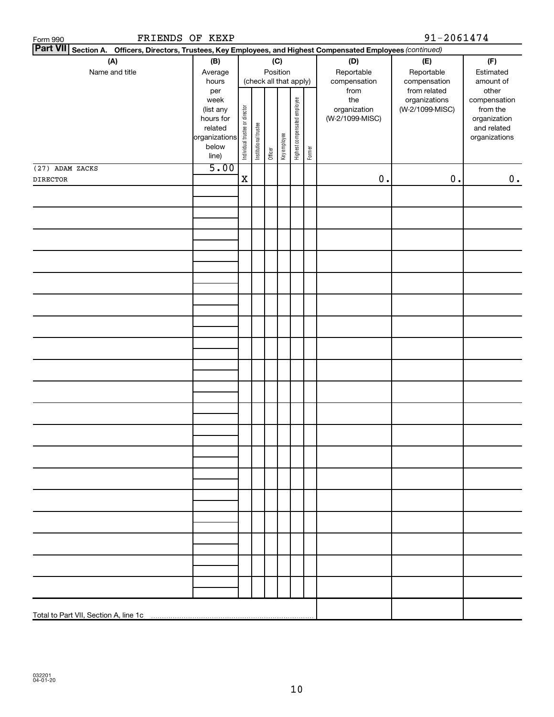| FRIENDS OF KEXP<br>Form 990                                                                                     |               |                                |                       |         |                        |                              |        |                 | 91-2061474      |               |
|-----------------------------------------------------------------------------------------------------------------|---------------|--------------------------------|-----------------------|---------|------------------------|------------------------------|--------|-----------------|-----------------|---------------|
| Part VII Section A. Officers, Directors, Trustees, Key Employees, and Highest Compensated Employees (continued) |               |                                |                       |         |                        |                              |        |                 |                 |               |
| (A)                                                                                                             | (B)           |                                |                       |         | (C)                    |                              |        | (D)             | (E)             | (F)           |
| Name and title                                                                                                  | Average       |                                |                       |         | Position               |                              |        | Reportable      | Reportable      | Estimated     |
|                                                                                                                 | hours         |                                |                       |         | (check all that apply) |                              |        | compensation    | compensation    | amount of     |
|                                                                                                                 | per           |                                |                       |         |                        |                              |        | from            | from related    | other         |
|                                                                                                                 | week          |                                |                       |         |                        |                              |        | the             | organizations   | compensation  |
|                                                                                                                 | (list any     |                                |                       |         |                        |                              |        | organization    | (W-2/1099-MISC) | from the      |
|                                                                                                                 | hours for     |                                |                       |         |                        |                              |        | (W-2/1099-MISC) |                 | organization  |
|                                                                                                                 | related       |                                |                       |         |                        |                              |        |                 |                 | and related   |
|                                                                                                                 | organizations | Individual trustee or director | Institutional trustee |         | Key employee           | Highest compensated employee |        |                 |                 | organizations |
|                                                                                                                 | below         |                                |                       | Officer |                        |                              | Former |                 |                 |               |
|                                                                                                                 | line)         |                                |                       |         |                        |                              |        |                 |                 |               |
| (27) ADAM ZACKS                                                                                                 | 5.00          |                                |                       |         |                        |                              |        |                 |                 |               |
| <b>DIRECTOR</b>                                                                                                 |               | $\mathbf X$                    |                       |         |                        |                              |        | $0$ .           | $0$ .           | 0.            |
|                                                                                                                 |               |                                |                       |         |                        |                              |        |                 |                 |               |
|                                                                                                                 |               |                                |                       |         |                        |                              |        |                 |                 |               |
|                                                                                                                 |               |                                |                       |         |                        |                              |        |                 |                 |               |
|                                                                                                                 |               |                                |                       |         |                        |                              |        |                 |                 |               |
|                                                                                                                 |               |                                |                       |         |                        |                              |        |                 |                 |               |
|                                                                                                                 |               |                                |                       |         |                        |                              |        |                 |                 |               |
|                                                                                                                 |               |                                |                       |         |                        |                              |        |                 |                 |               |
|                                                                                                                 |               |                                |                       |         |                        |                              |        |                 |                 |               |
|                                                                                                                 |               |                                |                       |         |                        |                              |        |                 |                 |               |
|                                                                                                                 |               |                                |                       |         |                        |                              |        |                 |                 |               |
|                                                                                                                 |               |                                |                       |         |                        |                              |        |                 |                 |               |
|                                                                                                                 |               |                                |                       |         |                        |                              |        |                 |                 |               |
|                                                                                                                 |               |                                |                       |         |                        |                              |        |                 |                 |               |
|                                                                                                                 |               |                                |                       |         |                        |                              |        |                 |                 |               |
|                                                                                                                 |               |                                |                       |         |                        |                              |        |                 |                 |               |
|                                                                                                                 |               |                                |                       |         |                        |                              |        |                 |                 |               |
|                                                                                                                 |               |                                |                       |         |                        |                              |        |                 |                 |               |
|                                                                                                                 |               |                                |                       |         |                        |                              |        |                 |                 |               |
|                                                                                                                 |               |                                |                       |         |                        |                              |        |                 |                 |               |
|                                                                                                                 |               |                                |                       |         |                        |                              |        |                 |                 |               |
|                                                                                                                 |               |                                |                       |         |                        |                              |        |                 |                 |               |
|                                                                                                                 |               |                                |                       |         |                        |                              |        |                 |                 |               |
|                                                                                                                 |               |                                |                       |         |                        |                              |        |                 |                 |               |
|                                                                                                                 |               |                                |                       |         |                        |                              |        |                 |                 |               |
|                                                                                                                 |               |                                |                       |         |                        |                              |        |                 |                 |               |
|                                                                                                                 |               |                                |                       |         |                        |                              |        |                 |                 |               |
|                                                                                                                 |               |                                |                       |         |                        |                              |        |                 |                 |               |
|                                                                                                                 |               |                                |                       |         |                        |                              |        |                 |                 |               |
|                                                                                                                 |               |                                |                       |         |                        |                              |        |                 |                 |               |
|                                                                                                                 |               |                                |                       |         |                        |                              |        |                 |                 |               |
|                                                                                                                 |               |                                |                       |         |                        |                              |        |                 |                 |               |
|                                                                                                                 |               |                                |                       |         |                        |                              |        |                 |                 |               |
|                                                                                                                 |               |                                |                       |         |                        |                              |        |                 |                 |               |
|                                                                                                                 |               |                                |                       |         |                        |                              |        |                 |                 |               |
|                                                                                                                 |               |                                |                       |         |                        |                              |        |                 |                 |               |
|                                                                                                                 |               |                                |                       |         |                        |                              |        |                 |                 |               |
|                                                                                                                 |               |                                |                       |         |                        |                              |        |                 |                 |               |
|                                                                                                                 |               |                                |                       |         |                        |                              |        |                 |                 |               |
|                                                                                                                 |               |                                |                       |         |                        |                              |        |                 |                 |               |
|                                                                                                                 |               |                                |                       |         |                        |                              |        |                 |                 |               |
|                                                                                                                 |               |                                |                       |         |                        |                              |        |                 |                 |               |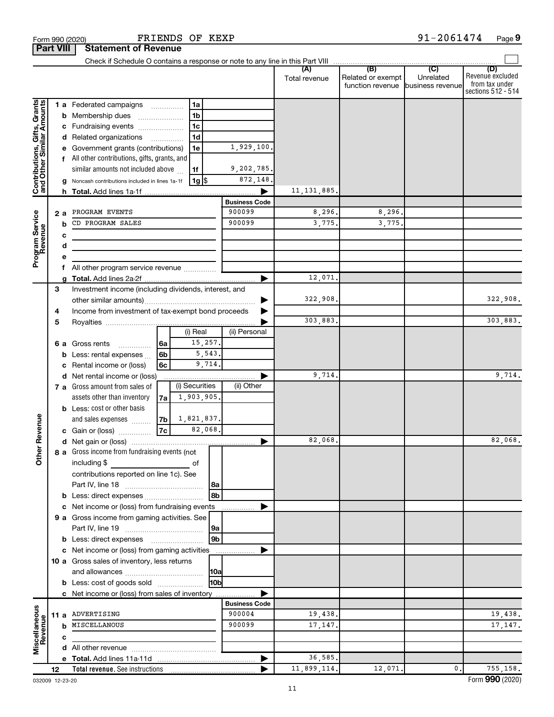|                                                           | <b>Part VIII</b> | Statement of Revenue                                                 |            |                   |                |                      |                      |                          |                                                       |                                                                 |
|-----------------------------------------------------------|------------------|----------------------------------------------------------------------|------------|-------------------|----------------|----------------------|----------------------|--------------------------|-------------------------------------------------------|-----------------------------------------------------------------|
|                                                           |                  |                                                                      |            |                   |                |                      | (A)<br>Total revenue | (B)<br>Related or exempt | (C)<br>Unrelated<br>function revenue business revenue | (D)<br>Revenue excluded<br>from tax under<br>sections 512 - 514 |
|                                                           |                  | 1 a Federated campaigns                                              |            | 1a                |                |                      |                      |                          |                                                       |                                                                 |
|                                                           |                  | <b>b</b> Membership dues                                             |            | 1 <sub>b</sub>    |                |                      |                      |                          |                                                       |                                                                 |
|                                                           |                  | c Fundraising events                                                 |            | 1 <sub>c</sub>    |                |                      |                      |                          |                                                       |                                                                 |
|                                                           |                  | d Related organizations                                              |            | 1 <sub>d</sub>    |                |                      |                      |                          |                                                       |                                                                 |
|                                                           |                  | e Government grants (contributions)                                  |            | 1e                |                | 1,929,100.           |                      |                          |                                                       |                                                                 |
|                                                           |                  | f All other contributions, gifts, grants, and                        |            |                   |                |                      |                      |                          |                                                       |                                                                 |
|                                                           |                  | similar amounts not included above                                   |            | 1f                |                | 9,202,785.           |                      |                          |                                                       |                                                                 |
| Contributions, Gifts, Grants<br>and Other Similar Amounts |                  | g Noncash contributions included in lines 1a-1f                      |            | 1g  \$            |                | 872,148.             |                      |                          |                                                       |                                                                 |
|                                                           |                  |                                                                      |            |                   |                |                      | 11, 131, 885,        |                          |                                                       |                                                                 |
|                                                           |                  |                                                                      |            |                   |                | <b>Business Code</b> |                      |                          |                                                       |                                                                 |
|                                                           |                  | 2 a PROGRAM EVENTS                                                   |            |                   |                | 900099               | 8,296.               | 8, 296.                  |                                                       |                                                                 |
|                                                           | b                | CD PROGRAM SALES                                                     |            |                   |                | 900099               | 3,775.               | 3,775.                   |                                                       |                                                                 |
|                                                           |                  | с<br>the control of the control of the control of the control of     |            |                   |                |                      |                      |                          |                                                       |                                                                 |
|                                                           | d                |                                                                      |            |                   |                |                      |                      |                          |                                                       |                                                                 |
| Program Service<br>Revenue                                | e                |                                                                      |            |                   |                |                      |                      |                          |                                                       |                                                                 |
|                                                           |                  | All other program service revenue                                    |            |                   |                |                      |                      |                          |                                                       |                                                                 |
|                                                           |                  |                                                                      |            |                   |                | ▶                    | 12,071.              |                          |                                                       |                                                                 |
|                                                           | З                | Investment income (including dividends, interest, and                |            |                   |                |                      |                      |                          |                                                       |                                                                 |
|                                                           |                  |                                                                      |            |                   |                | ▶                    | 322,908.             |                          |                                                       | 322,908.                                                        |
|                                                           | 4                | Income from investment of tax-exempt bond proceeds                   |            |                   |                |                      |                      |                          |                                                       |                                                                 |
|                                                           | 5                |                                                                      |            | (i) Real          |                | (ii) Personal        | 303,883.             |                          |                                                       | 303,883.                                                        |
|                                                           |                  |                                                                      |            | 15,257.           |                |                      |                      |                          |                                                       |                                                                 |
|                                                           |                  | 6 a Gross rents                                                      | 6a<br>l 6b |                   | 5,543.         |                      |                      |                          |                                                       |                                                                 |
|                                                           |                  | <b>b</b> Less: rental expenses $\ldots$<br>c Rental income or (loss) | 6c         | 9,714.            |                |                      |                      |                          |                                                       |                                                                 |
|                                                           |                  | d Net rental income or (loss)                                        |            |                   |                |                      | 9,714.               |                          |                                                       | 9,714.                                                          |
|                                                           |                  | 7 a Gross amount from sales of                                       |            | (i) Securities    |                | (ii) Other           |                      |                          |                                                       |                                                                 |
|                                                           |                  | assets other than inventory                                          | 7a         | 1,903,905.        |                |                      |                      |                          |                                                       |                                                                 |
|                                                           |                  | <b>b</b> Less: cost or other basis                                   |            |                   |                |                      |                      |                          |                                                       |                                                                 |
|                                                           |                  | and sales expenses                                                   |            | $ 7b $ 1,821,837. |                |                      |                      |                          |                                                       |                                                                 |
| Revenue                                                   |                  | c Gain or (loss)                                                     | 7c         | 82,068.           |                |                      |                      |                          |                                                       |                                                                 |
|                                                           |                  |                                                                      |            |                   |                | ▶                    | 82,068.              |                          |                                                       | 82,068.                                                         |
| ৯                                                         |                  | <b>8 a</b> Gross income from fundraising events (not                 |            |                   |                |                      |                      |                          |                                                       |                                                                 |
| đ                                                         |                  | $\blacksquare$ including $\$\blacksquare$                            |            | of                |                |                      |                      |                          |                                                       |                                                                 |
|                                                           |                  | contributions reported on line 1c). See                              |            |                   |                |                      |                      |                          |                                                       |                                                                 |
|                                                           |                  |                                                                      |            |                   | 8a             |                      |                      |                          |                                                       |                                                                 |
|                                                           |                  | b Less: direct expenses                                              |            |                   | 8b             |                      |                      |                          |                                                       |                                                                 |
|                                                           |                  | c Net income or (loss) from fundraising events                       |            |                   |                |                      |                      |                          |                                                       |                                                                 |
|                                                           |                  | 9 a Gross income from gaming activities. See                         |            |                   |                |                      |                      |                          |                                                       |                                                                 |
|                                                           |                  |                                                                      |            |                   | 9a             |                      |                      |                          |                                                       |                                                                 |
|                                                           |                  |                                                                      |            |                   | 9 <sub>b</sub> |                      |                      |                          |                                                       |                                                                 |
|                                                           |                  | c Net income or (loss) from gaming activities                        |            |                   |                |                      |                      |                          |                                                       |                                                                 |
|                                                           |                  | 10 a Gross sales of inventory, less returns                          |            |                   |                |                      |                      |                          |                                                       |                                                                 |
|                                                           |                  |                                                                      |            |                   | 10a            |                      |                      |                          |                                                       |                                                                 |
|                                                           |                  | <b>b</b> Less: cost of goods sold                                    |            |                   | 10b            |                      |                      |                          |                                                       |                                                                 |
|                                                           |                  | c Net income or (loss) from sales of inventory                       |            |                   |                |                      |                      |                          |                                                       |                                                                 |
|                                                           |                  |                                                                      |            |                   |                | <b>Business Code</b> |                      |                          |                                                       |                                                                 |
| Miscellaneous<br>Revenue                                  |                  | 11 a ADVERTISING                                                     |            |                   |                | 900004               | 19,438.              |                          |                                                       | 19,438.                                                         |
|                                                           |                  | <b>b</b> MISCELLANOUS                                                |            |                   |                | 900099               | 17,147.              |                          |                                                       | 17, 147.                                                        |
|                                                           | c                |                                                                      |            |                   |                |                      |                      |                          |                                                       |                                                                 |
|                                                           |                  |                                                                      |            |                   |                |                      |                      |                          |                                                       |                                                                 |
|                                                           |                  |                                                                      |            |                   |                |                      | 36,585.              |                          |                                                       |                                                                 |
|                                                           | 12               |                                                                      |            |                   |                |                      | 11,899,114.          | 12,071.                  | $\mathbf{0}$ .                                        | 755,158.                                                        |

Form 990 (2020) Page FRIENDS OF KEXP 91-2061474

**Part 990 (2020)** 

**9**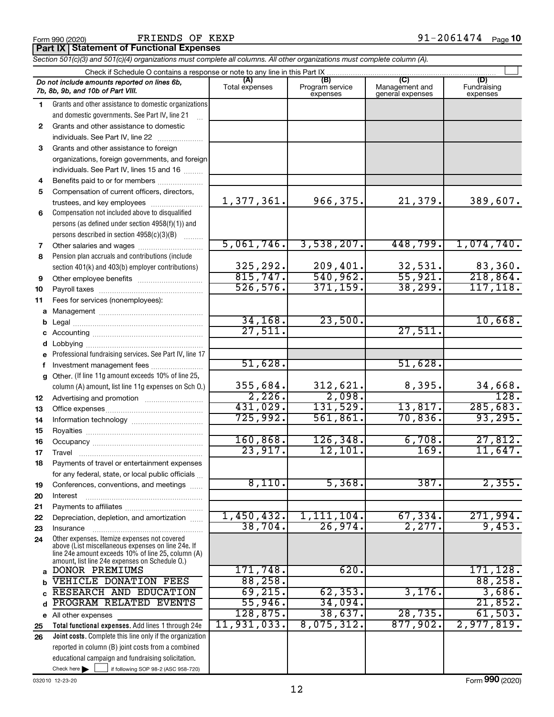FRIENDS OF KEXP

**Part IX Statement of Functional Expenses**

|  | Section 501(c)(3) and 501(c)(4) organizations must complete all columns. All other organizations must complete column (A). |  |  |
|--|----------------------------------------------------------------------------------------------------------------------------|--|--|

|          | Check if Schedule O contains a response or note to any line in this Part IX                        |                       |                                    |                                    |                                |
|----------|----------------------------------------------------------------------------------------------------|-----------------------|------------------------------------|------------------------------------|--------------------------------|
|          | Do not include amounts reported on lines 6b,<br>7b, 8b, 9b, and 10b of Part VIII.                  | (A)<br>Total expenses | (B)<br>Program service<br>expenses | Management and<br>general expenses | (D)<br>Fundraising<br>expenses |
| 1        | Grants and other assistance to domestic organizations                                              |                       |                                    |                                    |                                |
|          | and domestic governments. See Part IV, line 21                                                     |                       |                                    |                                    |                                |
| 2        | Grants and other assistance to domestic                                                            |                       |                                    |                                    |                                |
|          | individuals. See Part IV, line 22                                                                  |                       |                                    |                                    |                                |
| 3        | Grants and other assistance to foreign                                                             |                       |                                    |                                    |                                |
|          | organizations, foreign governments, and foreign                                                    |                       |                                    |                                    |                                |
|          | individuals. See Part IV, lines 15 and 16                                                          |                       |                                    |                                    |                                |
| 4        | Benefits paid to or for members                                                                    |                       |                                    |                                    |                                |
| 5        | Compensation of current officers, directors,                                                       |                       |                                    |                                    |                                |
|          | trustees, and key employees                                                                        | 1,377,361.            | 966,375.                           | 21,379.                            | 389,607.                       |
| 6        | Compensation not included above to disqualified                                                    |                       |                                    |                                    |                                |
|          | persons (as defined under section 4958(f)(1)) and                                                  |                       |                                    |                                    |                                |
|          | persons described in section 4958(c)(3)(B)                                                         |                       |                                    |                                    |                                |
| 7        |                                                                                                    | 5,061,746.            | 3,538,207.                         | 448,799.                           | 1,074,740.                     |
| 8        | Pension plan accruals and contributions (include                                                   |                       |                                    |                                    |                                |
|          | section 401(k) and 403(b) employer contributions)                                                  | 325,292.              | 209,401.                           | 32,531.                            | 83,360.                        |
| 9        |                                                                                                    | 815,747.              | 540,962.                           | 55,921.                            | 218,864.                       |
| 10       |                                                                                                    | 526, 576.             | 371, 159.                          | 38, 299.                           | 117, 118.                      |
| 11       | Fees for services (nonemployees):                                                                  |                       |                                    |                                    |                                |
| а        |                                                                                                    | 34, 168.              | 23,500.                            |                                    | 10,668.                        |
|          |                                                                                                    | 27,511.               |                                    | 27,511.                            |                                |
| с        |                                                                                                    |                       |                                    |                                    |                                |
| d        |                                                                                                    |                       |                                    |                                    |                                |
|          | Professional fundraising services. See Part IV, line 17                                            | 51,628.               |                                    | 51,628.                            |                                |
| f        | Investment management fees<br>Other. (If line 11g amount exceeds 10% of line 25,                   |                       |                                    |                                    |                                |
| g        | column (A) amount, list line 11g expenses on Sch O.)                                               | 355,684.              | 312,621.                           | 8,395.                             | 34,668.                        |
| 12       |                                                                                                    | 2,226.                | 2,098.                             |                                    | $\overline{128}$ .             |
| 13       |                                                                                                    | 431,029.              | 131,529.                           | 13,817.                            | 285,683.                       |
| 14       |                                                                                                    | 725,992.              | 561,861.                           | 70,836.                            | 93, 295.                       |
| 15       |                                                                                                    |                       |                                    |                                    |                                |
| 16       |                                                                                                    | 160, 868.             | 126, 348.                          | 6,708.                             | 27,812.                        |
| 17       | Travel                                                                                             | 23,917.               | 12,101.                            | 169.                               | 11,647.                        |
| 18       | Payments of travel or entertainment expenses                                                       |                       |                                    |                                    |                                |
|          | for any federal, state, or local public officials                                                  |                       |                                    |                                    |                                |
| 19       | Conferences, conventions, and meetings                                                             | 8,110.                | 5,368.                             | 387.                               | 2,355.                         |
| 20       | Interest                                                                                           |                       |                                    |                                    |                                |
| 21       |                                                                                                    |                       |                                    |                                    |                                |
| 22       | Depreciation, depletion, and amortization                                                          | 1,450,432.            | 1,111,104.                         | 67, 334.                           | 271,994.                       |
| 23       | Insurance                                                                                          | 38,704.               | 26,974.                            | 2,277.                             | 9,453.                         |
| 24       | Other expenses. Itemize expenses not covered<br>above (List miscellaneous expenses on line 24e. If |                       |                                    |                                    |                                |
|          | line 24e amount exceeds 10% of line 25, column (A)                                                 |                       |                                    |                                    |                                |
|          | amount, list line 24e expenses on Schedule O.)                                                     |                       |                                    |                                    |                                |
| a        | DONOR PREMIUMS                                                                                     | 171,748.              | 620.                               |                                    | 171, 128.                      |
| b        | <b>VEHICLE DONATION FEES</b><br>RESEARCH AND EDUCATION                                             | 88,258.<br>69, 215.   | 62, 353.                           | 3,176.                             | 88,258.<br>3,686.              |
|          | PROGRAM RELATED EVENTS                                                                             | 55,946.               | 34,094.                            |                                    | 21,852.                        |
| d        |                                                                                                    | 128,875.              | 38,637.                            | 28, 735.                           | 61,503.                        |
| е        | All other expenses<br>Total functional expenses. Add lines 1 through 24e                           | 11,931,033.           | 8,075,312.                         | 877,902.                           | 2,977,819.                     |
| 25<br>26 | Joint costs. Complete this line only if the organization                                           |                       |                                    |                                    |                                |
|          | reported in column (B) joint costs from a combined                                                 |                       |                                    |                                    |                                |
|          | educational campaign and fundraising solicitation.                                                 |                       |                                    |                                    |                                |
|          | Check here $\blacktriangleright$<br>if following SOP 98-2 (ASC 958-720)                            |                       |                                    |                                    |                                |
|          |                                                                                                    |                       |                                    |                                    |                                |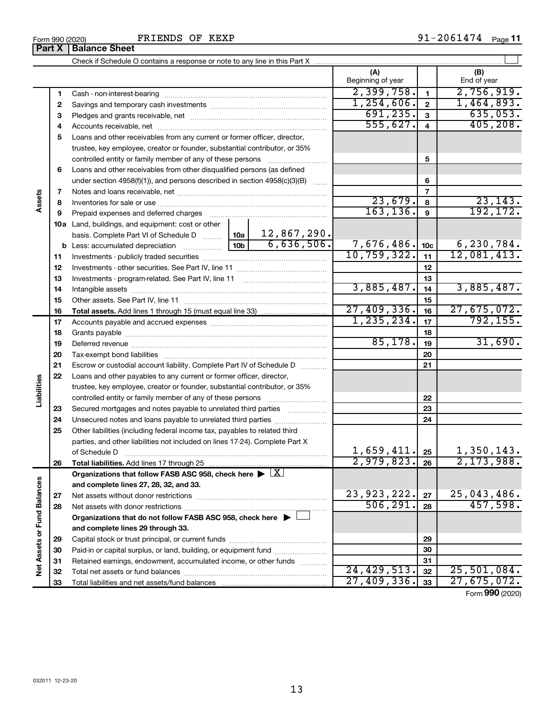|                             |    |                                                                                                        |                    |               | (A)<br>Beginning of year |                 | (B)<br>End of year |
|-----------------------------|----|--------------------------------------------------------------------------------------------------------|--------------------|---------------|--------------------------|-----------------|--------------------|
|                             | 1  |                                                                                                        |                    |               | 2,399,758.               | $\blacksquare$  | 2,756,919.         |
|                             | 2  |                                                                                                        |                    |               | 1, 254, 606.             | $\overline{2}$  | 1,464,893.         |
|                             | З  |                                                                                                        |                    |               | 691, 235.                | $\mathbf{3}$    | 635,053.           |
|                             | 4  |                                                                                                        |                    |               | 555,627.                 | $\overline{4}$  | 405, 208.          |
|                             | 5  | Loans and other receivables from any current or former officer, director,                              |                    |               |                          |                 |                    |
|                             |    | trustee, key employee, creator or founder, substantial contributor, or 35%                             |                    |               |                          |                 |                    |
|                             |    | controlled entity or family member of any of these persons                                             |                    |               |                          | 5               |                    |
|                             | 6  | Loans and other receivables from other disqualified persons (as defined                                |                    |               |                          |                 |                    |
|                             |    | under section $4958(f)(1)$ , and persons described in section $4958(c)(3)(B)$                          | $\ldots$           |               | 6                        |                 |                    |
|                             | 7  |                                                                                                        |                    |               | $\overline{7}$           |                 |                    |
| Assets                      | 8  |                                                                                                        |                    |               | 23,679.                  | 8               | 23, 143.           |
|                             | 9  | Prepaid expenses and deferred charges                                                                  |                    | 163, 136.     | $\overline{9}$           | 192,172.        |                    |
|                             |    | 10a Land, buildings, and equipment: cost or other                                                      |                    |               |                          |                 |                    |
|                             |    | basis. Complete Part VI of Schedule D                                                                  | 12,867,290.<br>10a |               |                          |                 |                    |
|                             |    | <b>b</b> Less: accumulated depreciation                                                                | 10 <sub>b</sub>    | 6,636,506.    | 7,676,486.               | 10 <sub>c</sub> | 6,230,784.         |
|                             | 11 |                                                                                                        |                    | 10, 759, 322. | 11                       | 12,081,413.     |                    |
|                             | 12 |                                                                                                        |                    | 12            |                          |                 |                    |
|                             | 13 |                                                                                                        |                    | 13            |                          |                 |                    |
|                             | 14 |                                                                                                        |                    | 3,885,487.    | 14                       | 3,885,487.      |                    |
|                             | 15 |                                                                                                        |                    |               |                          | 15              |                    |
|                             | 16 |                                                                                                        |                    |               | 27,409,336.              | 16              | 27,675,072.        |
|                             | 17 |                                                                                                        |                    | 1, 235, 234.  | 17                       | 792, 155.       |                    |
|                             | 18 |                                                                                                        |                    | 18            |                          |                 |                    |
|                             | 19 |                                                                                                        |                    |               | 85,178.                  | 19              | 31,690.            |
|                             | 20 |                                                                                                        |                    |               |                          | 20              |                    |
|                             | 21 | Escrow or custodial account liability. Complete Part IV of Schedule D                                  |                    |               |                          | 21              |                    |
| Liabilities                 | 22 | Loans and other payables to any current or former officer, director,                                   |                    |               |                          |                 |                    |
|                             |    | trustee, key employee, creator or founder, substantial contributor, or 35%                             |                    |               |                          |                 |                    |
|                             |    | controlled entity or family member of any of these persons                                             |                    |               |                          | 22              |                    |
|                             | 23 | Secured mortgages and notes payable to unrelated third parties                                         |                    |               |                          | 23              |                    |
|                             | 24 | Unsecured notes and loans payable to unrelated third parties                                           |                    |               |                          | 24              |                    |
|                             | 25 | Other liabilities (including federal income tax, payables to related third                             |                    |               |                          |                 |                    |
|                             |    | parties, and other liabilities not included on lines 17-24). Complete Part X<br>of Schedule D          |                    |               | 1,659,411.               | 25              | 1,350,143.         |
|                             | 26 |                                                                                                        |                    |               | $2,979,823.$ 26          |                 | 2, 173, 988.       |
|                             |    | Organizations that follow FASB ASC 958, check here $\blacktriangleright \lfloor \underline{X} \rfloor$ |                    |               |                          |                 |                    |
|                             |    | and complete lines 27, 28, 32, and 33.                                                                 |                    |               |                          |                 |                    |
|                             | 27 |                                                                                                        |                    |               | 23, 923, 222.            | 27              | 25,043,486.        |
|                             | 28 |                                                                                                        |                    |               | 506, 291.                | 28              | 457,598.           |
|                             |    | Organizations that do not follow FASB ASC 958, check here $\blacktriangleright$                        |                    |               |                          |                 |                    |
|                             |    | and complete lines 29 through 33.                                                                      |                    |               |                          |                 |                    |
| Net Assets or Fund Balances | 29 |                                                                                                        |                    |               |                          | 29              |                    |
|                             | 30 | Paid-in or capital surplus, or land, building, or equipment fund                                       |                    |               |                          | 30              |                    |
|                             | 31 | Retained earnings, endowment, accumulated income, or other funds                                       |                    |               |                          | 31              |                    |
|                             | 32 |                                                                                                        |                    |               | 24, 429, 513.            | 32              | 25,501,084.        |
|                             | 33 |                                                                                                        | 27,409,336.        | 33            | 27,675,072.              |                 |                    |

Form (2020) **990**

**Part X Balance Sheet** 

 $\overline{\phantom{0}}$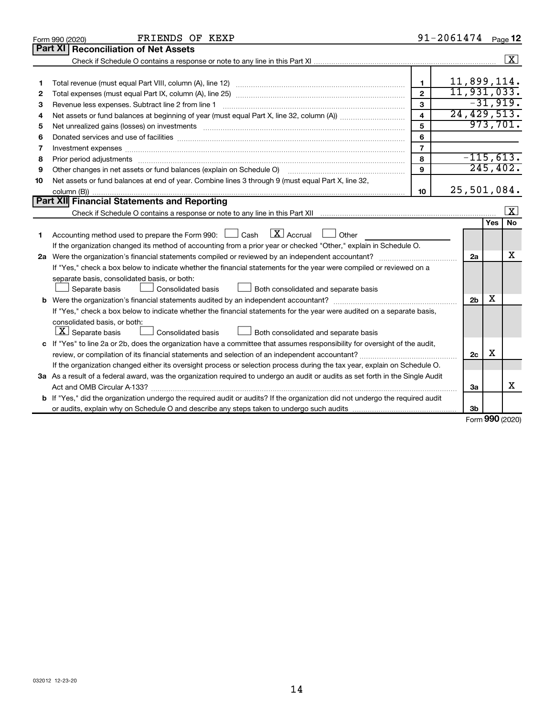|    | FRIENDS OF KEXP<br>Form 990 (2020)                                                                                                   |                         | 91-2061474     |              | Page 12            |
|----|--------------------------------------------------------------------------------------------------------------------------------------|-------------------------|----------------|--------------|--------------------|
|    | Part XI<br><b>Reconciliation of Net Assets</b>                                                                                       |                         |                |              |                    |
|    |                                                                                                                                      |                         |                |              | $\boxed{\text{X}}$ |
|    |                                                                                                                                      |                         |                |              |                    |
| 1  |                                                                                                                                      | 1                       | 11,899,114.    |              |                    |
| 2  |                                                                                                                                      | $\mathbf{2}$            | 11,931,033.    |              |                    |
| З  | Revenue less expenses. Subtract line 2 from line 1                                                                                   | 3                       |                |              | $-31,919.$         |
| 4  |                                                                                                                                      | $\overline{\mathbf{4}}$ | 24, 429, 513.  |              |                    |
| 5  |                                                                                                                                      | 5                       |                |              | 973,701.           |
| 6  |                                                                                                                                      | 6                       |                |              |                    |
| 7  | Investment expenses www.communication.com/www.communication.com/www.communication.com/www.com                                        | $\overline{7}$          |                |              |                    |
| 8  |                                                                                                                                      | 8                       | $-115,613.$    |              |                    |
| 9  | Other changes in net assets or fund balances (explain on Schedule O)                                                                 | 9                       |                |              | 245, 402.          |
| 10 | Net assets or fund balances at end of year. Combine lines 3 through 9 (must equal Part X, line 32,                                   |                         |                |              |                    |
|    |                                                                                                                                      | 10                      | 25,501,084.    |              |                    |
|    | Part XII Financial Statements and Reporting                                                                                          |                         |                |              |                    |
|    |                                                                                                                                      |                         |                |              | $\mathbf{X}$       |
|    |                                                                                                                                      |                         |                | Yes          | No                 |
| 1  | $\lfloor x \rfloor$ Accrual<br>Accounting method used to prepare the Form 990: [130] Cash<br>$\Box$ Other                            |                         |                |              |                    |
|    | If the organization changed its method of accounting from a prior year or checked "Other," explain in Schedule O.                    |                         |                |              |                    |
|    |                                                                                                                                      |                         | 2a             |              | x                  |
|    | If "Yes," check a box below to indicate whether the financial statements for the year were compiled or reviewed on a                 |                         |                |              |                    |
|    | separate basis, consolidated basis, or both:                                                                                         |                         |                |              |                    |
|    | Both consolidated and separate basis<br>Separate basis<br>Consolidated basis                                                         |                         |                |              |                    |
|    |                                                                                                                                      |                         | 2 <sub>b</sub> | x            |                    |
|    | If "Yes," check a box below to indicate whether the financial statements for the year were audited on a separate basis,              |                         |                |              |                    |
|    | consolidated basis, or both:                                                                                                         |                         |                |              |                    |
|    | $ \mathbf{X} $ Separate basis<br><b>Consolidated basis</b><br>Both consolidated and separate basis                                   |                         |                |              |                    |
|    | c If "Yes" to line 2a or 2b, does the organization have a committee that assumes responsibility for oversight of the audit,          |                         |                |              |                    |
|    | review, or compilation of its financial statements and selection of an independent accountant?                                       |                         | 2c             | х            |                    |
|    | If the organization changed either its oversight process or selection process during the tax year, explain on Schedule O.            |                         |                |              |                    |
|    | 3a As a result of a federal award, was the organization required to undergo an audit or audits as set forth in the Single Audit      |                         |                |              |                    |
|    |                                                                                                                                      |                         | 3a             |              | x                  |
|    | <b>b</b> If "Yes," did the organization undergo the required audit or audits? If the organization did not undergo the required audit |                         |                |              |                    |
|    |                                                                                                                                      |                         | 3b             | $000 \text{$ |                    |
|    |                                                                                                                                      |                         |                |              |                    |

Form (2020) **990**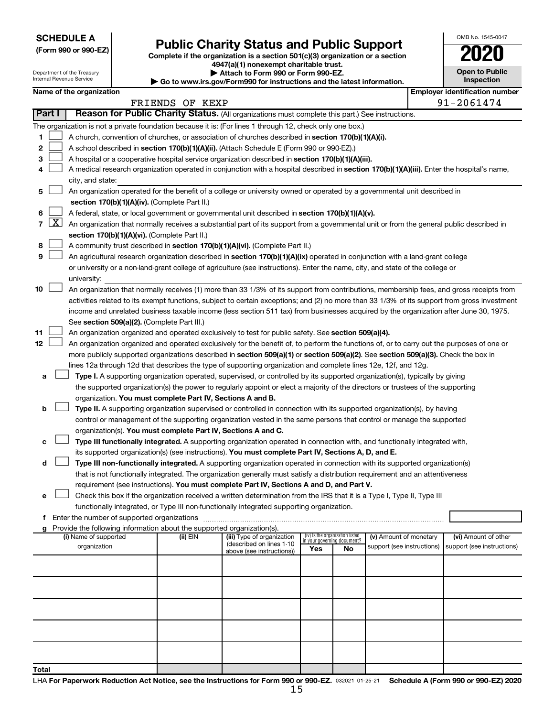**SCHEDULE A**

| (Form 990 or 990-EZ) |  |  |  |  |
|----------------------|--|--|--|--|
|----------------------|--|--|--|--|

# Form 990 or 990-EZ) **Public Charity Status and Public Support**<br>
Complete if the organization is a section 501(c)(3) organization or a section<br> **2020**

**4947(a)(1) nonexempt charitable trust. | Attach to Form 990 or Form 990-EZ.** 

|  | <b>Open to Public</b><br>Inspection |
|--|-------------------------------------|
|  |                                     |

OMB No. 1545-0047

|                |              | Department of the Treasury<br>Internal Revenue Service                                                                                            |  |                                                                        | Attach to Form 990 or Form 990-EZ.<br>Go to www.irs.gov/Form990 for instructions and the latest information.                                 |     |                                                                |                            |  | <b>Open to Public</b><br>Inspection   |  |  |  |
|----------------|--------------|---------------------------------------------------------------------------------------------------------------------------------------------------|--|------------------------------------------------------------------------|----------------------------------------------------------------------------------------------------------------------------------------------|-----|----------------------------------------------------------------|----------------------------|--|---------------------------------------|--|--|--|
|                |              | Name of the organization                                                                                                                          |  |                                                                        |                                                                                                                                              |     |                                                                |                            |  | <b>Employer identification number</b> |  |  |  |
|                |              |                                                                                                                                                   |  | FRIENDS OF KEXP                                                        |                                                                                                                                              |     |                                                                |                            |  | 91-2061474                            |  |  |  |
| Part I         |              |                                                                                                                                                   |  |                                                                        | Reason for Public Charity Status. (All organizations must complete this part.) See instructions.                                             |     |                                                                |                            |  |                                       |  |  |  |
|                |              |                                                                                                                                                   |  |                                                                        | The organization is not a private foundation because it is: (For lines 1 through 12, check only one box.)                                    |     |                                                                |                            |  |                                       |  |  |  |
| 1              |              |                                                                                                                                                   |  |                                                                        | A church, convention of churches, or association of churches described in section 170(b)(1)(A)(i).                                           |     |                                                                |                            |  |                                       |  |  |  |
| 2              |              |                                                                                                                                                   |  |                                                                        | A school described in section 170(b)(1)(A)(ii). (Attach Schedule E (Form 990 or 990-EZ).)                                                    |     |                                                                |                            |  |                                       |  |  |  |
| 3              |              |                                                                                                                                                   |  |                                                                        | A hospital or a cooperative hospital service organization described in section 170(b)(1)(A)(iii).                                            |     |                                                                |                            |  |                                       |  |  |  |
| 4              |              |                                                                                                                                                   |  |                                                                        | A medical research organization operated in conjunction with a hospital described in section 170(b)(1)(A)(iii). Enter the hospital's name,   |     |                                                                |                            |  |                                       |  |  |  |
|                |              | city, and state:                                                                                                                                  |  |                                                                        |                                                                                                                                              |     |                                                                |                            |  |                                       |  |  |  |
| 5              |              |                                                                                                                                                   |  |                                                                        | An organization operated for the benefit of a college or university owned or operated by a governmental unit described in                    |     |                                                                |                            |  |                                       |  |  |  |
|                |              |                                                                                                                                                   |  |                                                                        |                                                                                                                                              |     |                                                                |                            |  |                                       |  |  |  |
| 6              |              | section 170(b)(1)(A)(iv). (Complete Part II.)<br>A federal, state, or local government or governmental unit described in section 170(b)(1)(A)(v). |  |                                                                        |                                                                                                                                              |     |                                                                |                            |  |                                       |  |  |  |
| $\overline{7}$ | $\mathbf{X}$ | An organization that normally receives a substantial part of its support from a governmental unit or from the general public described in         |  |                                                                        |                                                                                                                                              |     |                                                                |                            |  |                                       |  |  |  |
|                |              |                                                                                                                                                   |  | section 170(b)(1)(A)(vi). (Complete Part II.)                          |                                                                                                                                              |     |                                                                |                            |  |                                       |  |  |  |
| 8              |              |                                                                                                                                                   |  |                                                                        | A community trust described in section 170(b)(1)(A)(vi). (Complete Part II.)                                                                 |     |                                                                |                            |  |                                       |  |  |  |
| 9              |              |                                                                                                                                                   |  |                                                                        | An agricultural research organization described in section 170(b)(1)(A)(ix) operated in conjunction with a land-grant college                |     |                                                                |                            |  |                                       |  |  |  |
|                |              |                                                                                                                                                   |  |                                                                        | or university or a non-land-grant college of agriculture (see instructions). Enter the name, city, and state of the college or               |     |                                                                |                            |  |                                       |  |  |  |
|                |              | university:                                                                                                                                       |  |                                                                        |                                                                                                                                              |     |                                                                |                            |  |                                       |  |  |  |
| 10             |              |                                                                                                                                                   |  |                                                                        | An organization that normally receives (1) more than 33 1/3% of its support from contributions, membership fees, and gross receipts from     |     |                                                                |                            |  |                                       |  |  |  |
|                |              |                                                                                                                                                   |  |                                                                        | activities related to its exempt functions, subject to certain exceptions; and (2) no more than 33 1/3% of its support from gross investment |     |                                                                |                            |  |                                       |  |  |  |
|                |              |                                                                                                                                                   |  |                                                                        | income and unrelated business taxable income (less section 511 tax) from businesses acquired by the organization after June 30, 1975.        |     |                                                                |                            |  |                                       |  |  |  |
|                |              |                                                                                                                                                   |  | See section 509(a)(2). (Complete Part III.)                            |                                                                                                                                              |     |                                                                |                            |  |                                       |  |  |  |
| 11             |              |                                                                                                                                                   |  |                                                                        | An organization organized and operated exclusively to test for public safety. See section 509(a)(4).                                         |     |                                                                |                            |  |                                       |  |  |  |
| 12             |              |                                                                                                                                                   |  |                                                                        | An organization organized and operated exclusively for the benefit of, to perform the functions of, or to carry out the purposes of one or   |     |                                                                |                            |  |                                       |  |  |  |
|                |              |                                                                                                                                                   |  |                                                                        | more publicly supported organizations described in section 509(a)(1) or section 509(a)(2). See section 509(a)(3). Check the box in           |     |                                                                |                            |  |                                       |  |  |  |
|                |              |                                                                                                                                                   |  |                                                                        | lines 12a through 12d that describes the type of supporting organization and complete lines 12e, 12f, and 12g.                               |     |                                                                |                            |  |                                       |  |  |  |
| а              |              |                                                                                                                                                   |  |                                                                        | Type I. A supporting organization operated, supervised, or controlled by its supported organization(s), typically by giving                  |     |                                                                |                            |  |                                       |  |  |  |
|                |              |                                                                                                                                                   |  |                                                                        | the supported organization(s) the power to regularly appoint or elect a majority of the directors or trustees of the supporting              |     |                                                                |                            |  |                                       |  |  |  |
|                |              |                                                                                                                                                   |  | organization. You must complete Part IV, Sections A and B.             |                                                                                                                                              |     |                                                                |                            |  |                                       |  |  |  |
| b              |              |                                                                                                                                                   |  |                                                                        | Type II. A supporting organization supervised or controlled in connection with its supported organization(s), by having                      |     |                                                                |                            |  |                                       |  |  |  |
|                |              |                                                                                                                                                   |  |                                                                        | control or management of the supporting organization vested in the same persons that control or manage the supported                         |     |                                                                |                            |  |                                       |  |  |  |
|                |              |                                                                                                                                                   |  | organization(s). You must complete Part IV, Sections A and C.          |                                                                                                                                              |     |                                                                |                            |  |                                       |  |  |  |
| с              |              |                                                                                                                                                   |  |                                                                        | Type III functionally integrated. A supporting organization operated in connection with, and functionally integrated with,                   |     |                                                                |                            |  |                                       |  |  |  |
|                |              |                                                                                                                                                   |  |                                                                        | its supported organization(s) (see instructions). You must complete Part IV, Sections A, D, and E.                                           |     |                                                                |                            |  |                                       |  |  |  |
| d              |              |                                                                                                                                                   |  |                                                                        | Type III non-functionally integrated. A supporting organization operated in connection with its supported organization(s)                    |     |                                                                |                            |  |                                       |  |  |  |
|                |              |                                                                                                                                                   |  |                                                                        | that is not functionally integrated. The organization generally must satisfy a distribution requirement and an attentiveness                 |     |                                                                |                            |  |                                       |  |  |  |
|                |              |                                                                                                                                                   |  |                                                                        | requirement (see instructions). You must complete Part IV, Sections A and D, and Part V.                                                     |     |                                                                |                            |  |                                       |  |  |  |
| е              |              |                                                                                                                                                   |  |                                                                        | Check this box if the organization received a written determination from the IRS that it is a Type I, Type II, Type III                      |     |                                                                |                            |  |                                       |  |  |  |
|                |              |                                                                                                                                                   |  |                                                                        | functionally integrated, or Type III non-functionally integrated supporting organization.                                                    |     |                                                                |                            |  |                                       |  |  |  |
|                |              |                                                                                                                                                   |  |                                                                        |                                                                                                                                              |     |                                                                |                            |  |                                       |  |  |  |
| g              |              |                                                                                                                                                   |  | Provide the following information about the supported organization(s). |                                                                                                                                              |     |                                                                |                            |  |                                       |  |  |  |
|                |              | (i) Name of supported                                                                                                                             |  | (ii) EIN                                                               | (iii) Type of organization<br>(described on lines 1-10                                                                                       |     | (iv) Is the organization listed<br>in your governing document? | (v) Amount of monetary     |  | (vi) Amount of other                  |  |  |  |
|                |              | organization                                                                                                                                      |  |                                                                        | above (see instructions))                                                                                                                    | Yes | No                                                             | support (see instructions) |  | support (see instructions)            |  |  |  |
|                |              |                                                                                                                                                   |  |                                                                        |                                                                                                                                              |     |                                                                |                            |  |                                       |  |  |  |
|                |              |                                                                                                                                                   |  |                                                                        |                                                                                                                                              |     |                                                                |                            |  |                                       |  |  |  |
|                |              |                                                                                                                                                   |  |                                                                        |                                                                                                                                              |     |                                                                |                            |  |                                       |  |  |  |
|                |              |                                                                                                                                                   |  |                                                                        |                                                                                                                                              |     |                                                                |                            |  |                                       |  |  |  |
|                |              |                                                                                                                                                   |  |                                                                        |                                                                                                                                              |     |                                                                |                            |  |                                       |  |  |  |
|                |              |                                                                                                                                                   |  |                                                                        |                                                                                                                                              |     |                                                                |                            |  |                                       |  |  |  |
|                |              |                                                                                                                                                   |  |                                                                        |                                                                                                                                              |     |                                                                |                            |  |                                       |  |  |  |
|                |              |                                                                                                                                                   |  |                                                                        |                                                                                                                                              |     |                                                                |                            |  |                                       |  |  |  |
|                |              |                                                                                                                                                   |  |                                                                        |                                                                                                                                              |     |                                                                |                            |  |                                       |  |  |  |
|                |              |                                                                                                                                                   |  |                                                                        |                                                                                                                                              |     |                                                                |                            |  |                                       |  |  |  |
| Total          |              |                                                                                                                                                   |  |                                                                        |                                                                                                                                              |     |                                                                |                            |  |                                       |  |  |  |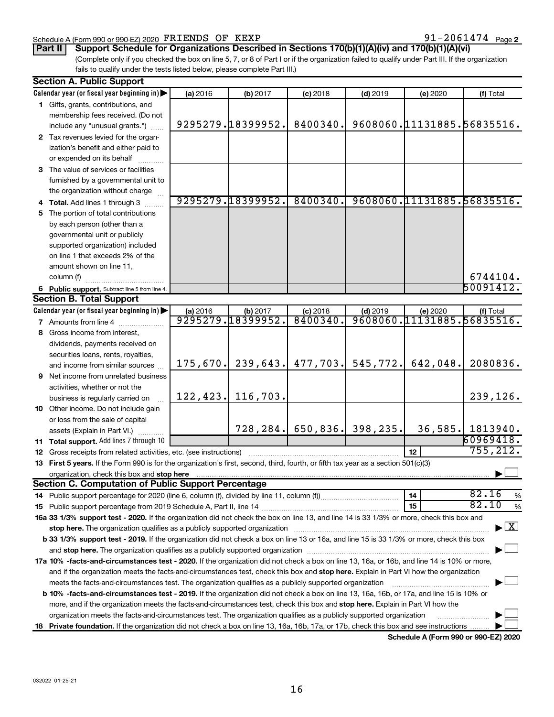### Schedule A (Form 990 or 990-EZ) 2020  $\texttt{FRIENDS}$  OF  $\texttt{KEXP}$   $91-2061474$   $_{\texttt{Page}}$

**Part II Support Schedule for Organizations Described in Sections 170(b)(1)(A)(iv) and 170(b)(1)(A)(vi)**

(Complete only if you checked the box on line 5, 7, or 8 of Part I or if the organization failed to qualify under Part III. If the organization fails to qualify under the tests listed below, please complete Part III.)

| <b>Section A. Public Support</b> |                                                                                                                                                                                                                                |           |                               |                        |                       |                                        |                                          |
|----------------------------------|--------------------------------------------------------------------------------------------------------------------------------------------------------------------------------------------------------------------------------|-----------|-------------------------------|------------------------|-----------------------|----------------------------------------|------------------------------------------|
|                                  | Calendar year (or fiscal year beginning in)                                                                                                                                                                                    | (a) 2016  | (b) 2017                      | $(c)$ 2018             | $(d)$ 2019            | (e) 2020                               | (f) Total                                |
|                                  | 1 Gifts, grants, contributions, and                                                                                                                                                                                            |           |                               |                        |                       |                                        |                                          |
|                                  | membership fees received. (Do not                                                                                                                                                                                              |           |                               |                        |                       |                                        |                                          |
|                                  | include any "unusual grants.")                                                                                                                                                                                                 |           | 9295279.18399952.             | 8400340.               |                       | 9608060.11131885.56835516.             |                                          |
|                                  | 2 Tax revenues levied for the organ-                                                                                                                                                                                           |           |                               |                        |                       |                                        |                                          |
|                                  | ization's benefit and either paid to                                                                                                                                                                                           |           |                               |                        |                       |                                        |                                          |
|                                  | or expended on its behalf                                                                                                                                                                                                      |           |                               |                        |                       |                                        |                                          |
|                                  | 3 The value of services or facilities                                                                                                                                                                                          |           |                               |                        |                       |                                        |                                          |
|                                  | furnished by a governmental unit to                                                                                                                                                                                            |           |                               |                        |                       |                                        |                                          |
|                                  | the organization without charge                                                                                                                                                                                                |           |                               |                        |                       |                                        |                                          |
|                                  | 4 Total. Add lines 1 through 3                                                                                                                                                                                                 |           | 9295279.18399952.             | 8400340.               |                       | 9608060.11131885.56835516.             |                                          |
|                                  | 5 The portion of total contributions                                                                                                                                                                                           |           |                               |                        |                       |                                        |                                          |
|                                  | by each person (other than a                                                                                                                                                                                                   |           |                               |                        |                       |                                        |                                          |
|                                  | governmental unit or publicly                                                                                                                                                                                                  |           |                               |                        |                       |                                        |                                          |
|                                  | supported organization) included                                                                                                                                                                                               |           |                               |                        |                       |                                        |                                          |
|                                  | on line 1 that exceeds 2% of the                                                                                                                                                                                               |           |                               |                        |                       |                                        |                                          |
|                                  | amount shown on line 11,                                                                                                                                                                                                       |           |                               |                        |                       |                                        |                                          |
|                                  | column (f)                                                                                                                                                                                                                     |           |                               |                        |                       |                                        | 6744104.                                 |
|                                  |                                                                                                                                                                                                                                |           |                               |                        |                       |                                        | 50091412.                                |
|                                  | 6 Public support. Subtract line 5 from line 4.<br><b>Section B. Total Support</b>                                                                                                                                              |           |                               |                        |                       |                                        |                                          |
|                                  |                                                                                                                                                                                                                                |           |                               |                        |                       |                                        |                                          |
|                                  | Calendar year (or fiscal year beginning in)                                                                                                                                                                                    | (a) 2016  | (b) 2017<br>9295279.18399952. | $(c)$ 2018<br>8400340. | $(d)$ 2019            | (e) 2020<br>9608060.11131885.56835516. | (f) Total                                |
|                                  | <b>7</b> Amounts from line 4                                                                                                                                                                                                   |           |                               |                        |                       |                                        |                                          |
|                                  | 8 Gross income from interest,                                                                                                                                                                                                  |           |                               |                        |                       |                                        |                                          |
|                                  | dividends, payments received on                                                                                                                                                                                                |           |                               |                        |                       |                                        |                                          |
|                                  | securities loans, rents, royalties,                                                                                                                                                                                            |           |                               |                        |                       |                                        |                                          |
|                                  | and income from similar sources                                                                                                                                                                                                | 175,670.  | 239,643.                      | 477,703.               | 545, 772.             | 642,048.                               | 2080836.                                 |
|                                  | <b>9</b> Net income from unrelated business                                                                                                                                                                                    |           |                               |                        |                       |                                        |                                          |
|                                  | activities, whether or not the                                                                                                                                                                                                 |           |                               |                        |                       |                                        |                                          |
|                                  | business is regularly carried on                                                                                                                                                                                               | 122, 423. | 116,703.                      |                        |                       |                                        | 239,126.                                 |
|                                  | 10 Other income. Do not include gain                                                                                                                                                                                           |           |                               |                        |                       |                                        |                                          |
|                                  | or loss from the sale of capital                                                                                                                                                                                               |           |                               |                        |                       |                                        |                                          |
|                                  | assets (Explain in Part VI.)                                                                                                                                                                                                   |           | 728, 284.                     |                        | $650, 836.$ 398, 235. | 36, 585.                               | 1813940.                                 |
|                                  | <b>11 Total support.</b> Add lines 7 through 10                                                                                                                                                                                |           |                               |                        |                       |                                        | 60969418.                                |
|                                  | <b>12</b> Gross receipts from related activities, etc. (see instructions)                                                                                                                                                      |           |                               |                        |                       | 12                                     | 755, 212.                                |
|                                  | 13 First 5 years. If the Form 990 is for the organization's first, second, third, fourth, or fifth tax year as a section 501(c)(3)                                                                                             |           |                               |                        |                       |                                        |                                          |
|                                  |                                                                                                                                                                                                                                |           |                               |                        |                       |                                        |                                          |
|                                  | <b>Section C. Computation of Public Support Percentage</b>                                                                                                                                                                     |           |                               |                        |                       |                                        |                                          |
|                                  |                                                                                                                                                                                                                                |           |                               |                        |                       | 14                                     | 82.16<br>$\%$                            |
|                                  |                                                                                                                                                                                                                                |           |                               |                        |                       | 15                                     | 82.10<br>$\%$                            |
|                                  | 16a 33 1/3% support test - 2020. If the organization did not check the box on line 13, and line 14 is 33 1/3% or more, check this box and                                                                                      |           |                               |                        |                       |                                        |                                          |
|                                  | stop here. The organization qualifies as a publicly supported organization                                                                                                                                                     |           |                               |                        |                       |                                        | $\blacktriangleright$ $\boxed{\text{X}}$ |
|                                  | b 33 1/3% support test - 2019. If the organization did not check a box on line 13 or 16a, and line 15 is 33 1/3% or more, check this box                                                                                       |           |                               |                        |                       |                                        |                                          |
|                                  | and stop here. The organization qualifies as a publicly supported organization manufaction manufacture or manufacture or and a function of the organization manufacture or and a function of the original and state of the ori |           |                               |                        |                       |                                        |                                          |
|                                  | 17a 10% -facts-and-circumstances test - 2020. If the organization did not check a box on line 13, 16a, or 16b, and line 14 is 10% or more,                                                                                     |           |                               |                        |                       |                                        |                                          |
|                                  | and if the organization meets the facts-and-circumstances test, check this box and stop here. Explain in Part VI how the organization                                                                                          |           |                               |                        |                       |                                        |                                          |
|                                  | meets the facts-and-circumstances test. The organization qualifies as a publicly supported organization                                                                                                                        |           |                               |                        |                       |                                        |                                          |
|                                  | b 10% -facts-and-circumstances test - 2019. If the organization did not check a box on line 13, 16a, 16b, or 17a, and line 15 is 10% or                                                                                        |           |                               |                        |                       |                                        |                                          |
|                                  | more, and if the organization meets the facts-and-circumstances test, check this box and stop here. Explain in Part VI how the                                                                                                 |           |                               |                        |                       |                                        |                                          |
|                                  | organization meets the facts-and-circumstances test. The organization qualifies as a publicly supported organization                                                                                                           |           |                               |                        |                       |                                        |                                          |
|                                  | 18 Private foundation. If the organization did not check a box on line 13, 16a, 16b, 17a, or 17b, check this box and see instructions                                                                                          |           |                               |                        |                       |                                        |                                          |
|                                  |                                                                                                                                                                                                                                |           |                               |                        |                       |                                        |                                          |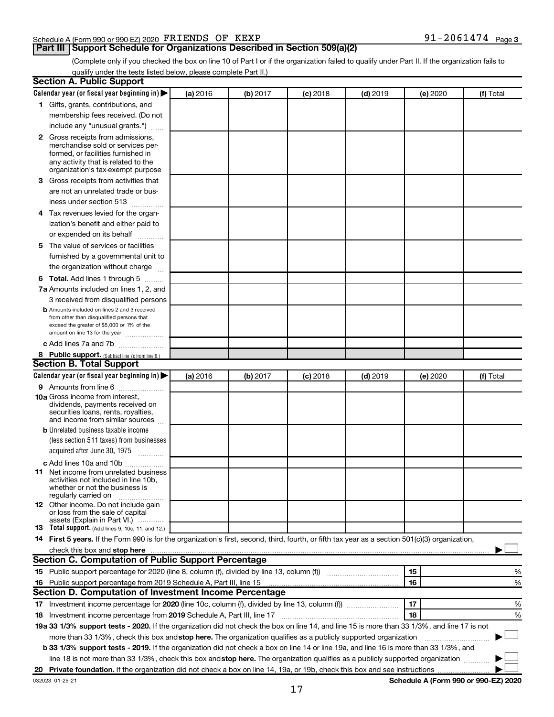### Schedule A (Form 990 or 990-EZ) 2020  $\texttt{FRIENDS}$  OF  $\texttt{KEXP}$   $91-2061474$   $_{\texttt{Page}}$

# **Part III Support Schedule for Organizations Described in Section 509(a)(2)**

91-2061474 Page 3

(Complete only if you checked the box on line 10 of Part I or if the organization failed to qualify under Part II. If the organization fails to qualify under the tests listed below, please complete Part II.)

| <b>Section A. Public Support</b>                                                                                                                                                                                                         |          |          |          |            |          |           |
|------------------------------------------------------------------------------------------------------------------------------------------------------------------------------------------------------------------------------------------|----------|----------|----------|------------|----------|-----------|
| Calendar year (or fiscal year beginning in)                                                                                                                                                                                              | (a) 2016 | (b) 2017 | (c) 2018 | $(d)$ 2019 | (e) 2020 | (f) Total |
| 1 Gifts, grants, contributions, and                                                                                                                                                                                                      |          |          |          |            |          |           |
| membership fees received. (Do not                                                                                                                                                                                                        |          |          |          |            |          |           |
| include any "unusual grants.")                                                                                                                                                                                                           |          |          |          |            |          |           |
| <b>2</b> Gross receipts from admissions,                                                                                                                                                                                                 |          |          |          |            |          |           |
| merchandise sold or services per-                                                                                                                                                                                                        |          |          |          |            |          |           |
| formed, or facilities furnished in                                                                                                                                                                                                       |          |          |          |            |          |           |
| any activity that is related to the<br>organization's tax-exempt purpose                                                                                                                                                                 |          |          |          |            |          |           |
| 3 Gross receipts from activities that                                                                                                                                                                                                    |          |          |          |            |          |           |
|                                                                                                                                                                                                                                          |          |          |          |            |          |           |
| are not an unrelated trade or bus-                                                                                                                                                                                                       |          |          |          |            |          |           |
| iness under section 513                                                                                                                                                                                                                  |          |          |          |            |          |           |
| 4 Tax revenues levied for the organ-                                                                                                                                                                                                     |          |          |          |            |          |           |
| ization's benefit and either paid to                                                                                                                                                                                                     |          |          |          |            |          |           |
| or expended on its behalf<br>.                                                                                                                                                                                                           |          |          |          |            |          |           |
| 5 The value of services or facilities                                                                                                                                                                                                    |          |          |          |            |          |           |
| furnished by a governmental unit to                                                                                                                                                                                                      |          |          |          |            |          |           |
| the organization without charge                                                                                                                                                                                                          |          |          |          |            |          |           |
| <b>6 Total.</b> Add lines 1 through 5                                                                                                                                                                                                    |          |          |          |            |          |           |
| 7a Amounts included on lines 1, 2, and                                                                                                                                                                                                   |          |          |          |            |          |           |
| 3 received from disqualified persons                                                                                                                                                                                                     |          |          |          |            |          |           |
| <b>b</b> Amounts included on lines 2 and 3 received                                                                                                                                                                                      |          |          |          |            |          |           |
| from other than disqualified persons that<br>exceed the greater of \$5,000 or 1% of the                                                                                                                                                  |          |          |          |            |          |           |
| amount on line 13 for the year                                                                                                                                                                                                           |          |          |          |            |          |           |
| c Add lines 7a and 7b                                                                                                                                                                                                                    |          |          |          |            |          |           |
| 8 Public support. (Subtract line 7c from line 6.)                                                                                                                                                                                        |          |          |          |            |          |           |
| <b>Section B. Total Support</b>                                                                                                                                                                                                          |          |          |          |            |          |           |
| Calendar year (or fiscal year beginning in)                                                                                                                                                                                              | (a) 2016 | (b) 2017 | (c) 2018 | $(d)$ 2019 | (e) 2020 | (f) Total |
| <b>9</b> Amounts from line 6                                                                                                                                                                                                             |          |          |          |            |          |           |
| <b>10a</b> Gross income from interest,                                                                                                                                                                                                   |          |          |          |            |          |           |
| dividends, payments received on                                                                                                                                                                                                          |          |          |          |            |          |           |
| securities loans, rents, royalties,<br>and income from similar sources                                                                                                                                                                   |          |          |          |            |          |           |
| <b>b</b> Unrelated business taxable income                                                                                                                                                                                               |          |          |          |            |          |           |
| (less section 511 taxes) from businesses                                                                                                                                                                                                 |          |          |          |            |          |           |
| acquired after June 30, 1975                                                                                                                                                                                                             |          |          |          |            |          |           |
|                                                                                                                                                                                                                                          |          |          |          |            |          |           |
| c Add lines 10a and 10b<br><b>11</b> Net income from unrelated business                                                                                                                                                                  |          |          |          |            |          |           |
| activities not included in line 10b.                                                                                                                                                                                                     |          |          |          |            |          |           |
| whether or not the business is                                                                                                                                                                                                           |          |          |          |            |          |           |
| regularly carried on                                                                                                                                                                                                                     |          |          |          |            |          |           |
| 12 Other income. Do not include gain<br>or loss from the sale of capital                                                                                                                                                                 |          |          |          |            |          |           |
| assets (Explain in Part VI.)                                                                                                                                                                                                             |          |          |          |            |          |           |
| <b>13</b> Total support. (Add lines 9, 10c, 11, and 12.)                                                                                                                                                                                 |          |          |          |            |          |           |
| 14 First 5 years. If the Form 990 is for the organization's first, second, third, fourth, or fifth tax year as a section 501(c)(3) organization,                                                                                         |          |          |          |            |          |           |
| check this box and stop here <b>construction and construction</b> and check this box and stop here <b>construction</b> and construction and construction and construction and construction and construction and construction and constru |          |          |          |            |          |           |
| Section C. Computation of Public Support Percentage                                                                                                                                                                                      |          |          |          |            |          |           |
| 15 Public support percentage for 2020 (line 8, column (f), divided by line 13, column (f) <i>manumeronominium</i>                                                                                                                        |          |          |          |            | 15       | %         |
| 16 Public support percentage from 2019 Schedule A, Part III, line 15                                                                                                                                                                     |          |          |          |            | 16       | %         |
| Section D. Computation of Investment Income Percentage                                                                                                                                                                                   |          |          |          |            |          |           |
| 17 Investment income percentage for 2020 (line 10c, column (f), divided by line 13, column (f))                                                                                                                                          |          |          |          |            | 17       | %         |
| 18 Investment income percentage from 2019 Schedule A, Part III, line 17                                                                                                                                                                  |          |          |          |            | 18       | %         |
| 19a 33 1/3% support tests - 2020. If the organization did not check the box on line 14, and line 15 is more than 33 1/3%, and line 17 is not                                                                                             |          |          |          |            |          |           |
| more than 33 1/3%, check this box and stop here. The organization qualifies as a publicly supported organization                                                                                                                         |          |          |          |            |          |           |
| b 33 1/3% support tests - 2019. If the organization did not check a box on line 14 or line 19a, and line 16 is more than 33 1/3%, and                                                                                                    |          |          |          |            |          |           |
| line 18 is not more than 33 1/3%, check this box and stop here. The organization qualifies as a publicly supported organization                                                                                                          |          |          |          |            |          |           |
|                                                                                                                                                                                                                                          |          |          |          |            |          |           |
|                                                                                                                                                                                                                                          |          |          |          |            |          |           |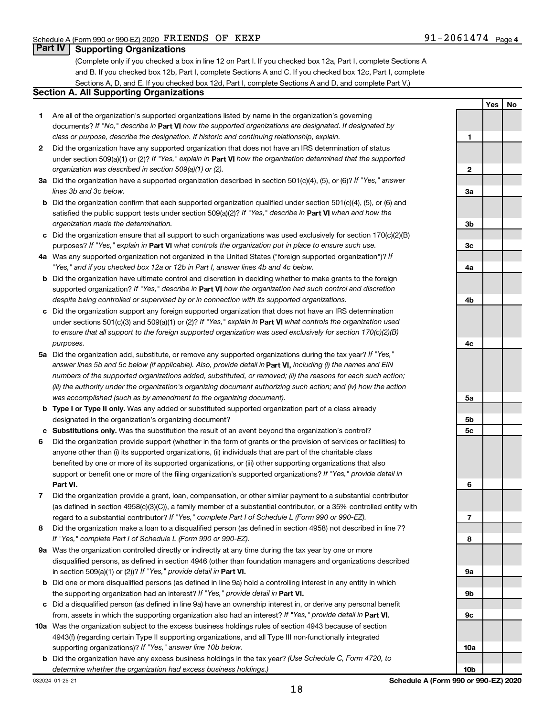**Yes No**

# **Part IV Supporting Organizations**

(Complete only if you checked a box in line 12 on Part I. If you checked box 12a, Part I, complete Sections A and B. If you checked box 12b, Part I, complete Sections A and C. If you checked box 12c, Part I, complete Sections A, D, and E. If you checked box 12d, Part I, complete Sections A and D, and complete Part V.)

# **Section A. All Supporting Organizations**

- **1** Are all of the organization's supported organizations listed by name in the organization's governing documents? If "No," describe in Part VI how the supported organizations are designated. If designated by *class or purpose, describe the designation. If historic and continuing relationship, explain.*
- **2** Did the organization have any supported organization that does not have an IRS determination of status under section 509(a)(1) or (2)? If "Yes," explain in Part **VI** how the organization determined that the supported *organization was described in section 509(a)(1) or (2).*
- **3a** Did the organization have a supported organization described in section 501(c)(4), (5), or (6)? If "Yes," answer *lines 3b and 3c below.*
- **b** Did the organization confirm that each supported organization qualified under section 501(c)(4), (5), or (6) and satisfied the public support tests under section 509(a)(2)? If "Yes," describe in Part VI when and how the *organization made the determination.*
- **c** Did the organization ensure that all support to such organizations was used exclusively for section 170(c)(2)(B) purposes? If "Yes," explain in Part VI what controls the organization put in place to ensure such use.
- **4 a** *If* Was any supported organization not organized in the United States ("foreign supported organization")? *"Yes," and if you checked box 12a or 12b in Part I, answer lines 4b and 4c below.*
- **b** Did the organization have ultimate control and discretion in deciding whether to make grants to the foreign supported organization? If "Yes," describe in Part VI how the organization had such control and discretion *despite being controlled or supervised by or in connection with its supported organizations.*
- **c** Did the organization support any foreign supported organization that does not have an IRS determination under sections 501(c)(3) and 509(a)(1) or (2)? If "Yes," explain in Part VI what controls the organization used *to ensure that all support to the foreign supported organization was used exclusively for section 170(c)(2)(B) purposes.*
- **5a** Did the organization add, substitute, or remove any supported organizations during the tax year? If "Yes," answer lines 5b and 5c below (if applicable). Also, provide detail in **Part VI,** including (i) the names and EIN *numbers of the supported organizations added, substituted, or removed; (ii) the reasons for each such action; (iii) the authority under the organization's organizing document authorizing such action; and (iv) how the action was accomplished (such as by amendment to the organizing document).*
- **b** Type I or Type II only. Was any added or substituted supported organization part of a class already designated in the organization's organizing document?
- **c Substitutions only.**  Was the substitution the result of an event beyond the organization's control?
- **6** Did the organization provide support (whether in the form of grants or the provision of services or facilities) to **Part VI.** support or benefit one or more of the filing organization's supported organizations? If "Yes," provide detail in anyone other than (i) its supported organizations, (ii) individuals that are part of the charitable class benefited by one or more of its supported organizations, or (iii) other supporting organizations that also
- **7** Did the organization provide a grant, loan, compensation, or other similar payment to a substantial contributor regard to a substantial contributor? If "Yes," complete Part I of Schedule L (Form 990 or 990-EZ). (as defined in section 4958(c)(3)(C)), a family member of a substantial contributor, or a 35% controlled entity with
- **8** Did the organization make a loan to a disqualified person (as defined in section 4958) not described in line 7? *If "Yes," complete Part I of Schedule L (Form 990 or 990-EZ).*
- **9 a** Was the organization controlled directly or indirectly at any time during the tax year by one or more in section 509(a)(1) or (2))? If "Yes," provide detail in **Part VI.** disqualified persons, as defined in section 4946 (other than foundation managers and organizations described
- **b** Did one or more disqualified persons (as defined in line 9a) hold a controlling interest in any entity in which the supporting organization had an interest? If "Yes," provide detail in Part VI.
- **c** Did a disqualified person (as defined in line 9a) have an ownership interest in, or derive any personal benefit from, assets in which the supporting organization also had an interest? If "Yes," provide detail in Part VI.
- **10 a** Was the organization subject to the excess business holdings rules of section 4943 because of section supporting organizations)? If "Yes," answer line 10b below. 4943(f) (regarding certain Type II supporting organizations, and all Type III non-functionally integrated
- **b** Did the organization have any excess business holdings in the tax year? (Use Schedule C, Form 4720, to *determine whether the organization had excess business holdings.)*

**1 2 3a 3b 3c 4a 4b 4c 5a 5b 5c 6 7 8 9a 9b 9c 10a**

**10b**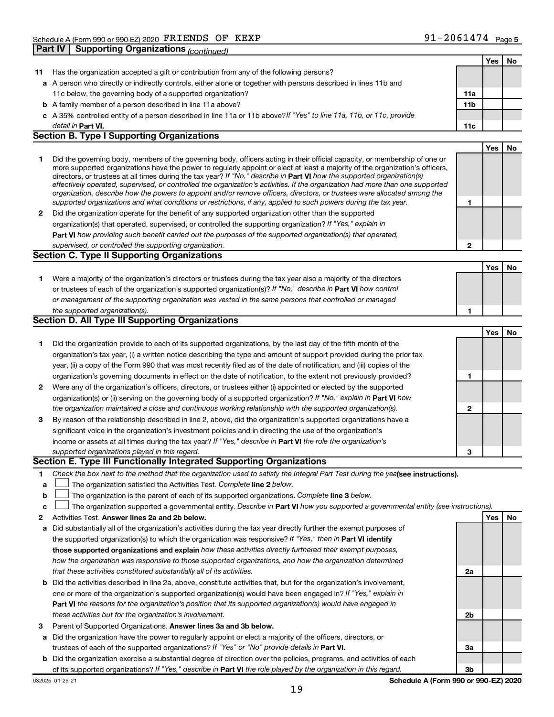|              |                                                                                                                                                                                                                                                          |                 | Yes | No |
|--------------|----------------------------------------------------------------------------------------------------------------------------------------------------------------------------------------------------------------------------------------------------------|-----------------|-----|----|
| 11           | Has the organization accepted a gift or contribution from any of the following persons?                                                                                                                                                                  |                 |     |    |
|              | a A person who directly or indirectly controls, either alone or together with persons described in lines 11b and                                                                                                                                         |                 |     |    |
|              | 11c below, the governing body of a supported organization?                                                                                                                                                                                               | 11a             |     |    |
|              | <b>b</b> A family member of a person described in line 11a above?                                                                                                                                                                                        | 11 <sub>b</sub> |     |    |
| c            | A 35% controlled entity of a person described in line 11a or 11b above? If "Yes" to line 11a, 11b, or 11c, provide                                                                                                                                       |                 |     |    |
|              | detail in Part VI.                                                                                                                                                                                                                                       | 11c             |     |    |
|              | <b>Section B. Type I Supporting Organizations</b>                                                                                                                                                                                                        |                 |     |    |
|              |                                                                                                                                                                                                                                                          |                 | Yes | No |
| 1.           | Did the governing body, members of the governing body, officers acting in their official capacity, or membership of one or                                                                                                                               |                 |     |    |
|              | more supported organizations have the power to regularly appoint or elect at least a majority of the organization's officers,<br>directors, or trustees at all times during the tax year? If "No," describe in Part VI how the supported organization(s) |                 |     |    |
|              | effectively operated, supervised, or controlled the organization's activities. If the organization had more than one supported                                                                                                                           |                 |     |    |
|              | organization, describe how the powers to appoint and/or remove officers, directors, or trustees were allocated among the                                                                                                                                 |                 |     |    |
|              | supported organizations and what conditions or restrictions, if any, applied to such powers during the tax year.                                                                                                                                         | 1               |     |    |
| 2            | Did the organization operate for the benefit of any supported organization other than the supported                                                                                                                                                      |                 |     |    |
|              | organization(s) that operated, supervised, or controlled the supporting organization? If "Yes," explain in                                                                                                                                               |                 |     |    |
|              | Part VI how providing such benefit carried out the purposes of the supported organization(s) that operated,                                                                                                                                              |                 |     |    |
|              | supervised, or controlled the supporting organization.                                                                                                                                                                                                   | $\mathbf{2}$    |     |    |
|              | <b>Section C. Type II Supporting Organizations</b>                                                                                                                                                                                                       |                 |     |    |
|              |                                                                                                                                                                                                                                                          |                 | Yes | No |
| 1.           | Were a majority of the organization's directors or trustees during the tax year also a majority of the directors                                                                                                                                         |                 |     |    |
|              | or trustees of each of the organization's supported organization(s)? If "No," describe in Part VI how control                                                                                                                                            |                 |     |    |
|              | or management of the supporting organization was vested in the same persons that controlled or managed                                                                                                                                                   |                 |     |    |
|              | the supported organization(s).                                                                                                                                                                                                                           | 1               |     |    |
|              | Section D. All Type III Supporting Organizations                                                                                                                                                                                                         |                 |     |    |
|              |                                                                                                                                                                                                                                                          |                 | Yes | No |
| 1.           | Did the organization provide to each of its supported organizations, by the last day of the fifth month of the                                                                                                                                           |                 |     |    |
|              | organization's tax year, (i) a written notice describing the type and amount of support provided during the prior tax                                                                                                                                    |                 |     |    |
|              | year, (ii) a copy of the Form 990 that was most recently filed as of the date of notification, and (iii) copies of the                                                                                                                                   |                 |     |    |
|              | organization's governing documents in effect on the date of notification, to the extent not previously provided?                                                                                                                                         | 1               |     |    |
| $\mathbf{2}$ | Were any of the organization's officers, directors, or trustees either (i) appointed or elected by the supported                                                                                                                                         |                 |     |    |
|              | organization(s) or (ii) serving on the governing body of a supported organization? If "No," explain in <b>Part VI</b> how                                                                                                                                |                 |     |    |
|              | the organization maintained a close and continuous working relationship with the supported organization(s).                                                                                                                                              | $\overline{2}$  |     |    |
| 3            | By reason of the relationship described in line 2, above, did the organization's supported organizations have a                                                                                                                                          |                 |     |    |
|              | significant voice in the organization's investment policies and in directing the use of the organization's                                                                                                                                               |                 |     |    |
|              | income or assets at all times during the tax year? If "Yes," describe in Part VI the role the organization's                                                                                                                                             |                 |     |    |
|              | supported organizations played in this regard.                                                                                                                                                                                                           | 3               |     |    |
|              | Section E. Type III Functionally Integrated Supporting Organizations                                                                                                                                                                                     |                 |     |    |
| 1            | Check the box next to the method that the organization used to satisfy the Integral Part Test during the yealsee instructions).                                                                                                                          |                 |     |    |
| а            | The organization satisfied the Activities Test. Complete line 2 below.                                                                                                                                                                                   |                 |     |    |
| b            | The organization is the parent of each of its supported organizations. Complete line 3 below.                                                                                                                                                            |                 |     |    |
| с            | The organization supported a governmental entity. Describe in Part VI how you supported a governmental entity (see instructions).                                                                                                                        |                 |     |    |
| 2            | Activities Test. Answer lines 2a and 2b below.                                                                                                                                                                                                           |                 | Yes | No |
| a            | Did substantially all of the organization's activities during the tax year directly further the exempt purposes of                                                                                                                                       |                 |     |    |
|              | the supported organization(s) to which the organization was responsive? If "Yes," then in Part VI identify                                                                                                                                               |                 |     |    |
|              | those supported organizations and explain how these activities directly furthered their exempt purposes,                                                                                                                                                 |                 |     |    |
|              | how the organization was responsive to those supported organizations, and how the organization determined                                                                                                                                                |                 |     |    |
|              | that these activities constituted substantially all of its activities.                                                                                                                                                                                   | 2a              |     |    |
| b            | Did the activities described in line 2a, above, constitute activities that, but for the organization's involvement,                                                                                                                                      |                 |     |    |
|              | one or more of the organization's supported organization(s) would have been engaged in? If "Yes," explain in                                                                                                                                             |                 |     |    |
|              | Part VI the reasons for the organization's position that its supported organization(s) would have engaged in                                                                                                                                             |                 |     |    |
|              | these activities but for the organization's involvement.                                                                                                                                                                                                 | 2b              |     |    |
| 3            | Parent of Supported Organizations. Answer lines 3a and 3b below.                                                                                                                                                                                         |                 |     |    |
|              | Did the organization have the power to regularly appoint or elect a majority of the officers, directors, or                                                                                                                                              |                 |     |    |
| a            | trustees of each of the supported organizations? If "Yes" or "No" provide details in Part VI.                                                                                                                                                            | 3a              |     |    |
| b            | Did the organization exercise a substantial degree of direction over the policies, programs, and activities of each                                                                                                                                      |                 |     |    |
|              | of its supported organizations? If "Yes," describe in Part VI the role played by the organization in this regard.                                                                                                                                        | 3 <sub>b</sub>  |     |    |
|              |                                                                                                                                                                                                                                                          |                 |     |    |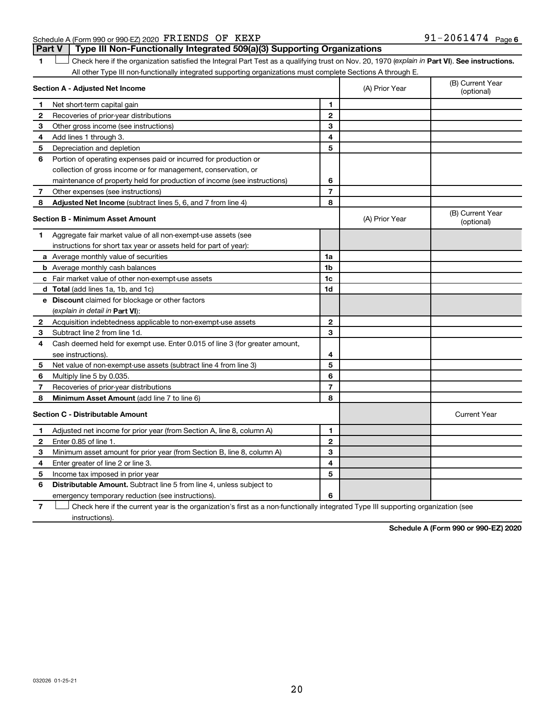### Schedule A (Form 990 or 990-EZ) 2020  $\texttt{FRIENDS}$  OF  $\texttt{KEXP}$   $91-2061474$   $_{\texttt{Page}}$ **Part V Type III Non-Functionally Integrated 509(a)(3) Supporting Organizations**

1 **Letter See instructions.** Check here if the organization satisfied the Integral Part Test as a qualifying trust on Nov. 20, 1970 (*explain in* Part **VI**). See instructions. All other Type III non-functionally integrated supporting organizations must complete Sections A through E.

|                                         | Section A - Adjusted Net Income                                             | (A) Prior Year | (B) Current Year<br>(optional) |                                |
|-----------------------------------------|-----------------------------------------------------------------------------|----------------|--------------------------------|--------------------------------|
| 1                                       | Net short-term capital gain                                                 | 1              |                                |                                |
| 2                                       | Recoveries of prior-year distributions                                      | $\mathbf{2}$   |                                |                                |
| 3                                       | Other gross income (see instructions)                                       | 3              |                                |                                |
| 4                                       | Add lines 1 through 3.                                                      | 4              |                                |                                |
| 5                                       | Depreciation and depletion                                                  | 5              |                                |                                |
| 6                                       | Portion of operating expenses paid or incurred for production or            |                |                                |                                |
|                                         | collection of gross income or for management, conservation, or              |                |                                |                                |
|                                         | maintenance of property held for production of income (see instructions)    | 6              |                                |                                |
| 7                                       | Other expenses (see instructions)                                           | $\overline{7}$ |                                |                                |
| 8                                       | <b>Adjusted Net Income</b> (subtract lines 5, 6, and 7 from line 4)         | 8              |                                |                                |
| <b>Section B - Minimum Asset Amount</b> |                                                                             |                | (A) Prior Year                 | (B) Current Year<br>(optional) |
| 1                                       | Aggregate fair market value of all non-exempt-use assets (see               |                |                                |                                |
|                                         | instructions for short tax year or assets held for part of year):           |                |                                |                                |
|                                         | <b>a</b> Average monthly value of securities                                | 1a             |                                |                                |
|                                         | <b>b</b> Average monthly cash balances                                      | 1b             |                                |                                |
|                                         | <b>c</b> Fair market value of other non-exempt-use assets                   | 1c             |                                |                                |
|                                         | d Total (add lines 1a, 1b, and 1c)                                          | 1d             |                                |                                |
|                                         | <b>e</b> Discount claimed for blockage or other factors                     |                |                                |                                |
|                                         | (explain in detail in <b>Part VI</b> ):                                     |                |                                |                                |
| $\mathbf{2}$                            | Acquisition indebtedness applicable to non-exempt-use assets                | $\mathbf{2}$   |                                |                                |
| 3                                       | Subtract line 2 from line 1d.                                               | 3              |                                |                                |
| 4                                       | Cash deemed held for exempt use. Enter 0.015 of line 3 (for greater amount, |                |                                |                                |
|                                         | see instructions).                                                          | 4              |                                |                                |
| 5                                       | Net value of non-exempt-use assets (subtract line 4 from line 3)            | 5              |                                |                                |
| 6                                       | Multiply line 5 by 0.035.                                                   | 6              |                                |                                |
| 7                                       | Recoveries of prior-year distributions                                      | 7              |                                |                                |
| 8                                       | Minimum Asset Amount (add line 7 to line 6)                                 | 8              |                                |                                |
|                                         | <b>Section C - Distributable Amount</b>                                     |                |                                | <b>Current Year</b>            |
| 1                                       | Adjusted net income for prior year (from Section A, line 8, column A)       | 1              |                                |                                |
| $\mathbf{2}$                            | Enter 0.85 of line 1.                                                       | $\mathbf{2}$   |                                |                                |
| З                                       | Minimum asset amount for prior year (from Section B, line 8, column A)      | 3              |                                |                                |
| 4                                       | Enter greater of line 2 or line 3.                                          | 4              |                                |                                |
| 5                                       | Income tax imposed in prior year                                            | 5              |                                |                                |
| 6                                       | Distributable Amount. Subtract line 5 from line 4, unless subject to        |                |                                |                                |
|                                         | emergency temporary reduction (see instructions).                           | 6              |                                |                                |
|                                         |                                                                             |                |                                |                                |

**7** Let Check here if the current year is the organization's first as a non-functionally integrated Type III supporting organization (see instructions).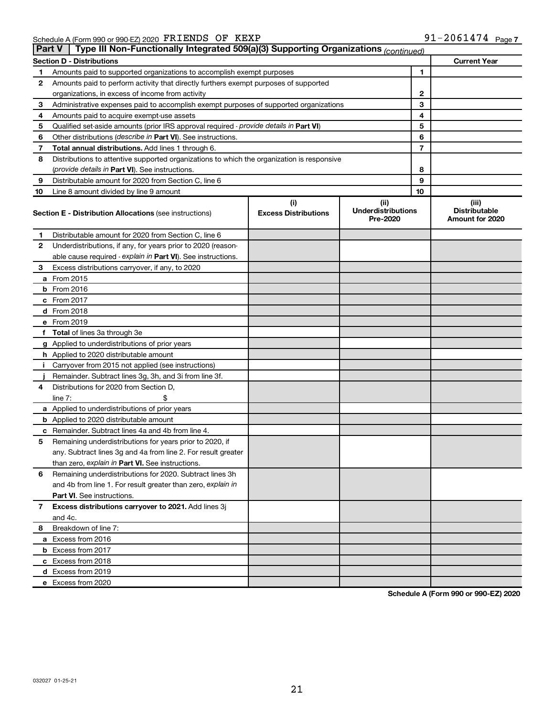| Type III Non-Functionally Integrated 509(a)(3) Supporting Organizations (continued)<br><b>Part V</b> |                                                                                            |                                    |                                               |    |                                                  |
|------------------------------------------------------------------------------------------------------|--------------------------------------------------------------------------------------------|------------------------------------|-----------------------------------------------|----|--------------------------------------------------|
|                                                                                                      | <b>Section D - Distributions</b>                                                           |                                    |                                               |    | <b>Current Year</b>                              |
| 1                                                                                                    | Amounts paid to supported organizations to accomplish exempt purposes                      |                                    |                                               | 1  |                                                  |
| 2                                                                                                    | Amounts paid to perform activity that directly furthers exempt purposes of supported       |                                    |                                               |    |                                                  |
|                                                                                                      | organizations, in excess of income from activity                                           |                                    | 2                                             |    |                                                  |
| 3                                                                                                    | Administrative expenses paid to accomplish exempt purposes of supported organizations      |                                    |                                               | 3  |                                                  |
| 4                                                                                                    | Amounts paid to acquire exempt-use assets                                                  |                                    |                                               | 4  |                                                  |
| 5                                                                                                    | Qualified set-aside amounts (prior IRS approval required - provide details in Part VI)     |                                    |                                               | 5  |                                                  |
| 6                                                                                                    | Other distributions ( <i>describe in Part VI</i> ). See instructions.                      |                                    |                                               | 6  |                                                  |
| 7                                                                                                    | Total annual distributions. Add lines 1 through 6.                                         |                                    |                                               | 7  |                                                  |
| 8                                                                                                    | Distributions to attentive supported organizations to which the organization is responsive |                                    |                                               |    |                                                  |
|                                                                                                      | (provide details in Part VI). See instructions.                                            |                                    |                                               | 8  |                                                  |
| 9                                                                                                    | Distributable amount for 2020 from Section C, line 6                                       |                                    |                                               | 9  |                                                  |
| 10                                                                                                   | Line 8 amount divided by line 9 amount                                                     |                                    |                                               | 10 |                                                  |
|                                                                                                      | <b>Section E - Distribution Allocations (see instructions)</b>                             | (i)<br><b>Excess Distributions</b> | (ii)<br><b>Underdistributions</b><br>Pre-2020 |    | (iii)<br><b>Distributable</b><br>Amount for 2020 |
| 1                                                                                                    | Distributable amount for 2020 from Section C, line 6                                       |                                    |                                               |    |                                                  |
| 2                                                                                                    | Underdistributions, if any, for years prior to 2020 (reason-                               |                                    |                                               |    |                                                  |
|                                                                                                      | able cause required - explain in Part VI). See instructions.                               |                                    |                                               |    |                                                  |
| 3                                                                                                    | Excess distributions carryover, if any, to 2020                                            |                                    |                                               |    |                                                  |
|                                                                                                      | a From 2015                                                                                |                                    |                                               |    |                                                  |
|                                                                                                      | <b>b</b> From 2016                                                                         |                                    |                                               |    |                                                  |
|                                                                                                      | c From 2017                                                                                |                                    |                                               |    |                                                  |
|                                                                                                      | d From 2018                                                                                |                                    |                                               |    |                                                  |
|                                                                                                      | e From 2019                                                                                |                                    |                                               |    |                                                  |
|                                                                                                      | f Total of lines 3a through 3e                                                             |                                    |                                               |    |                                                  |
|                                                                                                      | g Applied to underdistributions of prior years                                             |                                    |                                               |    |                                                  |
|                                                                                                      | <b>h</b> Applied to 2020 distributable amount                                              |                                    |                                               |    |                                                  |
| Ť.                                                                                                   | Carryover from 2015 not applied (see instructions)                                         |                                    |                                               |    |                                                  |
|                                                                                                      | Remainder. Subtract lines 3g, 3h, and 3i from line 3f.                                     |                                    |                                               |    |                                                  |
| 4                                                                                                    | Distributions for 2020 from Section D,                                                     |                                    |                                               |    |                                                  |
|                                                                                                      | line $7:$                                                                                  |                                    |                                               |    |                                                  |
|                                                                                                      | a Applied to underdistributions of prior years                                             |                                    |                                               |    |                                                  |
|                                                                                                      | <b>b</b> Applied to 2020 distributable amount                                              |                                    |                                               |    |                                                  |
|                                                                                                      | c Remainder. Subtract lines 4a and 4b from line 4.                                         |                                    |                                               |    |                                                  |
| 5                                                                                                    | Remaining underdistributions for years prior to 2020, if                                   |                                    |                                               |    |                                                  |
|                                                                                                      | any. Subtract lines 3g and 4a from line 2. For result greater                              |                                    |                                               |    |                                                  |
|                                                                                                      | than zero, explain in Part VI. See instructions.                                           |                                    |                                               |    |                                                  |
| 6                                                                                                    | Remaining underdistributions for 2020. Subtract lines 3h                                   |                                    |                                               |    |                                                  |
|                                                                                                      | and 4b from line 1. For result greater than zero, explain in                               |                                    |                                               |    |                                                  |
|                                                                                                      | <b>Part VI.</b> See instructions.                                                          |                                    |                                               |    |                                                  |
| 7                                                                                                    | Excess distributions carryover to 2021. Add lines 3j                                       |                                    |                                               |    |                                                  |
|                                                                                                      | and 4c.                                                                                    |                                    |                                               |    |                                                  |
| 8                                                                                                    | Breakdown of line 7:                                                                       |                                    |                                               |    |                                                  |
|                                                                                                      | a Excess from 2016                                                                         |                                    |                                               |    |                                                  |
|                                                                                                      | <b>b</b> Excess from 2017                                                                  |                                    |                                               |    |                                                  |
|                                                                                                      | c Excess from 2018                                                                         |                                    |                                               |    |                                                  |
|                                                                                                      | d Excess from 2019                                                                         |                                    |                                               |    |                                                  |
|                                                                                                      | e Excess from 2020                                                                         |                                    |                                               |    |                                                  |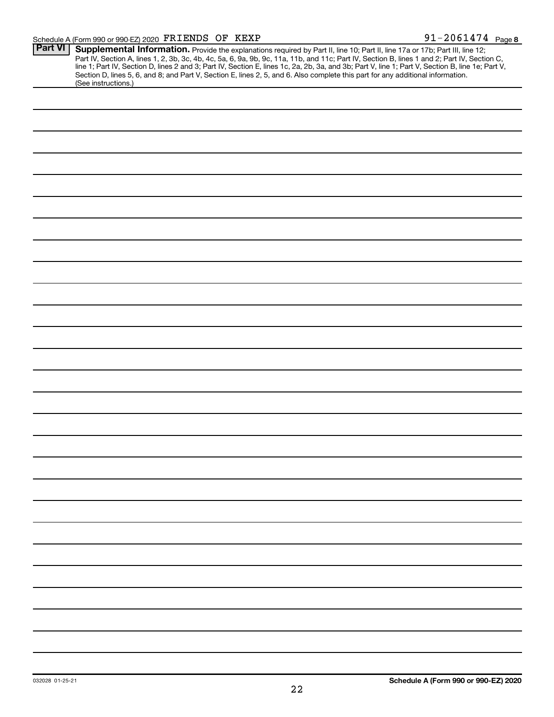| <b>Part VI</b> | Supplemental Information. Provide the explanations required by Part II, line 10; Part II, line 17a or 17b; Part III, line 12;                    |
|----------------|--------------------------------------------------------------------------------------------------------------------------------------------------|
|                | Part IV, Section A, lines 1, 2, 3b, 3c, 4b, 4c, 5a, 6, 9a, 9b, 9c, 11a, 11b, and 11c; Part IV, Section B, lines 1 and 2; Part IV, Section C,     |
|                | line 1; Part IV, Section D, lines 2 and 3; Part IV, Section E, lines 1c, 2a, 2b, 3a, and 3b; Part V, line 1; Part V, Section B, line 1e; Part V, |
|                | Section D, lines 5, 6, and 8; and Part V, Section E, lines 2, 5, and 6. Also complete this part for any additional information.                  |
|                | (See instructions.)                                                                                                                              |
|                |                                                                                                                                                  |
|                |                                                                                                                                                  |
|                |                                                                                                                                                  |
|                |                                                                                                                                                  |
|                |                                                                                                                                                  |
|                |                                                                                                                                                  |
|                |                                                                                                                                                  |
|                |                                                                                                                                                  |
|                |                                                                                                                                                  |
|                |                                                                                                                                                  |
|                |                                                                                                                                                  |
|                |                                                                                                                                                  |
|                |                                                                                                                                                  |
|                |                                                                                                                                                  |
|                |                                                                                                                                                  |
|                |                                                                                                                                                  |
|                |                                                                                                                                                  |
|                |                                                                                                                                                  |
|                |                                                                                                                                                  |
|                |                                                                                                                                                  |
|                |                                                                                                                                                  |
|                |                                                                                                                                                  |
|                |                                                                                                                                                  |
|                |                                                                                                                                                  |
|                |                                                                                                                                                  |
|                |                                                                                                                                                  |
|                |                                                                                                                                                  |
|                |                                                                                                                                                  |
|                |                                                                                                                                                  |
|                |                                                                                                                                                  |
|                |                                                                                                                                                  |
|                |                                                                                                                                                  |
|                |                                                                                                                                                  |
|                |                                                                                                                                                  |
|                |                                                                                                                                                  |
|                |                                                                                                                                                  |
|                |                                                                                                                                                  |
|                |                                                                                                                                                  |
|                |                                                                                                                                                  |
|                |                                                                                                                                                  |
|                |                                                                                                                                                  |
|                |                                                                                                                                                  |
|                |                                                                                                                                                  |
|                |                                                                                                                                                  |
|                |                                                                                                                                                  |
|                |                                                                                                                                                  |
|                |                                                                                                                                                  |
|                |                                                                                                                                                  |
|                |                                                                                                                                                  |
|                |                                                                                                                                                  |
|                |                                                                                                                                                  |
|                |                                                                                                                                                  |
|                |                                                                                                                                                  |
|                |                                                                                                                                                  |
|                |                                                                                                                                                  |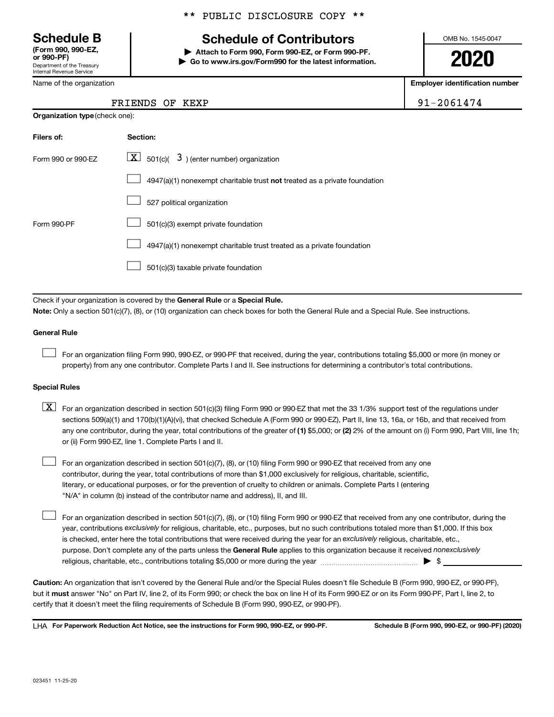Department of the Treasury Internal Revenue Service **(Form 990, 990-EZ,**

Name of the organization

### \*\* PUBLIC DISCLOSURE COPY \*\*

# **Schedule B Schedule of Contributors**

**or 990-PF) | Attach to Form 990, Form 990-EZ, or Form 990-PF. | Go to www.irs.gov/Form990 for the latest information.** OMB No. 1545-0047

**2020**

**Employer identification number**

|  | $-2061474$ |  |  |
|--|------------|--|--|
|  |            |  |  |

| FRIENDS OF KEXP |  | 91-2061474 |  |
|-----------------|--|------------|--|
|                 |  |            |  |

| <b>Organization type (check one):</b> |                                                                                    |  |  |
|---------------------------------------|------------------------------------------------------------------------------------|--|--|
| Filers of:                            | Section:                                                                           |  |  |
| Form 990 or 990-EZ                    | $ \mathbf{X} $ 501(c)( 3) (enter number) organization                              |  |  |
|                                       | $4947(a)(1)$ nonexempt charitable trust <b>not</b> treated as a private foundation |  |  |
|                                       | 527 political organization                                                         |  |  |
| Form 990-PF                           | 501(c)(3) exempt private foundation                                                |  |  |
|                                       | 4947(a)(1) nonexempt charitable trust treated as a private foundation              |  |  |
|                                       | 501(c)(3) taxable private foundation                                               |  |  |

Check if your organization is covered by the General Rule or a Special Rule.

**Note:**  Only a section 501(c)(7), (8), or (10) organization can check boxes for both the General Rule and a Special Rule. See instructions.

### **General Rule**

 $\Box$ 

 $\Box$ 

For an organization filing Form 990, 990-EZ, or 990-PF that received, during the year, contributions totaling \$5,000 or more (in money or property) from any one contributor. Complete Parts I and II. See instructions for determining a contributor's total contributions.

### **Special Rules**

any one contributor, during the year, total contributions of the greater of (1) \$5,000; or (2) 2% of the amount on (i) Form 990, Part VIII, line 1h;  $\boxed{\text{X}}$  For an organization described in section 501(c)(3) filing Form 990 or 990-EZ that met the 33 1/3% support test of the regulations under sections 509(a)(1) and 170(b)(1)(A)(vi), that checked Schedule A (Form 990 or 990-EZ), Part II, line 13, 16a, or 16b, and that received from or (ii) Form 990-EZ, line 1. Complete Parts I and II.

For an organization described in section 501(c)(7), (8), or (10) filing Form 990 or 990-EZ that received from any one contributor, during the year, total contributions of more than \$1,000 exclusively for religious, charitable, scientific, literary, or educational purposes, or for the prevention of cruelty to children or animals. Complete Parts I (entering "N/A" in column (b) instead of the contributor name and address), II, and III.  $\Box$ 

purpose. Don't complete any of the parts unless the General Rule applies to this organization because it received nonexclusively year, contributions exclusively for religious, charitable, etc., purposes, but no such contributions totaled more than \$1,000. If this box is checked, enter here the total contributions that were received during the year for an exclusively religious, charitable, etc., For an organization described in section 501(c)(7), (8), or (10) filing Form 990 or 990-EZ that received from any one contributor, during the religious, charitable, etc., contributions totaling \$5,000 or more during the year  $~\ldots\ldots\ldots\ldots\ldots\ldots\ldots\ldots\blacktriangleright~$ \$

**Caution:**  An organization that isn't covered by the General Rule and/or the Special Rules doesn't file Schedule B (Form 990, 990-EZ, or 990-PF),  **must** but it answer "No" on Part IV, line 2, of its Form 990; or check the box on line H of its Form 990-EZ or on its Form 990-PF, Part I, line 2, to certify that it doesn't meet the filing requirements of Schedule B (Form 990, 990-EZ, or 990-PF).

**For Paperwork Reduction Act Notice, see the instructions for Form 990, 990-EZ, or 990-PF. Schedule B (Form 990, 990-EZ, or 990-PF) (2020)** LHA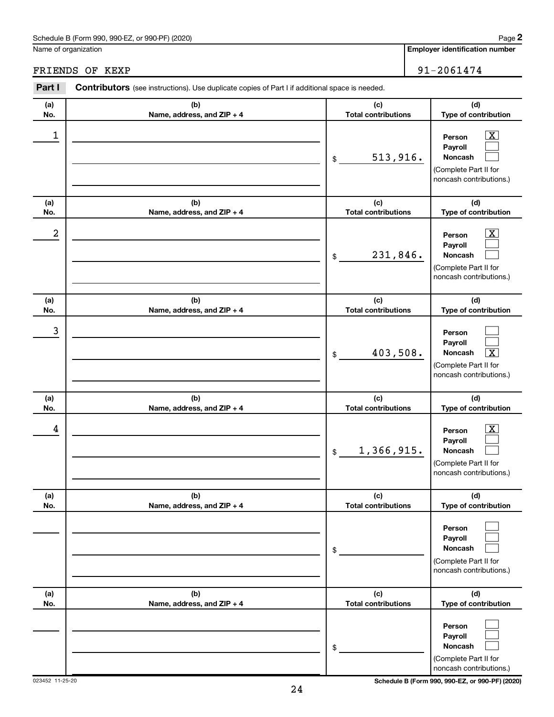### Schedule B (Form 990, 990-EZ, or 990-PF) (2020)

Name of organization

| Part I           | <b>Contributors</b> (see instructions). Use duplicate copies of Part I if additional space is needed. |                                                |                                                                                                                                     |  |  |
|------------------|-------------------------------------------------------------------------------------------------------|------------------------------------------------|-------------------------------------------------------------------------------------------------------------------------------------|--|--|
| (a)              | (b)                                                                                                   | (c)                                            | (d)                                                                                                                                 |  |  |
| No.              | Name, address, and ZIP + 4                                                                            | <b>Total contributions</b>                     | Type of contribution                                                                                                                |  |  |
| 1                |                                                                                                       | 513,916.<br>$\$$                               | $\overline{\text{X}}$<br>Person<br>Payroll<br>Noncash<br>(Complete Part II for<br>noncash contributions.)                           |  |  |
| (a)<br>No.       | (b)<br>Name, address, and ZIP + 4                                                                     | (c)<br><b>Total contributions</b>              | (d)<br>Type of contribution                                                                                                         |  |  |
| $\boldsymbol{2}$ |                                                                                                       | 231,846.<br>$\$$                               | $\overline{\text{X}}$<br>Person<br>Payroll<br>Noncash<br>(Complete Part II for<br>noncash contributions.)                           |  |  |
| (a)              | (b)                                                                                                   | (c)                                            | (d)                                                                                                                                 |  |  |
| No.<br>3         | Name, address, and ZIP + 4                                                                            | <b>Total contributions</b><br>403,508.<br>$\$$ | Type of contribution<br>Person<br>Payroll<br>$\overline{\textbf{x}}$<br>Noncash<br>(Complete Part II for<br>noncash contributions.) |  |  |
| (a)              | (b)                                                                                                   | (c)                                            | (d)                                                                                                                                 |  |  |
| No.<br>4         | Name, address, and ZIP + 4                                                                            | <b>Total contributions</b><br>1,366,915.<br>\$ | Type of contribution<br>$\overline{\text{X}}$<br>Person<br>Payroll<br>Noncash<br>(Complete Part II for<br>noncash contributions.)   |  |  |
| (a)<br>No.       | (b)<br>Name, address, and ZIP + 4                                                                     | (c)<br><b>Total contributions</b>              | (d)<br>Type of contribution                                                                                                         |  |  |
|                  |                                                                                                       | $\$$                                           | Person<br>Payroll<br>Noncash<br>(Complete Part II for<br>noncash contributions.)                                                    |  |  |
| (a)<br>No.       | (b)<br>Name, address, and ZIP + 4                                                                     | (c)<br><b>Total contributions</b>              | (d)<br>Type of contribution                                                                                                         |  |  |
|                  |                                                                                                       | \$                                             | Person<br>Payroll<br>Noncash<br>(Complete Part II for<br>noncash contributions.)                                                    |  |  |

023452 11-25-20 **Schedule B (Form 990, 990-EZ, or 990-PF) (2020)**

FRIENDS OF KEXP 91-2061474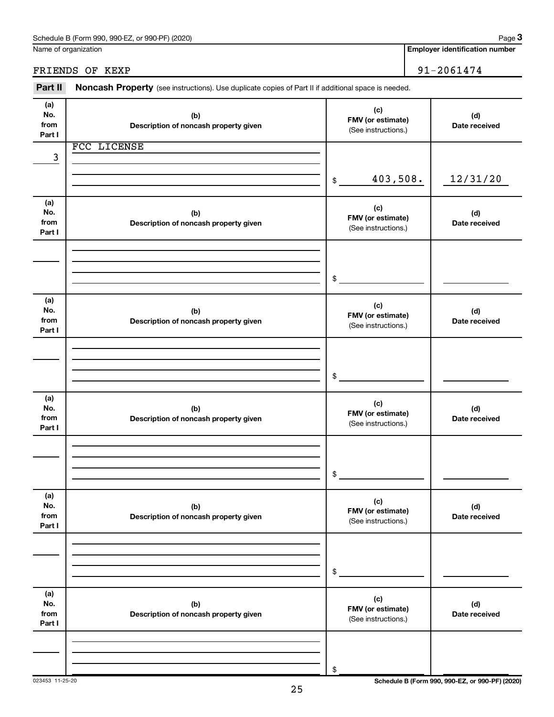|                              | Name of organization                                                                                | <b>Employer identification number</b>           |  |                      |
|------------------------------|-----------------------------------------------------------------------------------------------------|-------------------------------------------------|--|----------------------|
|                              | FRIENDS OF KEXP                                                                                     |                                                 |  | 91-2061474           |
| Part II                      | Noncash Property (see instructions). Use duplicate copies of Part II if additional space is needed. |                                                 |  |                      |
| (a)<br>No.<br>from<br>Part I | (b)<br>Description of noncash property given                                                        | (c)<br>FMV (or estimate)<br>(See instructions.) |  | (d)<br>Date received |
|                              | FCC LICENSE                                                                                         |                                                 |  |                      |
| 3                            |                                                                                                     | 403,508.<br>\$                                  |  | 12/31/20             |
| (a)<br>No.<br>from<br>Part I | (b)<br>Description of noncash property given                                                        | (c)<br>FMV (or estimate)<br>(See instructions.) |  | (d)<br>Date received |
|                              |                                                                                                     | \$                                              |  |                      |
| (a)<br>No.<br>from<br>Part I | (b)<br>Description of noncash property given                                                        | (c)<br>FMV (or estimate)<br>(See instructions.) |  | (d)<br>Date received |
|                              |                                                                                                     | \$                                              |  |                      |
| (a)<br>No.<br>from<br>Part I | (b)<br>Description of noncash property given                                                        | (c)<br>FMV (or estimate)<br>(See instructions.) |  | (d)<br>Date received |
|                              |                                                                                                     | \$                                              |  |                      |
| (a)<br>No.<br>from<br>Part I | (b)<br>Description of noncash property given                                                        | (c)<br>FMV (or estimate)<br>(See instructions.) |  | (d)<br>Date received |
|                              |                                                                                                     | \$                                              |  |                      |
| (a)<br>No.<br>from<br>Part I | (b)<br>Description of noncash property given                                                        | (c)<br>FMV (or estimate)<br>(See instructions.) |  | (d)<br>Date received |
|                              |                                                                                                     | \$                                              |  |                      |

Schedule B (Form 990, 990-EZ, or 990-PF) (2020)

**3**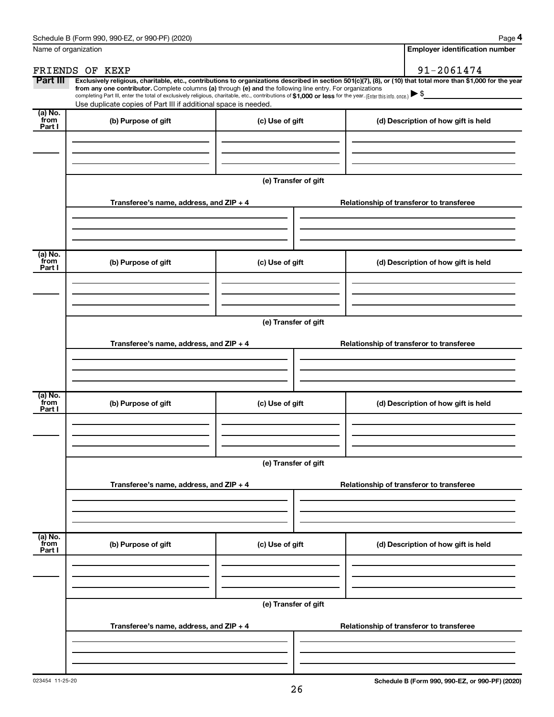| Name of organization      |                                                                                                                                                                                                                                                                                                                                           | <b>Employer identification number</b> |                                                                                                                                                                |  |  |
|---------------------------|-------------------------------------------------------------------------------------------------------------------------------------------------------------------------------------------------------------------------------------------------------------------------------------------------------------------------------------------|---------------------------------------|----------------------------------------------------------------------------------------------------------------------------------------------------------------|--|--|
|                           | FRIENDS OF KEXP                                                                                                                                                                                                                                                                                                                           |                                       | 91-2061474                                                                                                                                                     |  |  |
| Part III                  | from any one contributor. Complete columns (a) through (e) and the following line entry. For organizations<br>completing Part III, enter the total of exclusively religious, charitable, etc., contributions of \$1,000 or less for the year. (Enter this info. once.)<br>Use duplicate copies of Part III if additional space is needed. |                                       | Exclusively religious, charitable, etc., contributions to organizations described in section 501(c)(7), (8), or (10) that total more than \$1,000 for the year |  |  |
| (a) No.<br>from<br>Part I | (b) Purpose of gift                                                                                                                                                                                                                                                                                                                       | (c) Use of gift                       | (d) Description of how gift is held                                                                                                                            |  |  |
|                           |                                                                                                                                                                                                                                                                                                                                           | (e) Transfer of gift                  |                                                                                                                                                                |  |  |
|                           | Transferee's name, address, and ZIP + 4                                                                                                                                                                                                                                                                                                   |                                       | Relationship of transferor to transferee                                                                                                                       |  |  |
| (a) No.<br>from<br>Part I | (b) Purpose of gift                                                                                                                                                                                                                                                                                                                       | (c) Use of gift                       | (d) Description of how gift is held                                                                                                                            |  |  |
|                           | Transferee's name, address, and ZIP + 4                                                                                                                                                                                                                                                                                                   | (e) Transfer of gift                  | Relationship of transferor to transferee                                                                                                                       |  |  |
| (a) No.<br>from<br>Part I | (b) Purpose of gift                                                                                                                                                                                                                                                                                                                       | (c) Use of gift                       | (d) Description of how gift is held                                                                                                                            |  |  |
|                           | (e) Transfer of gift                                                                                                                                                                                                                                                                                                                      |                                       |                                                                                                                                                                |  |  |
|                           | Transferee's name, address, and ZIP + 4                                                                                                                                                                                                                                                                                                   |                                       | Relationship of transferor to transferee                                                                                                                       |  |  |
| (a) No.<br>from<br>Part I | (b) Purpose of gift                                                                                                                                                                                                                                                                                                                       | (c) Use of gift                       | (d) Description of how gift is held                                                                                                                            |  |  |
|                           |                                                                                                                                                                                                                                                                                                                                           | (e) Transfer of gift                  |                                                                                                                                                                |  |  |
|                           | Transferee's name, address, and ZIP + 4                                                                                                                                                                                                                                                                                                   |                                       | Relationship of transferor to transferee                                                                                                                       |  |  |
|                           |                                                                                                                                                                                                                                                                                                                                           |                                       |                                                                                                                                                                |  |  |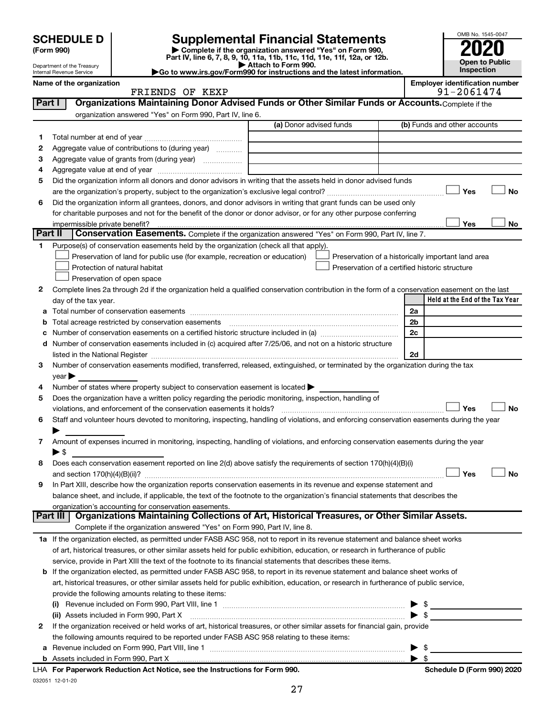| <b>SCHEDULE D</b> |  |  |  |
|-------------------|--|--|--|
|-------------------|--|--|--|

| (Form 990) |  |
|------------|--|
|------------|--|

# **SCHEDULE D Supplemental Financial Statements**<br> **Form 990 2020**<br> **Part IV** line 6.7.8.9.10, 11a, 11b, 11d, 11d, 11d, 11d, 11d, 12a, 0r, 12b

**(Form 990) | Complete if the organization answered "Yes" on Form 990, Part IV, line 6, 7, 8, 9, 10, 11a, 11b, 11c, 11d, 11e, 11f, 12a, or 12b.**

**| Attach to Form 990. |Go to www.irs.gov/Form990 for instructions and the latest information.**



Department of the Treasury Internal Revenue Service

| Name of the organization | <b>Emplover identification number</b> |
|--------------------------|---------------------------------------|
| FRIENDS OF KEXP          | 91-2061474                            |

|         | FRIENDS OF KEXP                                                                                                                                                                                                               |                         | 91-2061474              |                                                    |  |  |
|---------|-------------------------------------------------------------------------------------------------------------------------------------------------------------------------------------------------------------------------------|-------------------------|-------------------------|----------------------------------------------------|--|--|
| Part I  | Organizations Maintaining Donor Advised Funds or Other Similar Funds or Accounts. Complete if the                                                                                                                             |                         |                         |                                                    |  |  |
|         | organization answered "Yes" on Form 990, Part IV, line 6.                                                                                                                                                                     |                         |                         |                                                    |  |  |
|         |                                                                                                                                                                                                                               | (a) Donor advised funds |                         | (b) Funds and other accounts                       |  |  |
| 1       |                                                                                                                                                                                                                               |                         |                         |                                                    |  |  |
| 2       | Aggregate value of contributions to (during year)                                                                                                                                                                             |                         |                         |                                                    |  |  |
| з       | Aggregate value of grants from (during year)                                                                                                                                                                                  |                         |                         |                                                    |  |  |
| 4       |                                                                                                                                                                                                                               |                         |                         |                                                    |  |  |
| 5       | Did the organization inform all donors and donor advisors in writing that the assets held in donor advised funds                                                                                                              |                         |                         |                                                    |  |  |
|         |                                                                                                                                                                                                                               |                         |                         | Yes<br>No                                          |  |  |
| 6       | Did the organization inform all grantees, donors, and donor advisors in writing that grant funds can be used only                                                                                                             |                         |                         |                                                    |  |  |
|         | for charitable purposes and not for the benefit of the donor or donor advisor, or for any other purpose conferring                                                                                                            |                         |                         |                                                    |  |  |
|         | impermissible private benefit?                                                                                                                                                                                                |                         |                         | Yes<br>No                                          |  |  |
| Part II | Conservation Easements. Complete if the organization answered "Yes" on Form 990, Part IV, line 7.                                                                                                                             |                         |                         |                                                    |  |  |
| 1.      | Purpose(s) of conservation easements held by the organization (check all that apply).                                                                                                                                         |                         |                         |                                                    |  |  |
|         | Preservation of land for public use (for example, recreation or education)                                                                                                                                                    |                         |                         | Preservation of a historically important land area |  |  |
|         | Protection of natural habitat                                                                                                                                                                                                 |                         |                         | Preservation of a certified historic structure     |  |  |
|         | Preservation of open space                                                                                                                                                                                                    |                         |                         |                                                    |  |  |
| 2       | Complete lines 2a through 2d if the organization held a qualified conservation contribution in the form of a conservation easement on the last                                                                                |                         |                         |                                                    |  |  |
|         | day of the tax year.                                                                                                                                                                                                          |                         |                         | Held at the End of the Tax Year                    |  |  |
|         |                                                                                                                                                                                                                               |                         | 2a                      |                                                    |  |  |
|         | Total acreage restricted by conservation easements                                                                                                                                                                            |                         | 2b                      |                                                    |  |  |
|         |                                                                                                                                                                                                                               |                         | 2c                      |                                                    |  |  |
|         | d Number of conservation easements included in (c) acquired after 7/25/06, and not on a historic structure                                                                                                                    |                         |                         |                                                    |  |  |
|         | listed in the National Register [111] Marshall Register [11] Marshall Register [11] Marshall Register [11] Marshall Register [11] Marshall Register [11] Marshall Register [11] Marshall Register [11] Marshall Register [11] |                         | 2d                      |                                                    |  |  |
| 3       | Number of conservation easements modified, transferred, released, extinguished, or terminated by the organization during the tax                                                                                              |                         |                         |                                                    |  |  |
|         | $year \triangleright$                                                                                                                                                                                                         |                         |                         |                                                    |  |  |
| 4       | Number of states where property subject to conservation easement is located >                                                                                                                                                 |                         |                         |                                                    |  |  |
| 5       | Does the organization have a written policy regarding the periodic monitoring, inspection, handling of                                                                                                                        |                         |                         |                                                    |  |  |
|         | violations, and enforcement of the conservation easements it holds?                                                                                                                                                           |                         |                         | No<br>Yes                                          |  |  |
| 6       | Staff and volunteer hours devoted to monitoring, inspecting, handling of violations, and enforcing conservation easements during the year                                                                                     |                         |                         |                                                    |  |  |
|         |                                                                                                                                                                                                                               |                         |                         |                                                    |  |  |
| 7       | Amount of expenses incurred in monitoring, inspecting, handling of violations, and enforcing conservation easements during the year                                                                                           |                         |                         |                                                    |  |  |
|         | ▶ \$                                                                                                                                                                                                                          |                         |                         |                                                    |  |  |
| 8       | Does each conservation easement reported on line 2(d) above satisfy the requirements of section 170(h)(4)(B)(i)                                                                                                               |                         |                         |                                                    |  |  |
|         |                                                                                                                                                                                                                               |                         |                         | Yes<br>No                                          |  |  |
| 9       | In Part XIII, describe how the organization reports conservation easements in its revenue and expense statement and                                                                                                           |                         |                         |                                                    |  |  |
|         | balance sheet, and include, if applicable, the text of the footnote to the organization's financial statements that describes the                                                                                             |                         |                         |                                                    |  |  |
|         | organization's accounting for conservation easements.                                                                                                                                                                         |                         |                         |                                                    |  |  |
|         | Organizations Maintaining Collections of Art, Historical Treasures, or Other Similar Assets.<br>Part III                                                                                                                      |                         |                         |                                                    |  |  |
|         | Complete if the organization answered "Yes" on Form 990, Part IV, line 8.                                                                                                                                                     |                         |                         |                                                    |  |  |
|         | 1a If the organization elected, as permitted under FASB ASC 958, not to report in its revenue statement and balance sheet works                                                                                               |                         |                         |                                                    |  |  |
|         | of art, historical treasures, or other similar assets held for public exhibition, education, or research in furtherance of public                                                                                             |                         |                         |                                                    |  |  |
|         | service, provide in Part XIII the text of the footnote to its financial statements that describes these items.                                                                                                                |                         |                         |                                                    |  |  |
|         | b If the organization elected, as permitted under FASB ASC 958, to report in its revenue statement and balance sheet works of                                                                                                 |                         |                         |                                                    |  |  |
|         | art, historical treasures, or other similar assets held for public exhibition, education, or research in furtherance of public service,                                                                                       |                         |                         |                                                    |  |  |
|         | provide the following amounts relating to these items:                                                                                                                                                                        |                         |                         |                                                    |  |  |
|         |                                                                                                                                                                                                                               |                         |                         | \$                                                 |  |  |
|         | (ii) Assets included in Form 990, Part X                                                                                                                                                                                      |                         | $\blacktriangleright$ s |                                                    |  |  |
| 2       | If the organization received or held works of art, historical treasures, or other similar assets for financial gain, provide                                                                                                  |                         |                         |                                                    |  |  |
|         | the following amounts required to be reported under FASB ASC 958 relating to these items:                                                                                                                                     |                         |                         |                                                    |  |  |
|         |                                                                                                                                                                                                                               |                         |                         | -\$                                                |  |  |
|         |                                                                                                                                                                                                                               |                         | $\blacktriangleright$ s |                                                    |  |  |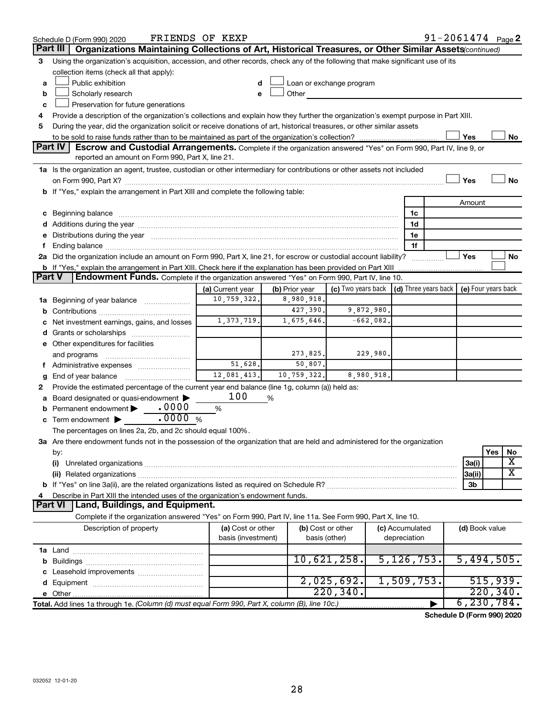|    | Schedule D (Form 990) 2020                                                                                                           | FRIENDS OF KEXP                         |                |                          |                                                         | $91 - 2061474$ Page 2 |                     |           |                         |
|----|--------------------------------------------------------------------------------------------------------------------------------------|-----------------------------------------|----------------|--------------------------|---------------------------------------------------------|-----------------------|---------------------|-----------|-------------------------|
|    | Organizations Maintaining Collections of Art, Historical Treasures, or Other Similar Assets(continued)<br>Part III                   |                                         |                |                          |                                                         |                       |                     |           |                         |
| 3  | Using the organization's acquisition, accession, and other records, check any of the following that make significant use of its      |                                         |                |                          |                                                         |                       |                     |           |                         |
|    | collection items (check all that apply):                                                                                             |                                         |                |                          |                                                         |                       |                     |           |                         |
| a  | Public exhibition                                                                                                                    |                                         |                | Loan or exchange program |                                                         |                       |                     |           |                         |
| b  | Scholarly research                                                                                                                   |                                         | Other          |                          |                                                         |                       |                     |           |                         |
| c  | Preservation for future generations                                                                                                  |                                         |                |                          |                                                         |                       |                     |           |                         |
| 4  | Provide a description of the organization's collections and explain how they further the organization's exempt purpose in Part XIII. |                                         |                |                          |                                                         |                       |                     |           |                         |
| 5  | During the year, did the organization solicit or receive donations of art, historical treasures, or other similar assets             |                                         |                |                          |                                                         |                       |                     |           |                         |
|    |                                                                                                                                      |                                         |                |                          |                                                         |                       | Yes                 |           | No                      |
|    | Part IV<br><b>Escrow and Custodial Arrangements.</b> Complete if the organization answered "Yes" on Form 990, Part IV, line 9, or    |                                         |                |                          |                                                         |                       |                     |           |                         |
|    | reported an amount on Form 990, Part X, line 21.                                                                                     |                                         |                |                          |                                                         |                       |                     |           |                         |
|    | 1a Is the organization an agent, trustee, custodian or other intermediary for contributions or other assets not included             |                                         |                |                          |                                                         |                       |                     |           |                         |
|    |                                                                                                                                      |                                         |                |                          |                                                         |                       | Yes                 |           | No                      |
|    | b If "Yes," explain the arrangement in Part XIII and complete the following table:                                                   |                                         |                |                          |                                                         |                       |                     |           |                         |
|    |                                                                                                                                      |                                         |                |                          |                                                         |                       | Amount              |           |                         |
|    |                                                                                                                                      |                                         |                |                          | 1c                                                      |                       |                     |           |                         |
|    |                                                                                                                                      |                                         |                |                          | 1d                                                      |                       |                     |           |                         |
|    |                                                                                                                                      |                                         |                |                          | 1е<br>1f                                                |                       |                     |           |                         |
|    | 2a Did the organization include an amount on Form 990, Part X, line 21, for escrow or custodial account liability?                   |                                         |                |                          |                                                         |                       | Yes                 |           | No                      |
|    | <b>b</b> If "Yes," explain the arrangement in Part XIII. Check here if the explanation has been provided on Part XIII                |                                         |                |                          |                                                         |                       |                     |           |                         |
|    | Endowment Funds. Complete if the organization answered "Yes" on Form 990, Part IV, line 10.<br>Part V                                |                                         |                |                          |                                                         |                       |                     |           |                         |
|    |                                                                                                                                      | (a) Current year                        | (b) Prior year |                          | (c) Two years back $\vert$ (d) Three years back $\vert$ |                       | (e) Four years back |           |                         |
| ٦а | Beginning of year balance                                                                                                            | 10,759,322.                             | 8,980,918.     |                          |                                                         |                       |                     |           |                         |
| b  |                                                                                                                                      |                                         | 427,390.       | 9,872,980.               |                                                         |                       |                     |           |                         |
|    | Net investment earnings, gains, and losses                                                                                           | 1, 373, 719.                            | 1,675,646.     | $-662,082.$              |                                                         |                       |                     |           |                         |
|    |                                                                                                                                      |                                         |                |                          |                                                         |                       |                     |           |                         |
|    | e Other expenditures for facilities                                                                                                  |                                         |                |                          |                                                         |                       |                     |           |                         |
|    | and programs                                                                                                                         |                                         | 273,825.       | 229,980.                 |                                                         |                       |                     |           |                         |
|    | f Administrative expenses                                                                                                            | 51,628.                                 | 50,807.        |                          |                                                         |                       |                     |           |                         |
| g  |                                                                                                                                      | 12,081,413.                             | 10,759,322.    | 8,980,918.               |                                                         |                       |                     |           |                         |
| 2  | Provide the estimated percentage of the current year end balance (line 1g, column (a)) held as:                                      |                                         |                |                          |                                                         |                       |                     |           |                         |
|    | Board designated or quasi-endowment                                                                                                  | 100                                     | %              |                          |                                                         |                       |                     |           |                         |
|    | .0000<br>Permanent endowment                                                                                                         | %                                       |                |                          |                                                         |                       |                     |           |                         |
|    | .0000%<br>Term endowment $\blacktriangleright$                                                                                       |                                         |                |                          |                                                         |                       |                     |           |                         |
|    | The percentages on lines 2a, 2b, and 2c should equal 100%.                                                                           |                                         |                |                          |                                                         |                       |                     |           |                         |
|    | 3a Are there endowment funds not in the possession of the organization that are held and administered for the organization           |                                         |                |                          |                                                         |                       |                     |           |                         |
|    | by:                                                                                                                                  |                                         |                |                          |                                                         |                       |                     | Yes       | No                      |
|    | (i)                                                                                                                                  |                                         |                |                          |                                                         |                       | 3a(i)               |           | х                       |
|    |                                                                                                                                      |                                         |                |                          |                                                         |                       | 3a(ii)              |           | $\overline{\textbf{X}}$ |
|    |                                                                                                                                      |                                         |                |                          |                                                         |                       | 3b                  |           |                         |
|    | Describe in Part XIII the intended uses of the organization's endowment funds.                                                       |                                         |                |                          |                                                         |                       |                     |           |                         |
|    | Land, Buildings, and Equipment.<br>Part VI                                                                                           |                                         |                |                          |                                                         |                       |                     |           |                         |
|    | Complete if the organization answered "Yes" on Form 990, Part IV, line 11a. See Form 990, Part X, line 10.                           |                                         |                |                          |                                                         |                       |                     |           |                         |
|    | Description of property                                                                                                              | (a) Cost or other<br>basis (investment) | basis (other)  | (b) Cost or other        | (c) Accumulated<br>depreciation                         |                       | (d) Book value      |           |                         |
|    |                                                                                                                                      |                                         |                |                          |                                                         |                       |                     |           |                         |
| b  |                                                                                                                                      |                                         |                | 10,621,258.              | 5, 126, 753.                                            |                       | 5,494,505.          |           |                         |
|    |                                                                                                                                      |                                         |                |                          |                                                         |                       |                     |           |                         |
|    |                                                                                                                                      |                                         |                | 2,025,692.               | 1,509,753.                                              |                       |                     | 515,939.  |                         |
|    |                                                                                                                                      |                                         |                | 220, 340.                |                                                         |                       |                     | 220, 340. |                         |
|    | Total. Add lines 1a through 1e. (Column (d) must equal Form 990, Part X, column (B), line 10c.)                                      |                                         |                |                          |                                                         |                       | 6, 230, 784.        |           |                         |

**Schedule D (Form 990) 2020**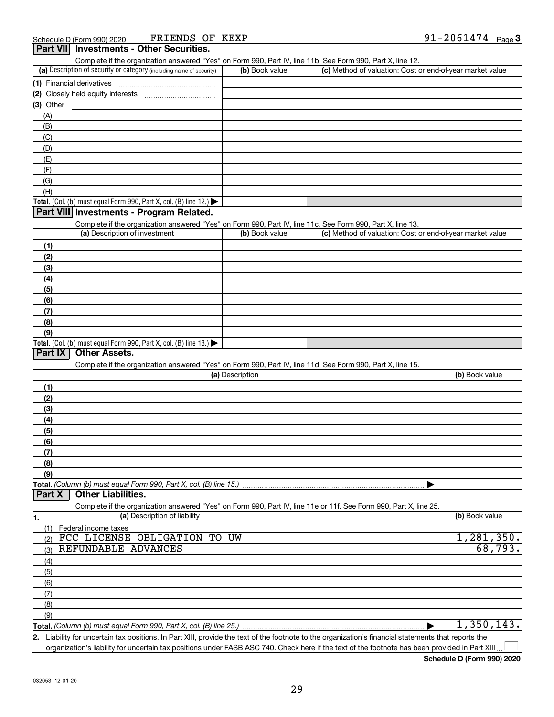| (a) Description of security or category (including name of security)                                              | (b) Book value  | (c) Method of valuation: Cost or end-of-year market value |                |
|-------------------------------------------------------------------------------------------------------------------|-----------------|-----------------------------------------------------------|----------------|
|                                                                                                                   |                 |                                                           |                |
|                                                                                                                   |                 |                                                           |                |
| $(3)$ Other                                                                                                       |                 |                                                           |                |
| (A)                                                                                                               |                 |                                                           |                |
| (B)                                                                                                               |                 |                                                           |                |
| (C)                                                                                                               |                 |                                                           |                |
| (D)                                                                                                               |                 |                                                           |                |
| (E)                                                                                                               |                 |                                                           |                |
| (F)                                                                                                               |                 |                                                           |                |
| (G)                                                                                                               |                 |                                                           |                |
| (H)                                                                                                               |                 |                                                           |                |
| Total. (Col. (b) must equal Form 990, Part X, col. (B) line 12.)                                                  |                 |                                                           |                |
| Part VIII Investments - Program Related.                                                                          |                 |                                                           |                |
| Complete if the organization answered "Yes" on Form 990, Part IV, line 11c. See Form 990, Part X, line 13.        |                 |                                                           |                |
| (a) Description of investment                                                                                     | (b) Book value  | (c) Method of valuation: Cost or end-of-year market value |                |
|                                                                                                                   |                 |                                                           |                |
| (1)                                                                                                               |                 |                                                           |                |
| (2)                                                                                                               |                 |                                                           |                |
| (3)                                                                                                               |                 |                                                           |                |
| (4)                                                                                                               |                 |                                                           |                |
| (5)                                                                                                               |                 |                                                           |                |
| (6)                                                                                                               |                 |                                                           |                |
| (7)                                                                                                               |                 |                                                           |                |
| (8)                                                                                                               |                 |                                                           |                |
| (9)                                                                                                               |                 |                                                           |                |
| Total. (Col. (b) must equal Form 990, Part X, col. (B) line 13.)                                                  |                 |                                                           |                |
| Part IX<br><b>Other Assets.</b>                                                                                   |                 |                                                           |                |
| Complete if the organization answered "Yes" on Form 990, Part IV, line 11d. See Form 990, Part X, line 15.        |                 |                                                           |                |
|                                                                                                                   | (a) Description |                                                           | (b) Book value |
| (1)                                                                                                               |                 |                                                           |                |
| (2)                                                                                                               |                 |                                                           |                |
| (3)                                                                                                               |                 |                                                           |                |
| (4)                                                                                                               |                 |                                                           |                |
| (5)                                                                                                               |                 |                                                           |                |
| (6)                                                                                                               |                 |                                                           |                |
| (7)                                                                                                               |                 |                                                           |                |
| (8)                                                                                                               |                 |                                                           |                |
| (9)                                                                                                               |                 |                                                           |                |
|                                                                                                                   |                 |                                                           |                |
| <b>Other Liabilities.</b><br>Part X                                                                               |                 |                                                           |                |
| Complete if the organization answered "Yes" on Form 990, Part IV, line 11e or 11f. See Form 990, Part X, line 25. |                 |                                                           |                |
| (a) Description of liability<br>1.                                                                                |                 |                                                           | (b) Book value |
| Federal income taxes<br>(1)                                                                                       |                 |                                                           |                |
| FCC LICENSE OBLIGATION TO UW<br>(2)                                                                               |                 |                                                           | 1, 281, 350.   |
| REFUNDABLE ADVANCES<br>(3)                                                                                        |                 |                                                           | 68,793.        |
| (4)                                                                                                               |                 |                                                           |                |
| (5)                                                                                                               |                 |                                                           |                |
| (6)                                                                                                               |                 |                                                           |                |
| (7)                                                                                                               |                 |                                                           |                |
| (8)                                                                                                               |                 |                                                           |                |
| (9)                                                                                                               |                 |                                                           |                |
|                                                                                                                   |                 | ▶                                                         | 1,350,143.     |
|                                                                                                                   |                 |                                                           |                |

Complete if the organization answered "Yes" on Form 990, Part IV, line 11b. See Form 990, Part X, line 12.

**2.** Liability for uncertain tax positions. In Part XIII, provide the text of the footnote to the organization's financial statements that reports the organization's liability for uncertain tax positions under FASB ASC 740. Check here if the text of the footnote has been provided in Part XIII.  $\perp$ 

**Schedule D (Form 990) 2020**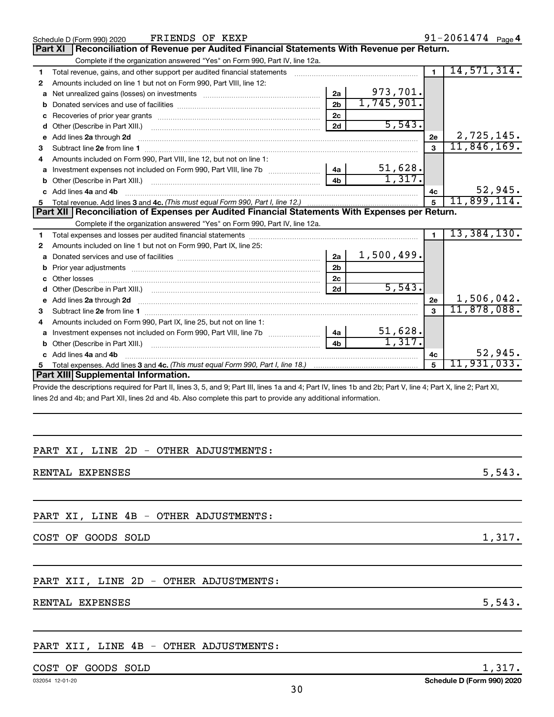|    | FRIENDS OF KEXP<br>Schedule D (Form 990) 2020                                                                                                                |                |            |                | 91-2061474 Page 4 |         |
|----|--------------------------------------------------------------------------------------------------------------------------------------------------------------|----------------|------------|----------------|-------------------|---------|
|    | <b>Part XI</b><br>Reconciliation of Revenue per Audited Financial Statements With Revenue per Return.                                                        |                |            |                |                   |         |
|    | Complete if the organization answered "Yes" on Form 990, Part IV, line 12a.                                                                                  |                |            |                |                   |         |
| 1  | Total revenue, gains, and other support per audited financial statements [111] [11] Total revenue, gains, and other support per audited financial statements |                |            | $\blacksquare$ | 14,571,314.       |         |
| 2  | Amounts included on line 1 but not on Form 990, Part VIII, line 12:                                                                                          |                |            |                |                   |         |
| a  | Net unrealized gains (losses) on investments [111] [12] matter was uncontracted by the unrealized gains (losses) on investments                              | 2a             | 973,701.   |                |                   |         |
| b  |                                                                                                                                                              | 2 <sub>b</sub> | 1,745,901. |                |                   |         |
| c  |                                                                                                                                                              | 2 <sub>c</sub> |            |                |                   |         |
| d  |                                                                                                                                                              | 2d             | 5,543.     |                |                   |         |
| е  | Add lines 2a through 2d                                                                                                                                      |                |            | 2e             | 2,725,145.        |         |
| з  |                                                                                                                                                              |                |            | $\mathbf{a}$   | 11,846,169.       |         |
| 4  | Amounts included on Form 990, Part VIII, line 12, but not on line 1:                                                                                         |                |            |                |                   |         |
|    |                                                                                                                                                              |                | 51,628.    |                |                   |         |
|    |                                                                                                                                                              | 4h             | 1,317.     |                |                   |         |
|    | c Add lines 4a and 4b                                                                                                                                        |                |            | 4с             |                   | 52,945. |
|    |                                                                                                                                                              |                |            | $\overline{5}$ | 11,899,114.       |         |
|    |                                                                                                                                                              |                |            |                |                   |         |
|    | Part XII Reconciliation of Expenses per Audited Financial Statements With Expenses per Return.                                                               |                |            |                |                   |         |
|    | Complete if the organization answered "Yes" on Form 990, Part IV, line 12a.                                                                                  |                |            |                |                   |         |
| 1  |                                                                                                                                                              |                |            | $\blacksquare$ | 13,384,130.       |         |
| 2  | Amounts included on line 1 but not on Form 990, Part IX, line 25:                                                                                            |                |            |                |                   |         |
| a  |                                                                                                                                                              | 2a             | 1,500,499. |                |                   |         |
| b  |                                                                                                                                                              | 2 <sub>b</sub> |            |                |                   |         |
| C. |                                                                                                                                                              | 2 <sub>c</sub> |            |                |                   |         |
| d  |                                                                                                                                                              | 2d             | 5,543.     |                |                   |         |
|    |                                                                                                                                                              |                |            | 2e             | 1,506,042.        |         |
| з  |                                                                                                                                                              |                |            |                | 11,878,088.       |         |
| 4  | Amounts included on Form 990, Part IX, line 25, but not on line 1:                                                                                           |                |            |                |                   |         |
| a  |                                                                                                                                                              |                | 51,628.    |                |                   |         |
|    | Investment expenses not included on Form 990, Part VIII, line 7b [100] [200] 4a                                                                              | 4 <sub>b</sub> | 1,317.     |                |                   |         |
|    | c Add lines 4a and 4b                                                                                                                                        |                |            | 4c             |                   | 52,945. |
|    |                                                                                                                                                              |                |            | 5              | 11,931,033.       |         |
|    | Part XIII Supplemental Information.                                                                                                                          |                |            |                |                   |         |

Provide the descriptions required for Part II, lines 3, 5, and 9; Part III, lines 1a and 4; Part IV, lines 1b and 2b; Part V, line 4; Part X, line 2; Part XI, lines 2d and 4b; and Part XII, lines 2d and 4b. Also complete this part to provide any additional information.

# PART XI, LINE 2D - OTHER ADJUSTMENTS:

RENTAL EXPENSES 5,543.

# PART XI, LINE 4B - OTHER ADJUSTMENTS:

COST OF GOODS SOLD 1,317.

# PART XII, LINE 2D - OTHER ADJUSTMENTS:

RENTAL EXPENSES 5,543.

# PART XII, LINE 4B - OTHER ADJUSTMENTS:

# $\overline{COST}$  OF GOODS SOLD  $1,317$ .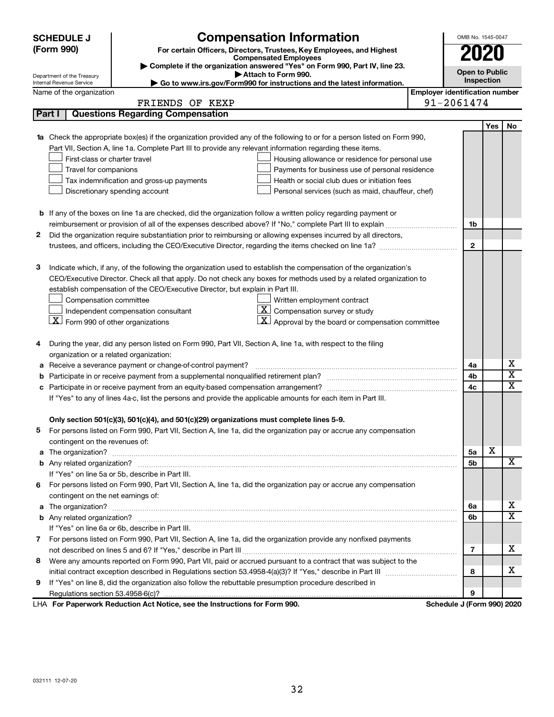|   | <b>SCHEDULE J</b>                                                                          | <b>Compensation Information</b>                                                                                           |                                       | OMB No. 1545-0047          |     |                         |
|---|--------------------------------------------------------------------------------------------|---------------------------------------------------------------------------------------------------------------------------|---------------------------------------|----------------------------|-----|-------------------------|
|   | (Form 990)                                                                                 | For certain Officers, Directors, Trustees, Key Employees, and Highest                                                     |                                       | <b>2020</b>                |     |                         |
|   |                                                                                            | <b>Compensated Employees</b><br>Complete if the organization answered "Yes" on Form 990, Part IV, line 23.                |                                       |                            |     |                         |
|   | Department of the Treasury                                                                 | Attach to Form 990.                                                                                                       |                                       | <b>Open to Public</b>      |     |                         |
|   | Internal Revenue Service                                                                   | Go to www.irs.gov/Form990 for instructions and the latest information.                                                    |                                       | Inspection                 |     |                         |
|   | Name of the organization                                                                   |                                                                                                                           | <b>Employer identification number</b> |                            |     |                         |
|   |                                                                                            | FRIENDS OF KEXP                                                                                                           |                                       | 91-2061474                 |     |                         |
|   | Part I                                                                                     | <b>Questions Regarding Compensation</b>                                                                                   |                                       |                            |     |                         |
|   |                                                                                            |                                                                                                                           |                                       |                            | Yes | No                      |
|   |                                                                                            | 1a Check the appropriate box(es) if the organization provided any of the following to or for a person listed on Form 990, |                                       |                            |     |                         |
|   |                                                                                            | Part VII, Section A, line 1a. Complete Part III to provide any relevant information regarding these items.                |                                       |                            |     |                         |
|   | First-class or charter travel                                                              | Housing allowance or residence for personal use                                                                           |                                       |                            |     |                         |
|   | Travel for companions                                                                      | Payments for business use of personal residence                                                                           |                                       |                            |     |                         |
|   | Tax indemnification and gross-up payments<br>Health or social club dues or initiation fees |                                                                                                                           |                                       |                            |     |                         |
|   |                                                                                            | Discretionary spending account<br>Personal services (such as maid, chauffeur, chef)                                       |                                       |                            |     |                         |
|   |                                                                                            |                                                                                                                           |                                       |                            |     |                         |
|   |                                                                                            | <b>b</b> If any of the boxes on line 1a are checked, did the organization follow a written policy regarding payment or    |                                       |                            |     |                         |
|   |                                                                                            | reimbursement or provision of all of the expenses described above? If "No," complete Part III to explain                  |                                       | 1b                         |     |                         |
| 2 |                                                                                            | Did the organization require substantiation prior to reimbursing or allowing expenses incurred by all directors,          |                                       |                            |     |                         |
|   |                                                                                            | trustees, and officers, including the CEO/Executive Director, regarding the items checked on line 1a?                     |                                       | $\mathbf{2}$               |     |                         |
| 3 |                                                                                            | Indicate which, if any, of the following the organization used to establish the compensation of the organization's        |                                       |                            |     |                         |
|   |                                                                                            | CEO/Executive Director. Check all that apply. Do not check any boxes for methods used by a related organization to        |                                       |                            |     |                         |
|   |                                                                                            | establish compensation of the CEO/Executive Director, but explain in Part III.                                            |                                       |                            |     |                         |
|   | Compensation committee                                                                     | Written employment contract                                                                                               |                                       |                            |     |                         |
|   |                                                                                            | $ \mathbf{X} $ Compensation survey or study<br>Independent compensation consultant                                        |                                       |                            |     |                         |
|   | $X$ Form 990 of other organizations                                                        | $\mathbf{X}$ Approval by the board or compensation committee                                                              |                                       |                            |     |                         |
|   |                                                                                            |                                                                                                                           |                                       |                            |     |                         |
| 4 |                                                                                            | During the year, did any person listed on Form 990, Part VII, Section A, line 1a, with respect to the filing              |                                       |                            |     |                         |
|   | organization or a related organization:                                                    |                                                                                                                           |                                       |                            |     |                         |
|   |                                                                                            | Receive a severance payment or change-of-control payment?                                                                 |                                       | 4a                         |     | х                       |
| b |                                                                                            |                                                                                                                           |                                       | 4b                         |     | $\overline{\textbf{x}}$ |
| с |                                                                                            |                                                                                                                           |                                       | 4c                         |     | $\overline{\text{x}}$   |
|   |                                                                                            | If "Yes" to any of lines 4a-c, list the persons and provide the applicable amounts for each item in Part III.             |                                       |                            |     |                         |
|   |                                                                                            |                                                                                                                           |                                       |                            |     |                         |
|   |                                                                                            | Only section 501(c)(3), 501(c)(4), and 501(c)(29) organizations must complete lines 5-9.                                  |                                       |                            |     |                         |
|   |                                                                                            | For persons listed on Form 990, Part VII, Section A, line 1a, did the organization pay or accrue any compensation         |                                       |                            |     |                         |
|   | contingent on the revenues of:                                                             |                                                                                                                           |                                       |                            |     |                         |
|   |                                                                                            |                                                                                                                           |                                       | 5а                         | х   |                         |
|   |                                                                                            |                                                                                                                           |                                       | 5b                         |     | x                       |
|   |                                                                                            | If "Yes" on line 5a or 5b, describe in Part III.                                                                          |                                       |                            |     |                         |
| 6 |                                                                                            | For persons listed on Form 990, Part VII, Section A, line 1a, did the organization pay or accrue any compensation         |                                       |                            |     |                         |
|   | contingent on the net earnings of:                                                         |                                                                                                                           |                                       |                            |     |                         |
|   |                                                                                            |                                                                                                                           |                                       | 6a                         |     | х                       |
|   |                                                                                            |                                                                                                                           |                                       | 6b                         |     | $\overline{\mathbf{X}}$ |
|   |                                                                                            | If "Yes" on line 6a or 6b, describe in Part III.                                                                          |                                       |                            |     |                         |
|   |                                                                                            | 7 For persons listed on Form 990, Part VII, Section A, line 1a, did the organization provide any nonfixed payments        |                                       |                            |     |                         |
|   |                                                                                            |                                                                                                                           |                                       | 7                          |     | х                       |
| 8 |                                                                                            | Were any amounts reported on Form 990, Part VII, paid or accrued pursuant to a contract that was subject to the           |                                       |                            |     |                         |
|   |                                                                                            |                                                                                                                           |                                       | 8                          |     | х                       |
| 9 |                                                                                            | If "Yes" on line 8, did the organization also follow the rebuttable presumption procedure described in                    |                                       |                            |     |                         |
|   |                                                                                            |                                                                                                                           |                                       | 9                          |     |                         |
|   |                                                                                            | LHA For Paperwork Reduction Act Notice, see the Instructions for Form 990.                                                |                                       | Schedule J (Form 990) 2020 |     |                         |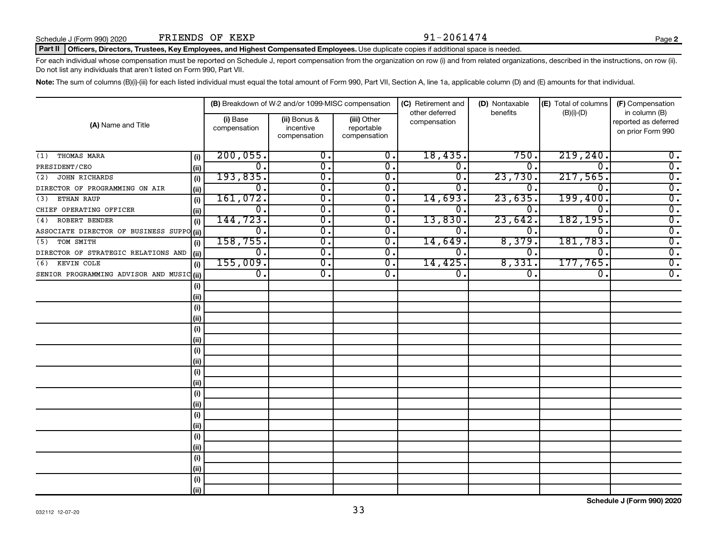#### Part II | Officers, Directors, Trustees, Key Employees, and Highest Compensated Employees. Use duplicate copies if additional space is needed.

For each individual whose compensation must be reported on Schedule J, report compensation from the organization on row (i) and from related organizations, described in the instructions, on row (ii). Do not list any individuals that aren't listed on Form 990, Part VII.

Note: The sum of columns (B)(i)-(iii) for each listed individual must equal the total amount of Form 990, Part VII, Section A, line 1a, applicable column (D) and (E) amounts for that individual.

|                                           |       |                          | (B) Breakdown of W-2 and/or 1099-MISC compensation |                                           | (C) Retirement and             | (D) Nontaxable   | (E) Total of columns        | (F) Compensation                                           |
|-------------------------------------------|-------|--------------------------|----------------------------------------------------|-------------------------------------------|--------------------------------|------------------|-----------------------------|------------------------------------------------------------|
| (A) Name and Title                        |       | (i) Base<br>compensation | (ii) Bonus &<br>incentive<br>compensation          | (iii) Other<br>reportable<br>compensation | other deferred<br>compensation | benefits         | $(B)(i)$ - $(D)$            | in column (B)<br>reported as deferred<br>on prior Form 990 |
| THOMAS MARA<br>(1)                        | (i)   | 200,055.                 | 0.                                                 | 0.                                        | 18,435.                        | 750              | 219, 240.                   | $0$ .                                                      |
| PRESIDENT/CEO                             | (ii)  | $\overline{0}$ .         | 0.                                                 | 0.                                        | $\mathbf 0$ .                  | 0.               | $\Omega$ .                  | $\overline{0}$ .                                           |
| <b>JOHN RICHARDS</b><br>(2)               | (i)   | 193,835.                 | $\overline{0}$ .                                   | 0.                                        | 0                              | 23,730           | 217,565.                    | $\overline{0}$ .                                           |
| DIRECTOR OF PROGRAMMING ON AIR            | (ii)  | 0.                       | $\overline{0}$ .                                   | 0.                                        | 0                              | 0                | $\Omega$                    | $\overline{0}$ .                                           |
| ETHAN RAUP<br>(3)                         | (i)   | 161,072.                 | $\overline{0}$ .                                   | 0.                                        | 14,693                         | 23,635           | 199,400.                    | $\overline{0}$ .                                           |
| CHIEF OPERATING OFFICER                   | (ii)  | 0.                       | $\overline{0}$ .                                   | Ο.                                        | 0                              | 0                | $\Omega$                    | $\overline{0}$ .                                           |
| ROBERT BENDER<br>(4)                      | (i)   | 144, 723.                | $\overline{0}$ .                                   | 0.                                        | 13,830                         | 23,642           | 182,195.                    | $\overline{0}$ .                                           |
| ASSOCIATE DIRECTOR OF BUSINESS SUPPO (ii) |       | 0.                       | 0.                                                 | 0.                                        | 0.                             | $\Omega$ .       | $\Omega$ .                  | $\overline{0}$ .                                           |
| TOM SMITH<br>(5)                          | (i)   | 158, 755.                | $\overline{0}$ .                                   | $\mathbf{0}$ .                            | 14,649                         | 8,379            | 181,783.                    | $\overline{0}$ .                                           |
| DIRECTOR OF STRATEGIC RELATIONS AND       | (ii)  | $\overline{0}$ .         | $\overline{0}$ .                                   | $\overline{0}$ .                          | 0.                             | 0.               | $\overline{0}$ .            | $\overline{0}$ .                                           |
| KEVIN COLE<br>(6)                         | (i)   | 155,009.                 | $\overline{0}$ .                                   | $\overline{0}$ .                          | 14,425.                        | 8,331            | 177,765.                    | $\overline{0}$ .                                           |
| SENIOR PROGRAMMING ADVISOR AND MUSIC (ii) |       | $\overline{0}$ .         | $\overline{0}$ .                                   | $\overline{0}$ .                          | $\overline{0}$ .               | $\overline{0}$ . | $\overline{\mathfrak{o}}$ . | $\overline{0}$ .                                           |
|                                           | (i)   |                          |                                                    |                                           |                                |                  |                             |                                                            |
|                                           | (ii)  |                          |                                                    |                                           |                                |                  |                             |                                                            |
|                                           | (i)   |                          |                                                    |                                           |                                |                  |                             |                                                            |
|                                           | (ii)  |                          |                                                    |                                           |                                |                  |                             |                                                            |
|                                           | (i)   |                          |                                                    |                                           |                                |                  |                             |                                                            |
|                                           | (ii)  |                          |                                                    |                                           |                                |                  |                             |                                                            |
|                                           | (i)   |                          |                                                    |                                           |                                |                  |                             |                                                            |
|                                           | (ii)  |                          |                                                    |                                           |                                |                  |                             |                                                            |
|                                           | (i)   |                          |                                                    |                                           |                                |                  |                             |                                                            |
|                                           | (ii)  |                          |                                                    |                                           |                                |                  |                             |                                                            |
|                                           | (i)   |                          |                                                    |                                           |                                |                  |                             |                                                            |
|                                           | (ii)  |                          |                                                    |                                           |                                |                  |                             |                                                            |
|                                           | (i)   |                          |                                                    |                                           |                                |                  |                             |                                                            |
|                                           | (ii)  |                          |                                                    |                                           |                                |                  |                             |                                                            |
|                                           | (i)   |                          |                                                    |                                           |                                |                  |                             |                                                            |
|                                           | (ii)  |                          |                                                    |                                           |                                |                  |                             |                                                            |
|                                           | (i)   |                          |                                                    |                                           |                                |                  |                             |                                                            |
|                                           | (ii)  |                          |                                                    |                                           |                                |                  |                             |                                                            |
|                                           | (i)   |                          |                                                    |                                           |                                |                  |                             |                                                            |
|                                           | (iii) |                          |                                                    |                                           |                                |                  |                             |                                                            |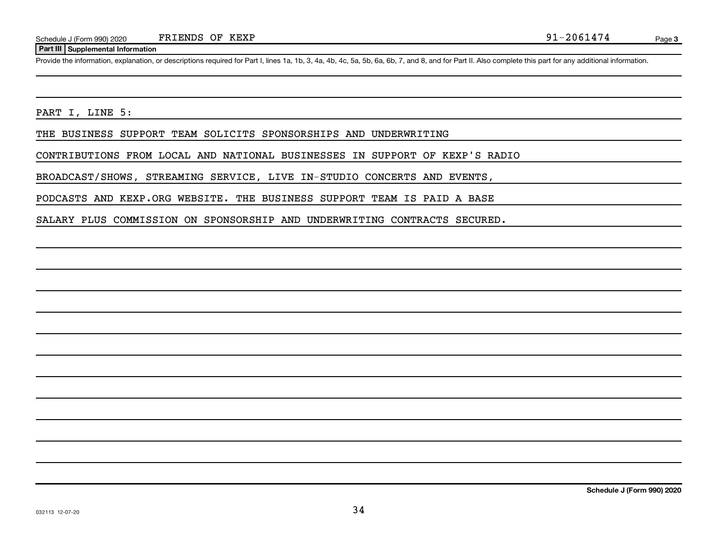### **Part III Supplemental Information**

Provide the information, explanation, or descriptions required for Part I, lines 1a, 1b, 3, 4a, 4b, 4c, 5a, 5b, 6a, 6b, 7, and 8, and for Part II. Also complete this part for any additional information.

PART I, LINE 5:

THE BUSINESS SUPPORT TEAM SOLICITS SPONSORSHIPS AND UNDERWRITING

CONTRIBUTIONS FROM LOCAL AND NATIONAL BUSINESSES IN SUPPORT OF KEXP'S RADIO

BROADCAST/SHOWS, STREAMING SERVICE, LIVE IN-STUDIO CONCERTS AND EVENTS,

PODCASTS AND KEXP.ORG WEBSITE. THE BUSINESS SUPPORT TEAM IS PAID A BASE

SALARY PLUS COMMISSION ON SPONSORSHIP AND UNDERWRITING CONTRACTS SECURED.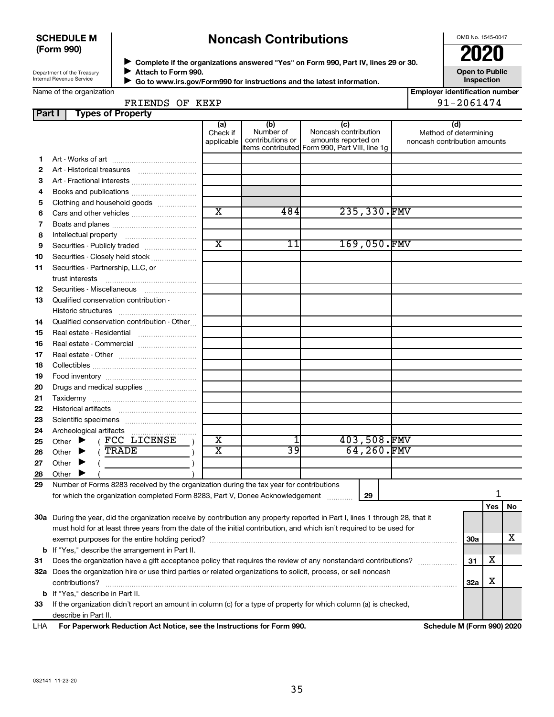### **SCHEDULE M (Form 990)**

# **Noncash Contributions**

OMB No. 1545-0047

Department of the Treasury Internal Revenue Service

◆ Complete if the organizations answered "Yes" on Form 990, Part IV, lines 29 or 30.<br>● Complete if the organizations answered "Yes" on Form 990, Part IV, lines 29 or 30. **Attach to Form 990.**  $\blacktriangleright$ 

 **Go to www.irs.gov/Form990 for instructions and the latest information.** J

**Open to Public Inspection**

Name of the organization

|  | FRIENDS OF KEXP                 |  |  |
|--|---------------------------------|--|--|
|  | <b>Part I</b> Types of Property |  |  |

| <b>Employer identification number</b> |
|---------------------------------------|
| 91-2061474                            |

|     |                                                                                                                           |                                                                                                                                | (a)                     | (b)<br>Number of | (c)                                            |  | (d)                                                   |            |     |    |
|-----|---------------------------------------------------------------------------------------------------------------------------|--------------------------------------------------------------------------------------------------------------------------------|-------------------------|------------------|------------------------------------------------|--|-------------------------------------------------------|------------|-----|----|
|     |                                                                                                                           |                                                                                                                                | Check if<br>applicable  | contributions or | Noncash contribution<br>amounts reported on    |  | Method of determining<br>noncash contribution amounts |            |     |    |
|     |                                                                                                                           |                                                                                                                                |                         |                  | items contributed Form 990, Part VIII, line 1g |  |                                                       |            |     |    |
| 1.  |                                                                                                                           |                                                                                                                                |                         |                  |                                                |  |                                                       |            |     |    |
| 2   |                                                                                                                           |                                                                                                                                |                         |                  |                                                |  |                                                       |            |     |    |
| З   |                                                                                                                           | Art - Fractional interests                                                                                                     |                         |                  |                                                |  |                                                       |            |     |    |
| 4   |                                                                                                                           | Books and publications                                                                                                         |                         |                  |                                                |  |                                                       |            |     |    |
| 5   |                                                                                                                           | Clothing and household goods                                                                                                   |                         |                  |                                                |  |                                                       |            |     |    |
| 6   |                                                                                                                           |                                                                                                                                | $\overline{\texttt{x}}$ | 484              | 235,330.FMV                                    |  |                                                       |            |     |    |
| 7   |                                                                                                                           |                                                                                                                                |                         |                  |                                                |  |                                                       |            |     |    |
| 8   |                                                                                                                           |                                                                                                                                |                         |                  |                                                |  |                                                       |            |     |    |
| 9   |                                                                                                                           | Securities - Publicly traded                                                                                                   | $\overline{\text{x}}$   | 11               | 169,050.FMV                                    |  |                                                       |            |     |    |
| 10  |                                                                                                                           | Securities - Closely held stock                                                                                                |                         |                  |                                                |  |                                                       |            |     |    |
| 11  |                                                                                                                           | Securities - Partnership, LLC, or                                                                                              |                         |                  |                                                |  |                                                       |            |     |    |
|     | trust interests                                                                                                           |                                                                                                                                |                         |                  |                                                |  |                                                       |            |     |    |
| 12  |                                                                                                                           | Securities - Miscellaneous                                                                                                     |                         |                  |                                                |  |                                                       |            |     |    |
| 13  |                                                                                                                           | Qualified conservation contribution -                                                                                          |                         |                  |                                                |  |                                                       |            |     |    |
|     |                                                                                                                           |                                                                                                                                |                         |                  |                                                |  |                                                       |            |     |    |
| 14  |                                                                                                                           | Qualified conservation contribution - Other                                                                                    |                         |                  |                                                |  |                                                       |            |     |    |
| 15  |                                                                                                                           | Real estate - Residential                                                                                                      |                         |                  |                                                |  |                                                       |            |     |    |
| 16  |                                                                                                                           |                                                                                                                                |                         |                  |                                                |  |                                                       |            |     |    |
|     | Real estate - Commercial                                                                                                  |                                                                                                                                |                         |                  |                                                |  |                                                       |            |     |    |
| 17  |                                                                                                                           |                                                                                                                                |                         |                  |                                                |  |                                                       |            |     |    |
| 18  |                                                                                                                           |                                                                                                                                |                         |                  |                                                |  |                                                       |            |     |    |
| 19  |                                                                                                                           |                                                                                                                                |                         |                  |                                                |  |                                                       |            |     |    |
| 20  |                                                                                                                           | Drugs and medical supplies                                                                                                     |                         |                  |                                                |  |                                                       |            |     |    |
| 21  |                                                                                                                           |                                                                                                                                |                         |                  |                                                |  |                                                       |            |     |    |
| 22  |                                                                                                                           |                                                                                                                                |                         |                  |                                                |  |                                                       |            |     |    |
| 23  |                                                                                                                           |                                                                                                                                |                         |                  |                                                |  |                                                       |            |     |    |
| 24  | Archeological artifacts                                                                                                   |                                                                                                                                |                         | 1                |                                                |  |                                                       |            |     |    |
| 25  |                                                                                                                           | Other $\blacktriangleright$ (FCC LICENSE                                                                                       | $\overline{\textbf{x}}$ |                  | 403,508.FMV                                    |  |                                                       |            |     |    |
| 26  | Other $\blacktriangleright$ (TRADE                                                                                        |                                                                                                                                | $\overline{\text{x}}$   | 39               | 64,260.FMV                                     |  |                                                       |            |     |    |
| 27  | Other $\blacktriangleright$                                                                                               | $\overline{a}$                                                                                                                 |                         |                  |                                                |  |                                                       |            |     |    |
| 28  | Other                                                                                                                     |                                                                                                                                |                         |                  |                                                |  |                                                       |            |     |    |
| 29  |                                                                                                                           | Number of Forms 8283 received by the organization during the tax year for contributions                                        |                         |                  |                                                |  |                                                       |            |     |    |
|     |                                                                                                                           | for which the organization completed Form 8283, Part V, Donee Acknowledgement                                                  |                         |                  | 29                                             |  |                                                       |            | 1   |    |
|     |                                                                                                                           |                                                                                                                                |                         |                  |                                                |  |                                                       |            | Yes | No |
|     |                                                                                                                           | 30a During the year, did the organization receive by contribution any property reported in Part I, lines 1 through 28, that it |                         |                  |                                                |  |                                                       |            |     |    |
|     |                                                                                                                           | must hold for at least three years from the date of the initial contribution, and which isn't required to be used for          |                         |                  |                                                |  |                                                       |            |     |    |
|     |                                                                                                                           |                                                                                                                                |                         |                  |                                                |  |                                                       | <b>30a</b> |     | х  |
|     |                                                                                                                           | <b>b</b> If "Yes," describe the arrangement in Part II.                                                                        |                         |                  |                                                |  |                                                       |            |     |    |
| 31  | х<br>Does the organization have a gift acceptance policy that requires the review of any nonstandard contributions?<br>31 |                                                                                                                                |                         |                  |                                                |  |                                                       |            |     |    |
|     | 32a Does the organization hire or use third parties or related organizations to solicit, process, or sell noncash         |                                                                                                                                |                         |                  |                                                |  |                                                       |            |     |    |
|     | contributions?<br><b>32a</b>                                                                                              |                                                                                                                                |                         |                  |                                                |  |                                                       |            | х   |    |
|     | b If "Yes," describe in Part II.                                                                                          |                                                                                                                                |                         |                  |                                                |  |                                                       |            |     |    |
| 33  | If the organization didn't report an amount in column (c) for a type of property for which column (a) is checked,         |                                                                                                                                |                         |                  |                                                |  |                                                       |            |     |    |
|     | describe in Part II.                                                                                                      |                                                                                                                                |                         |                  |                                                |  |                                                       |            |     |    |
| LHA |                                                                                                                           | For Paperwork Reduction Act Notice, see the Instructions for Form 990.                                                         |                         |                  |                                                |  | Schedule M (Form 990) 2020                            |            |     |    |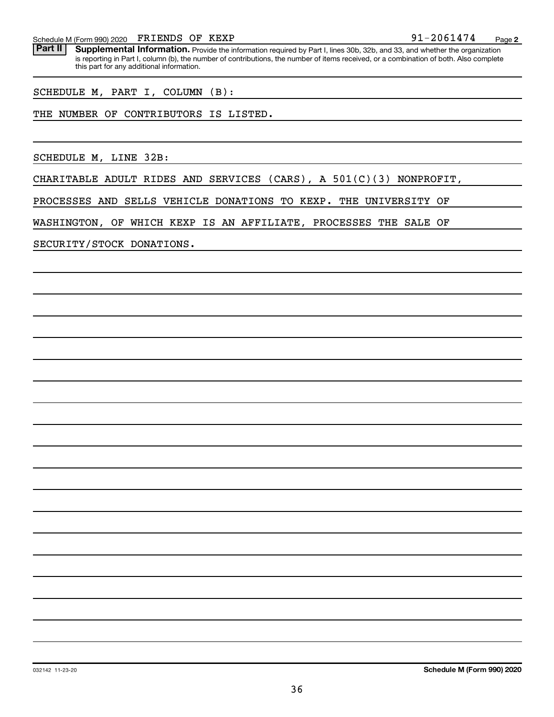FRIENDS OF KEXP

Schedule M (Form 990) 2020 FRIENDS OF KEXP<br>**Part II Supplemental Information**, Provide the information required by Part Llines 30b, 32b, and 33, and whether the orga Part II | Supplemental Information. Provide the information required by Part I, lines 30b, 32b, and 33, and whether the organization is reporting in Part I, column (b), the number of contributions, the number of items received, or a combination of both. Also complete this part for any additional information.

SCHEDULE M, PART I, COLUMN (B):

THE NUMBER OF CONTRIBUTORS IS LISTED.

SCHEDULE M, LINE 32B:

CHARITABLE ADULT RIDES AND SERVICES (CARS), A 501(C)(3) NONPROFIT,

PROCESSES AND SELLS VEHICLE DONATIONS TO KEXP. THE UNIVERSITY OF

WASHINGTON, OF WHICH KEXP IS AN AFFILIATE, PROCESSES THE SALE OF

SECURITY/STOCK DONATIONS.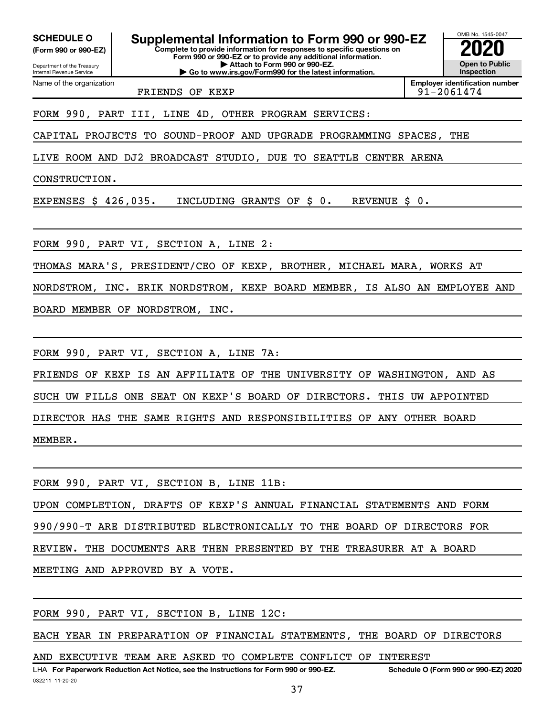Department of the Treasury **(Form 990 or 990-EZ)**

Name of the organization

Internal Revenue Service

**Complete to provide information for responses to specific questions on Form 990 or 990-EZ or to provide any additional information. | Attach to Form 990 or 990-EZ. SCHEDULE O Supplemental Information to Form 990 or 990-EZ 2020**<br>(Form 990 or 990-EZ) Complete to provide information for responses to specific questions on

**| Go to www.irs.gov/Form990 for the latest information.**

FRIENDS OF KEXP 2061474

**Inspection Employer identification number**

OMB No. 1545-0047

**Open to Public**

# FORM 990, PART III, LINE 4D, OTHER PROGRAM SERVICES:

CAPITAL PROJECTS TO SOUND-PROOF AND UPGRADE PROGRAMMING SPACES, THE

LIVE ROOM AND DJ2 BROADCAST STUDIO, DUE TO SEATTLE CENTER ARENA

CONSTRUCTION.

EXPENSES \$ 426,035. INCLUDING GRANTS OF \$ 0. REVENUE \$ 0.

FORM 990, PART VI, SECTION A, LINE 2:

THOMAS MARA'S, PRESIDENT/CEO OF KEXP, BROTHER, MICHAEL MARA, WORKS AT

NORDSTROM, INC. ERIK NORDSTROM, KEXP BOARD MEMBER, IS ALSO AN EMPLOYEE AND BOARD MEMBER OF NORDSTROM, INC.

FORM 990, PART VI, SECTION A, LINE 7A:

FRIENDS OF KEXP IS AN AFFILIATE OF THE UNIVERSITY OF WASHINGTON, AND AS SUCH UW FILLS ONE SEAT ON KEXP'S BOARD OF DIRECTORS. THIS UW APPOINTED DIRECTOR HAS THE SAME RIGHTS AND RESPONSIBILITIES OF ANY OTHER BOARD MEMBER.

|  |  |  |                                 | FORM 990, PART VI, SECTION B, LINE 11B:                                |  |  |  |  |
|--|--|--|---------------------------------|------------------------------------------------------------------------|--|--|--|--|
|  |  |  |                                 | UPON COMPLETION, DRAFTS OF KEXP'S ANNUAL FINANCIAL STATEMENTS AND FORM |  |  |  |  |
|  |  |  |                                 | 990/990-T ARE DISTRIBUTED ELECTRONICALLY TO THE BOARD OF DIRECTORS FOR |  |  |  |  |
|  |  |  |                                 | REVIEW. THE DOCUMENTS ARE THEN PRESENTED BY THE TREASURER AT A BOARD   |  |  |  |  |
|  |  |  | MEETING AND APPROVED BY A VOTE. |                                                                        |  |  |  |  |
|  |  |  |                                 |                                                                        |  |  |  |  |

FORM 990, PART VI, SECTION B, LINE 12C:

EACH YEAR IN PREPARATION OF FINANCIAL STATEMENTS, THE BOARD OF DIRECTORS

AND EXECUTIVE TEAM ARE ASKED TO COMPLETE CONFLICT OF INTEREST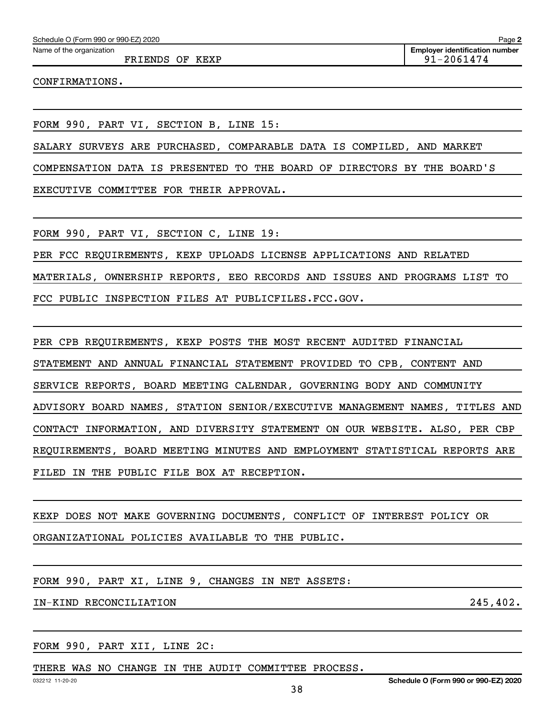Schedule O (Form 990 or 990-EZ) 2020

Name of the organization

FRIENDS OF KEXP **91-2061474** 

CONFIRMATIONS.

FORM 990, PART VI, SECTION B, LINE 15:

SALARY SURVEYS ARE PURCHASED, COMPARABLE DATA IS COMPILED, AND MARKET

COMPENSATION DATA IS PRESENTED TO THE BOARD OF DIRECTORS BY THE BOARD'S

EXECUTIVE COMMITTEE FOR THEIR APPROVAL.

FORM 990, PART VI, SECTION C, LINE 19:

PER FCC REQUIREMENTS, KEXP UPLOADS LICENSE APPLICATIONS AND RELATED MATERIALS, OWNERSHIP REPORTS, EEO RECORDS AND ISSUES AND PROGRAMS LIST TO FCC PUBLIC INSPECTION FILES AT PUBLICFILES.FCC.GOV.

PER CPB REQUIREMENTS, KEXP POSTS THE MOST RECENT AUDITED FINANCIAL STATEMENT AND ANNUAL FINANCIAL STATEMENT PROVIDED TO CPB, CONTENT AND SERVICE REPORTS, BOARD MEETING CALENDAR, GOVERNING BODY AND COMMUNITY ADVISORY BOARD NAMES, STATION SENIOR/EXECUTIVE MANAGEMENT NAMES, TITLES AND CONTACT INFORMATION, AND DIVERSITY STATEMENT ON OUR WEBSITE. ALSO, PER CBP REQUIREMENTS, BOARD MEETING MINUTES AND EMPLOYMENT STATISTICAL REPORTS ARE FILED IN THE PUBLIC FILE BOX AT RECEPTION.

```
KEXP DOES NOT MAKE GOVERNING DOCUMENTS, CONFLICT OF INTEREST POLICY OR
ORGANIZATIONAL POLICIES AVAILABLE TO THE PUBLIC.
```
FORM 990, PART XI, LINE 9, CHANGES IN NET ASSETS:

IN-KIND RECONCILIATION 245,402.

FORM 990, PART XII, LINE 2C:

THERE WAS NO CHANGE IN THE AUDIT COMMITTEE PROCESS.